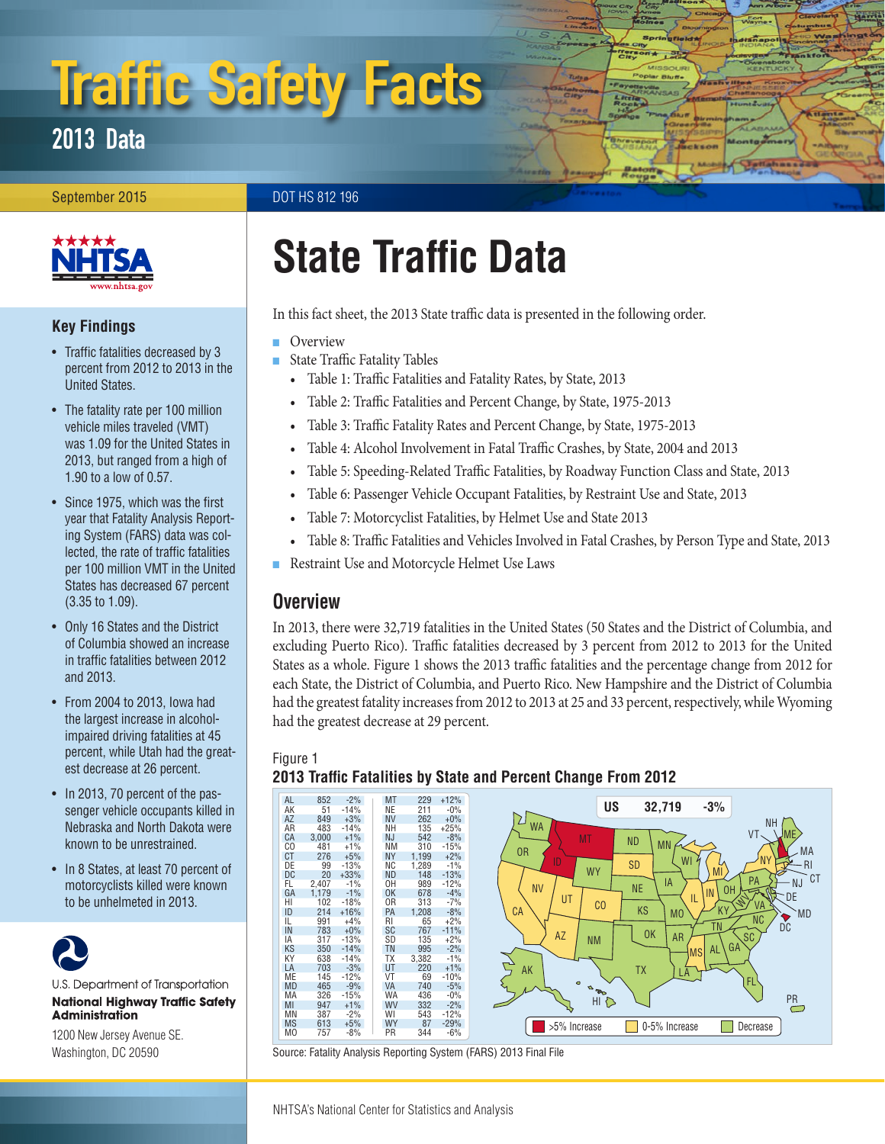# Traffic Safety Facts

2013 Data

September 2015 **DOT HS 812 196** 



#### **Key Findings**

- Traffic fatalities decreased by 3 percent from 2012 to 2013 in the United States.
- The fatality rate per 100 million vehicle miles traveled (VMT) was 1.09 for the United States in 2013, but ranged from a high of 1.90 to a low of 0.57.
- Since 1975, which was the first year that Fatality Analysis Reporting System (FARS) data was collected, the rate of traffic fatalities per 100 million VMT in the United States has decreased 67 percent (3.35 to 1.09).
- Only 16 States and the District of Columbia showed an increase in traffic fatalities between 2012 and 2013.
- From 2004 to 2013, Iowa had the largest increase in alcoholimpaired driving fatalities at 45 percent, while Utah had the greatest decrease at 26 percent.
- In 2013, 70 percent of the passenger vehicle occupants killed in Nebraska and North Dakota were known to be unrestrained.
- In 8 States, at least 70 percent of motorcyclists killed were known to be unhelmeted in 2013.



U.S. Department of Transportation **National Highway Traffic Safety Administration** 

1200 New Jersey Avenue SE. Washington, DC 20590

## **State Traffic Data**

In this fact sheet, the 2013 State traffic data is presented in the following order.

- [Overview](#page-0-0)
- [State Traffic Fatality Tables](#page-1-0)
	- [Table 1: Traffic Fatalities and Fatality Rates, by State, 2013](#page-2-0)
	- [Table 2: Traffic Fatalities and Percent Change, by State, 1975-2013](#page-3-0)
	- [Table 3: Traffic Fatality Rates and Percent Change, by State, 1975-2013](#page-4-0)
	- [Table 4: Alcohol Involvement in Fatal Traffic Crashes, by State, 2004 and 2013](#page-5-0)
	- [Table 5: Speeding-Related Traffic Fatalities, by Roadway Function Class and State, 2013](#page-6-0)
	- [Table 6: Passenger Vehicle Occupant Fatalities, by Restraint Use and State, 2013](#page-7-0)
	- [Table 7: Motorcyclist Fatalities, by Helmet Use and State 2013](#page-8-0)
	- [Table 8: Traffic Fatalities and Vehicles Involved in Fatal Crashes, by Person Type and State, 2013](#page-9-0)
- [Restraint Use and Motorcycle Helmet Use Laws](#page-10-0)

#### <span id="page-0-0"></span>**Overview**

In 2013, there were 32,719 fatalities in the United States (50 States and the District of Columbia, and excluding Puerto Rico). Traffic fatalities decreased by 3 percent from 2012 to 2013 for the United States as a whole. Figure 1 shows the 2013 traffic fatalities and the percentage change from 2012 for each State, the District of Columbia, and Puerto Rico. New Hampshire and the District of Columbia had the greatest fatality increases from 2012 to 2013 at 25 and 33 percent, respectively, while Wyoming had the greatest decrease at 29 percent.

#### Figure 1 **2013 Traffic Fatalities by State and Percent Change From 2012**

| AL             | 852   | $-2%$  | <b>MT</b>      | 229   | $+12%$ |                                                             |
|----------------|-------|--------|----------------|-------|--------|-------------------------------------------------------------|
| AK             | 51    | $-14%$ | <b>NE</b>      | 211   | $-0%$  | <b>US</b><br>32,719<br>$-3%$                                |
| AZ             | 849   | $+3%$  | <b>NV</b>      | 262   | $+0\%$ | <b>NH</b>                                                   |
| <b>AR</b>      | 483   | $-14%$ | NΗ             | 135   | $+25%$ | <b>WA</b>                                                   |
| CA             | 3,000 | $+1%$  | <b>NJ</b>      | 542   | $-8%$  | JME<br>VT<br><b>MT</b><br><b>ND</b>                         |
| C <sub>O</sub> | 481   | $+1%$  | <b>NM</b>      | 310   | $-15%$ | <b>MN</b>                                                   |
| CT             | 276   | $+5%$  | <b>NY</b>      | 1,199 | $+2%$  | MA<br>0 <sub>R</sub><br><b>NY</b>                           |
| DE             | 99    | $-13%$ | <b>NC</b>      | 1,289 | $-1%$  | ID<br>WI<br><b>SD</b>                                       |
| <b>DC</b>      | 20    | $+33%$ | <b>ND</b>      | 148   | $-13%$ | <b>WY</b><br>MI                                             |
| FL             | 2.407 | $-1%$  | OH             | 989   | $-12%$ | PA<br>IA<br><b>NJ</b><br><b>NE</b><br><b>NV</b>             |
| GA             | 1,179 | $-1%$  | 0K             | 678   | $-4%$  | 0H<br>IN<br>DE                                              |
| HI             | 102   | $-18%$ | 0 <sub>R</sub> | 313   | $-7%$  | IL<br>UT<br>CO<br>VA                                        |
| ID             | 214   | $+16%$ | PA             | 1,208 | $-8%$  | <b>KS</b><br><b>KY</b><br>CA<br>M <sub>0</sub><br><b>MD</b> |
| IL             | 991   | $+4%$  | RI             | 65    | $+2%$  | <b>NC</b>                                                   |
| IN             | 783   | $+0\%$ | <b>SC</b>      | 767   | $-11%$ | D <sub>C</sub><br>TN<br>0K                                  |
| IA             | 317   | $-13%$ | <b>SD</b>      | 135   | $+2%$  | <b>AZ</b><br><b>AR</b><br><b>SC</b><br><b>NM</b>            |
| KS             | 350   | $-14%$ | <b>TN</b>      | 995   | $-2%$  | GA<br><b>AL</b><br><b>MS</b>                                |
| KY             | 638   | $-14%$ | <b>TX</b>      | 3,382 | $-1%$  |                                                             |
| LA             | 703   | $-3%$  | UT             | 220   | $+1%$  | <b>TX</b><br>AK<br>LA                                       |
| ME             | 145   | $-12%$ | VT             | 69    | $-10%$ | FL                                                          |
| <b>MD</b>      | 465   | $-9%$  | <b>VA</b>      | 740   | $-5%$  | $\bullet$<br><b>DE</b>                                      |
| <b>MA</b>      | 326   | $-15%$ | <b>WA</b>      | 436   | $-0\%$ | PR <sub>.</sub>                                             |
| MI             | 947   | $+1%$  | <b>WV</b>      | 332   | $-2%$  | HI D<br>$\subset$                                           |
| <b>MN</b>      | 387   | $-2%$  | WI             | 543   | $-12%$ |                                                             |
| <b>MS</b>      | 613   | $+5%$  | <b>WY</b>      | 87    | $-29%$ | 0-5% Increase<br>>5% Increase<br>Decrease                   |
| M <sub>0</sub> | 757   | $-8%$  | <b>PR</b>      | 344   | $-6%$  |                                                             |

Source: Fatality Analysis Reporting System (FARS) 2013 Final File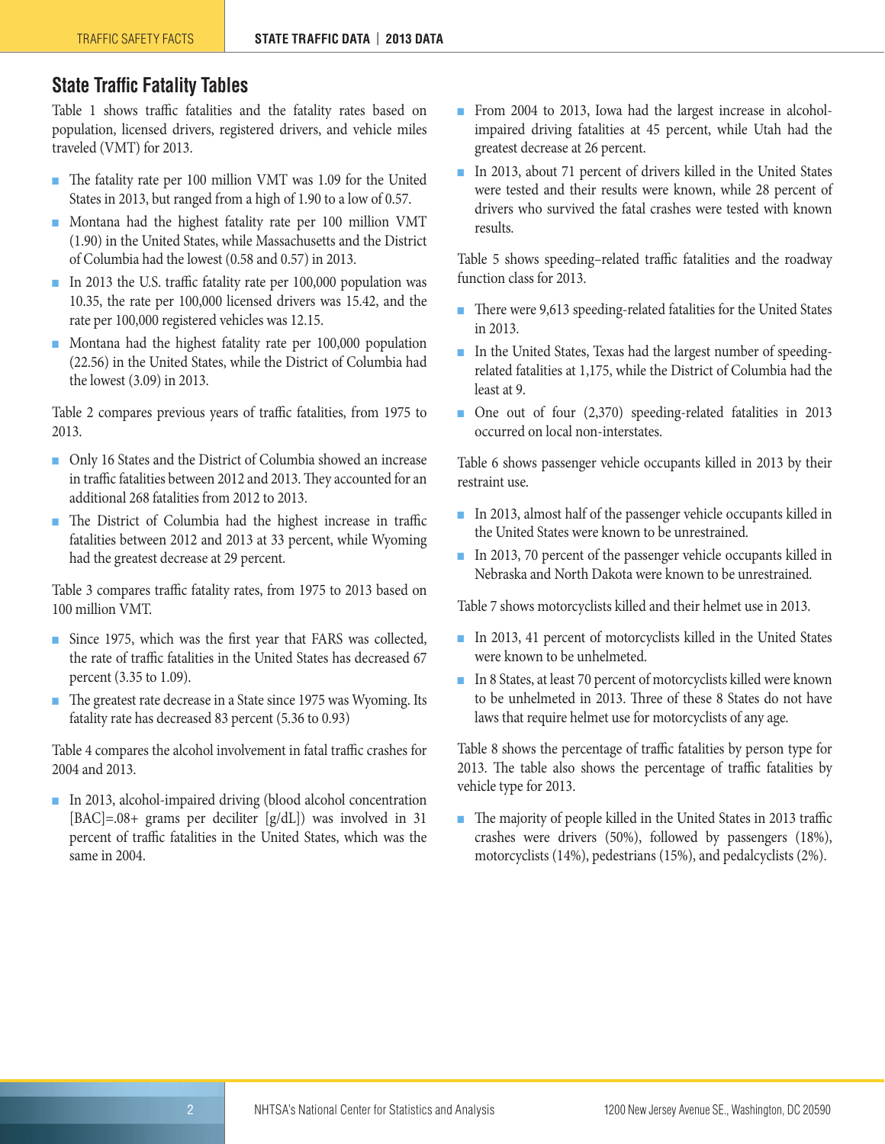#### <span id="page-1-0"></span>**State Traffic Fatality Tables**

Table 1 shows traffic fatalities and the fatality rates based on population, licensed drivers, registered drivers, and vehicle miles traveled (VMT) for 2013.

- The fatality rate per 100 million VMT was 1.09 for the United States in 2013, but ranged from a high of 1.90 to a low of 0.57.
- Montana had the highest fatality rate per 100 million VMT (1.90) in the United States, while Massachusetts and the District of Columbia had the lowest (0.58 and 0.57) in 2013.
- In 2013 the U.S. traffic fatality rate per 100,000 population was 10.35, the rate per 100,000 licensed drivers was 15.42, and the rate per 100,000 registered vehicles was 12.15.
- Montana had the highest fatality rate per 100,000 population (22.56) in the United States, while the District of Columbia had the lowest (3.09) in 2013.

Table 2 compares previous years of traffic fatalities, from 1975 to 2013.

- Only 16 States and the District of Columbia showed an increase in traffic fatalities between 2012 and 2013. They accounted for an additional 268 fatalities from 2012 to 2013.
- The District of Columbia had the highest increase in traffic fatalities between 2012 and 2013 at 33 percent, while Wyoming had the greatest decrease at 29 percent.

Table 3 compares traffic fatality rates, from 1975 to 2013 based on 100 million VMT.

- Since 1975, which was the first year that FARS was collected, the rate of traffic fatalities in the United States has decreased 67 percent (3.35 to 1.09).
- The greatest rate decrease in a State since 1975 was Wyoming. Its fatality rate has decreased 83 percent (5.36 to 0.93)

Table 4 compares the alcohol involvement in fatal traffic crashes for 2004 and 2013.

■ In 2013, alcohol-impaired driving (blood alcohol concentration [BAC]=.08+ grams per deciliter [g/dL]) was involved in 31 percent of traffic fatalities in the United States, which was the same in 2004.

- From 2004 to 2013, Iowa had the largest increase in alcoholimpaired driving fatalities at 45 percent, while Utah had the greatest decrease at 26 percent.
- In 2013, about 71 percent of drivers killed in the United States were tested and their results were known, while 28 percent of drivers who survived the fatal crashes were tested with known results.

Table 5 shows speeding–related traffic fatalities and the roadway function class for 2013.

- There were 9,613 speeding-related fatalities for the United States in 2013.
- In the United States, Texas had the largest number of speedingrelated fatalities at 1,175, while the District of Columbia had the least at 9.
- One out of four (2,370) speeding-related fatalities in 2013 occurred on local non-interstates.

Table 6 shows passenger vehicle occupants killed in 2013 by their restraint use.

- In 2013, almost half of the passenger vehicle occupants killed in the United States were known to be unrestrained.
- In 2013, 70 percent of the passenger vehicle occupants killed in Nebraska and North Dakota were known to be unrestrained.

Table 7 shows motorcyclists killed and their helmet use in 2013.

- In 2013, 41 percent of motorcyclists killed in the United States were known to be unhelmeted.
- In 8 States, at least 70 percent of motorcyclists killed were known to be unhelmeted in 2013. Three of these 8 States do not have laws that require helmet use for motorcyclists of any age.

Table 8 shows the percentage of traffic fatalities by person type for 2013. The table also shows the percentage of traffic fatalities by vehicle type for 2013.

■ The majority of people killed in the United States in 2013 traffic crashes were drivers (50%), followed by passengers (18%), motorcyclists (14%), pedestrians (15%), and pedalcyclists (2%).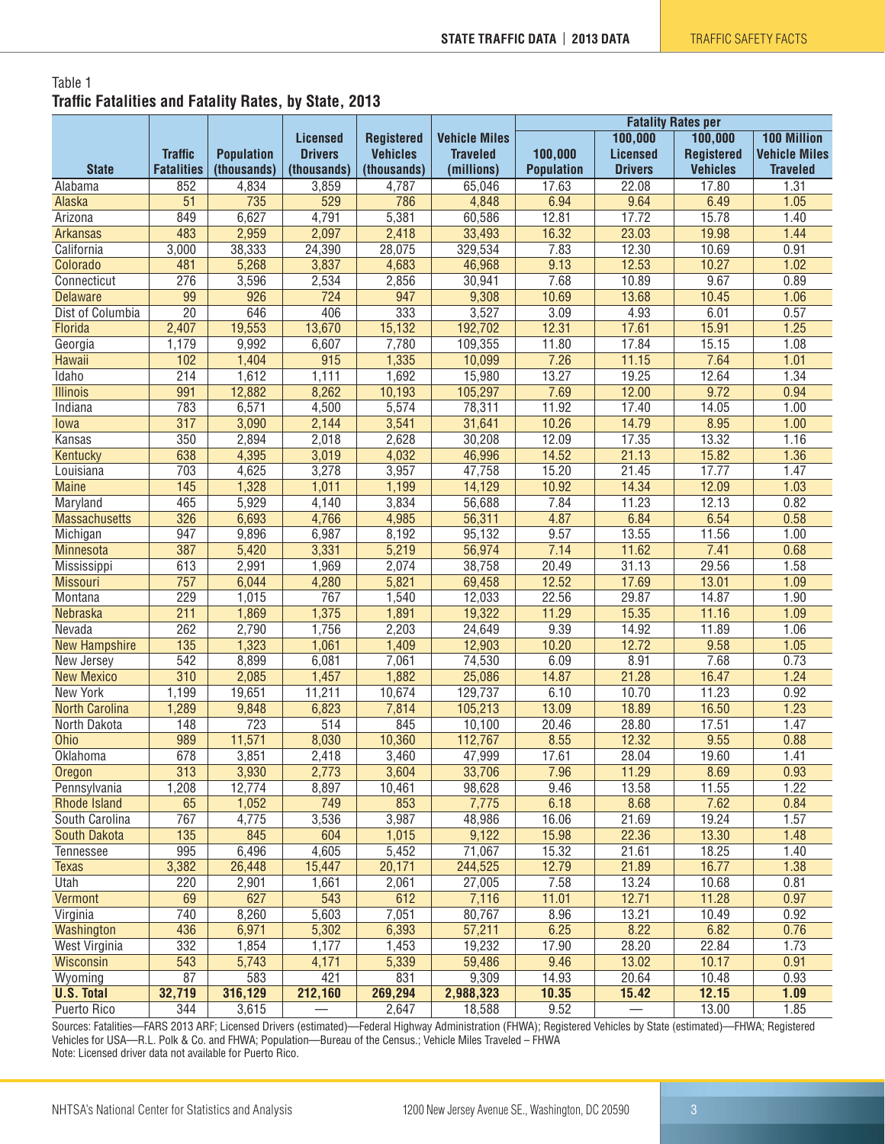#### <span id="page-2-0"></span>Table 1 **Traffic Fatalities and Fatality Rates, by State, 2013**

|                       |                   |                   | <b>Licensed</b>                  | <b>Registered</b> | <b>Vehicle Miles</b> |                   | 100,000                          | 100,000           | <b>100 Million</b>   |
|-----------------------|-------------------|-------------------|----------------------------------|-------------------|----------------------|-------------------|----------------------------------|-------------------|----------------------|
|                       | <b>Traffic</b>    | <b>Population</b> | <b>Drivers</b>                   | <b>Vehicles</b>   | <b>Traveled</b>      | 100,000           | <b>Licensed</b>                  | <b>Registered</b> | <b>Vehicle Miles</b> |
| <b>State</b>          | <b>Fatalities</b> | (thousands)       | (thousands)                      | (thousands)       | (millions)           | <b>Population</b> | <b>Drivers</b>                   | <b>Vehicles</b>   | <b>Traveled</b>      |
| Alabama               | 852               | 4,834             | 3,859                            | 4,787             | 65,046               | 17.63             | 22.08                            | 17.80             | 1.31                 |
| Alaska                | 51                | 735               | 529                              | 786               | 4,848                | 6.94              | 9.64                             | 6.49              | 1.05                 |
| Arizona               | 849               | 6,627             | 4,791                            | 5,381             | 60,586               | 12.81             | 17.72                            | 15.78             | 1.40                 |
| <b>Arkansas</b>       | 483               | 2,959             | 2,097                            | 2,418             | 33,493               | 16.32             | 23.03                            | 19.98             | 1.44                 |
| California            | 3,000             | 38,333            | 24,390                           | 28,075            | 329,534              | 7.83              | 12.30                            | 10.69             | 0.91                 |
| Colorado              | 481               | 5,268             | 3,837                            | 4,683             | 46,968               | 9.13              | 12.53                            | 10.27             | 1.02                 |
| Connecticut           | 276               | 3,596             | 2,534                            | 2,856             | 30,941               | 7.68              | 10.89                            | 9.67              | 0.89                 |
| <b>Delaware</b>       | 99                | 926               | 724                              | 947               | 9,308                | 10.69             | 13.68                            | 10.45             | 1.06                 |
| Dist of Columbia      | $\overline{20}$   | 646               | 406                              | 333               | 3,527                | 3.09              | 4.93                             | 6.01              | 0.57                 |
| Florida               | 2,407             | 19,553            | 13,670                           | 15,132            | 192,702              | 12.31             | 17.61                            | 15.91             | 1.25                 |
| Georgia               | 1,179             | 9,992             | 6,607                            | 7,780             | 109,355              | 11.80             | 17.84                            | 15.15             | 1.08                 |
| Hawaii                | 102               | 1,404             | $\overline{915}$                 | 1,335             | 10,099               | 7.26              | 11.15                            | 7.64              | 1.01                 |
| Idaho                 | $\overline{214}$  | 1,612             | 1,111                            | 1,692             | 15,980               | 13.27             | 19.25                            | 12.64             | 1.34                 |
| <b>Illinois</b>       | 991               | 12,882            | 8,262                            | 10,193            | 105,297              | 7.69              | 12.00                            | 9.72              | 0.94                 |
| Indiana               | 783               | 6,571             | 4,500                            | 5,574             | 78,311               | 11.92             | 17.40                            | 14.05             | 1.00                 |
| lowa                  | $\overline{317}$  | 3,090             | 2,144                            | 3,541             | 31,641               | 10.26             | 14.79                            | 8.95              | 1.00                 |
| Kansas                | 350               | 2,894             | 2,018                            | 2,628             | 30,208               | 12.09             | 17.35                            | 13.32             | 1.16                 |
| Kentucky              | 638               | 4,395             | 3,019                            | 4,032             | 46,996               | 14.52             | 21.13                            | 15.82             | 1.36                 |
| Louisiana             | 703               | 4,625             | 3,278                            | 3,957             | 47,758               | 15.20             | 21.45                            | 17.77             | 1.47                 |
| <b>Maine</b>          | 145               | 1,328             | 1,011                            | 1,199             | 14,129               | 10.92             | 14.34                            | 12.09             | 1.03                 |
| Maryland              | 465               | 5,929             | 4,140                            | 3,834             | 56,688               | 7.84              | 11.23                            | 12.13             | 0.82                 |
| <b>Massachusetts</b>  | 326               | 6,693             | 4,766                            | 4,985             | 56,311               | 4.87              | 6.84                             | 6.54              | 0.58                 |
| Michigan              | 947               | 9,896             | 6,987                            | 8,192             | 95,132               | 9.57              | 13.55                            | 11.56             | 1.00                 |
| <b>Minnesota</b>      | 387               | 5,420             | 3,331                            | 5,219             | 56,974               | 7.14              | 11.62                            | 7.41              | 0.68                 |
| Mississippi           | 613               | 2,991             | 1,969                            | 2,074             | 38,758               | 20.49             | 31.13                            | 29.56             | 1.58                 |
| <b>Missouri</b>       | 757               | 6,044             | 4,280                            | 5,821             | 69,458               | 12.52             | 17.69                            | 13.01             | 1.09                 |
| Montana               | 229               | 1,015             | 767                              | 1,540             | 12,033               | 22.56             | 29.87                            | 14.87             | 1.90                 |
| Nebraska              | 211               | 1,869             | 1,375                            | 1,891             | 19,322               | 11.29             | 15.35                            | 11.16             | 1.09                 |
| Nevada                | $\overline{262}$  | 2,790             | 1,756                            | 2,203             | 24,649               | 9.39              | 14.92                            | 11.89             | 1.06                 |
| <b>New Hampshire</b>  | 135               | 1,323             | 1,061                            | 1,409             | 12,903               | 10.20             | 12.72                            | 9.58              | 1.05                 |
| New Jersey            | 542               | 8,899             | 6,081                            | 7,061             | 74,530               | 6.09              | 8.91                             | 7.68              | 0.73                 |
| <b>New Mexico</b>     | 310               | 2,085             | 1,457                            | 1,882             | 25,086               | 14.87             | 21.28                            | 16.47             | 1.24                 |
| New York              | 1,199             | 19,651            | 11,211                           | 10,674            | 129,737              | 6.10              | 10.70                            | 11.23             | 0.92                 |
| <b>North Carolina</b> | 1,289             | 9,848             | 6,823                            | 7,814             | 105,213              | 13.09             | 18.89                            | 16.50             | 1.23                 |
| North Dakota          | 148               | 723               | $\overline{514}$                 | 845               | 10,100               | 20.46             | 28.80                            | 17.51             | 1.47                 |
| Ohio                  | 989               | 11,571            | 8,030                            | 10,360            | 112,767              | 8.55              | 12.32                            | 9.55              | 0.88                 |
| Oklahoma              | 678               | 3,851             | 2,418                            | 3,460             | 47,999               | 17.61             | 28.04                            | 19.60             | 1.41                 |
| Oregon                | $\overline{313}$  | 3,930             | 2,773                            | 3,604             | 33,706               | 7.96              | 11.29                            | 8.69              | 0.93                 |
| Pennsylvania          | 1,208             | 12,774            | 8,897                            | 10,461            | 98,628               | 9.46              | 13.58                            | 11.55             | 1.22                 |
| <b>Rhode Island</b>   | 65                | 1,052             | 749                              | 853               | 7,775                | 6.18              | 8.68                             | 7.62              | 0.84                 |
| South Carolina        | 767               | 4,775             | 3,536                            | 3,987             | 48,986               | 16.06             | 21.69                            | 19.24             | 1.57                 |
| <b>South Dakota</b>   | $\overline{135}$  | 845               | 604                              | 1,015             | 9,122                | 15.98             | 22.36                            | 13.30             | 1.48                 |
| Tennessee             | 995               | 6,496             | 4,605                            | 5,452             | 71,067               | 15.32             | 21.61                            | 18.25             | 1.40                 |
| <b>Texas</b>          | 3,382             | 26,448            | 15,447                           | 20,171            | 244,525              | 12.79             | 21.89                            | 16.77             | 1.38                 |
| <b>Utah</b>           | 220               | 2,901             | 1,661                            | 2,061             | 27,005               | 7.58              | 13.24                            | 10.68             | 0.81                 |
| Vermont               | 69                | 627               | 543                              | 612               | 7,116                | 11.01             | 12.71                            | 11.28             | 0.97                 |
| Virginia              | 740               | 8,260             | 5,603                            | 7,051             | 80,767               | 8.96              | 13.21                            | 10.49             | 0.92                 |
| Washington            | 436               | 6,971             | 5,302                            | 6,393             | 57,211               | 6.25              | 8.22                             | 6.82              | 0.76                 |
| <b>West Virginia</b>  | 332               | 1,854             | 1,177                            | 1,453             | 19,232               | 17.90             | 28.20                            | 22.84             | 1.73                 |
| Wisconsin             | 543               | 5,743             | 4,171                            | 5,339             | 59,486               | 9.46              | 13.02                            | 10.17             | 0.91                 |
| Wyoming               | 87                | 583               | 421                              | 831               | 9,309                | 14.93             | 20.64                            | 10.48             | 0.93                 |
| <b>U.S. Total</b>     | 32,719            | 316,129           | 212,160                          | 269,294           | 2,988,323            | 10.35             | 15.42                            | 12.15             | 1.09                 |
| Puerto Rico           | 344               | 3,615             | $\overbrace{\phantom{12322111}}$ | 2,647             | 18,588               | 9.52              | $\overbrace{\phantom{12322111}}$ | 13.00             | 1.85                 |

Sources: Fatalities—FARS 2013 ARF; Licensed Drivers (estimated)—Federal Highway Administration (FHWA); Registered Vehicles by State (estimated)—FHWA; Registered Vehicles for USA—R.L. Polk & Co. and FHWA; Population—Bureau of the Census.; Vehicle Miles Traveled – FHWA Note: Licensed driver data not available for Puerto Rico.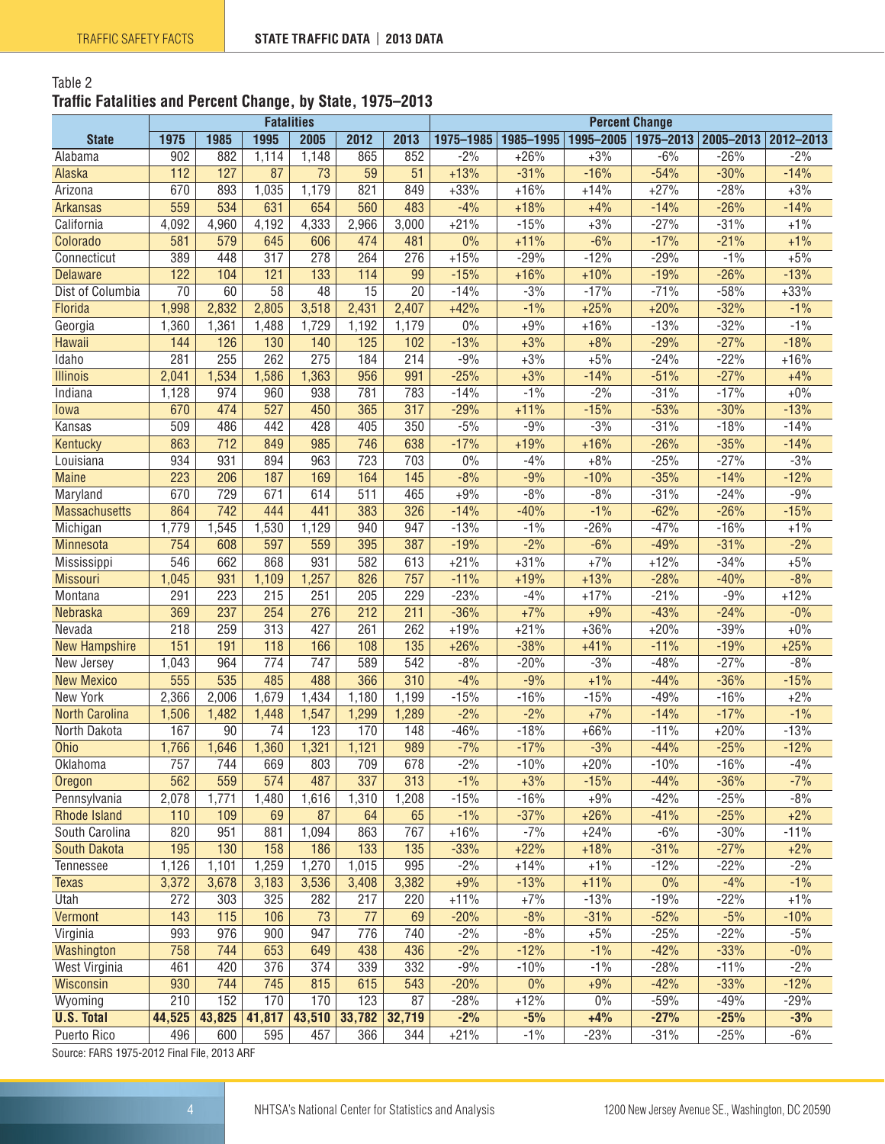#### <span id="page-3-0"></span>Table 2 **Traffic Fatalities and Percent Change, by State, 1975–2013**

| 1975<br>1985<br>2005<br>2012<br>2013<br>1995-2005<br>1975-2013 2005-2013<br>2012-2013<br>1985-1995<br><b>State</b><br>902<br>1,114<br>1,148<br>852<br>$-2%$<br>$+26%$<br>$+3%$<br>$-6%$<br>882<br>865<br>$-26%$<br>$-2%$<br>Alabama<br>$+13%$<br>$-31%$<br>$-16%$<br>$-14%$<br>112<br>127<br>87<br>$\overline{73}$<br>59<br>$\overline{51}$<br>$-54%$<br>$-30%$<br>Alaska<br>1,035<br>1,179<br>$+33%$<br>$+16%$<br>$-28%$<br>$+3%$<br>670<br>893<br>821<br>849<br>$+14%$<br>$+27%$<br>Arizona<br>$+18%$<br>$-26%$<br>$-14%$<br>559<br>534<br>631<br>654<br>560<br>483<br>$-4%$<br>$+4%$<br>$-14%$<br><b>Arkansas</b><br>4,333<br>$+21%$<br>$-15%$<br>$-31%$<br>$+1%$<br>4,092<br>4,960<br>4,192<br>2,966<br>3,000<br>$+3%$<br>$-27%$<br>California<br>$+11%$<br>$-6%$<br>$-21%$<br>$+1%$<br>581<br>579<br>645<br>606<br>474<br>$0\%$<br>$-17%$<br>Colorado<br>481<br>$-12%$<br>$+5%$<br>389<br>448<br>317<br>278<br>264<br>$+15%$<br>$-29%$<br>$-29%$<br>$-1\%$<br>Connecticut<br>276<br>$-13%$<br>122<br>121<br>133<br>114<br>$-15%$<br>$+16%$<br>$+10%$<br>$-19%$<br>$-26%$<br><b>Delaware</b><br>104<br>99<br>$+33%$<br>$\overline{70}$<br>60<br>$\overline{58}$<br>48<br>15<br>$\overline{20}$<br>$-14%$<br>$-3%$<br>$-17%$<br>$-71%$<br>$-58%$<br>Dist of Columbia<br>$-1%$<br>$+25%$<br>$-32%$<br>$-1%$<br>Florida<br>1,998<br>2,832<br>2,805<br>3,518<br>2,431<br>2,407<br>$+42%$<br>$+20%$<br>$-32%$<br>$-1%$<br>1,360<br>0%<br>$+9%$<br>$+16%$<br>$-13%$<br>1,361<br>1,488<br>1,729<br>1,192<br>1,179<br>Georgia<br>$-13%$<br>$+3%$<br>$-27%$<br>$-18%$<br>125<br>$+8%$<br>$-29%$<br>Hawaii<br>144<br>126<br>130<br>140<br>102<br>281<br>262<br>275<br>$-9%$<br>$+3%$<br>$-22%$<br>$+16%$<br>255<br>184<br>214<br>$+5%$<br>$-24%$<br>Idaho<br>1,534<br>1,586<br>$-25%$<br>$+3%$<br>$-51%$<br>$-27%$<br><b>Illinois</b><br>2,041<br>1,363<br>956<br>991<br>$-14%$<br>$+4%$<br>$-1%$<br>1,128<br>974<br>960<br>938<br>781<br>783<br>$-14%$<br>$-2%$<br>$-31%$<br>$-17%$<br>$+0%$<br>Indiana<br>$\overline{527}$<br>$\overline{317}$<br>$+11%$<br>$-15%$<br>$-53%$<br>$-30%$<br>$-13%$<br>670<br>474<br>450<br>365<br>$-29%$<br>lowa<br>$-9%$<br>486<br>442<br>428<br>350<br>$-5%$<br>$-3%$<br>$-31%$<br>$-18%$<br>$-14%$<br>Kansas<br>509<br>405<br>$-17%$<br>712<br>849<br>985<br>746<br>638<br>$+19%$<br>$+16%$<br>$-26%$<br>$-35%$<br>$-14%$<br>863<br>Kentucky<br>$-3%$<br>931<br>894<br>963<br>723<br>703<br>0%<br>$-4%$<br>$+8%$<br>$-25%$<br>$-27%$<br>Louisiana<br>934<br>$-12%$<br>$-8%$<br>$-9%$<br>$-35%$<br>$-14%$<br><b>Maine</b><br>223<br>206<br>187<br>169<br>164<br>145<br>$-10%$<br>$+9%$<br>$-8%$<br>$-9%$<br>729<br>671<br>614<br>511<br>465<br>$-8%$<br>$-31%$<br>$-24%$<br>Maryland<br>670<br>$-15%$<br>742<br>441<br>326<br>$-14%$<br>$-40%$<br>$-1%$<br>$-62%$<br>$-26%$<br><b>Massachusetts</b><br>864<br>444<br>383<br>$-13%$<br>$-1\%$<br>$-16%$<br>$+1%$<br>1,779<br>1,545<br>1,530<br>1,129<br>$-26%$<br>$-47%$<br>Michigan<br>940<br>947<br>$-2%$<br>$-19%$<br>$-2%$<br>$-6%$<br>$-49%$<br>$-31%$<br>754<br>608<br>597<br>559<br>395<br>387<br>Minnesota<br>$+5%$<br>546<br>662<br>868<br>931<br>582<br>$+21%$<br>$+31%$<br>$+7%$<br>$+12%$<br>$-34%$<br>Mississippi<br>613<br>$+13%$<br>$-8%$<br>1,045<br>931<br>1,109<br>1,257<br>826<br>757<br>$-11%$<br>$+19%$<br>$-28%$<br>$-40%$<br>Missouri<br>$+12%$<br>223<br>215<br>251<br>229<br>$-23%$<br>$-4%$<br>$+17%$<br>$-21%$<br>$-9%$<br>Montana<br>291<br>205<br>237<br>254<br>276<br>$-36%$<br>$+7%$<br>$+9%$<br>$-43%$<br>$-24%$<br>$-0%$<br>369<br>212<br>211<br>Nebraska<br>$+0\%$<br>218<br>259<br>313<br>427<br>261<br>262<br>$+19%$<br>$+21%$<br>$+36%$<br>$+20%$<br>$-39%$<br>Nevada<br>$+25%$<br>151<br>118<br>166<br>$+26%$<br>$-38%$<br>$+41%$<br>$-11%$<br>$-19%$<br><b>New Hampshire</b><br>191<br>108<br>135<br>747<br>$-8%$<br>$-3%$<br>$-27%$<br>$-8%$<br>1,043<br>964<br>774<br>589<br>542<br>$-20%$<br>$-48%$<br>New Jersey<br>$-9%$<br>$-15%$<br>555<br>535<br>485<br>488<br>366<br>310<br>$-4%$<br>$+1%$<br>$-44%$<br>$-36%$<br><b>New Mexico</b><br>$+2%$<br>New York<br>2,366<br>2,006<br>1,679<br>1,434<br>1,180<br>1,199<br>$-15%$<br>$-16%$<br>$-15%$<br>$-49%$<br>$-16%$<br>$-2%$<br>$-2%$<br>$+7%$<br>$-17%$<br>$-1%$<br><b>North Carolina</b><br>1,506<br>1,482<br>1,547<br>1,299<br>1,289<br>$-14%$<br>1,448<br>167<br>$\overline{74}$<br>123<br>170<br>$-46%$<br>$-18%$<br>$+66%$<br>$+20%$<br>$-13%$<br>North Dakota<br>90<br>148<br>$-11%$<br>1,321<br>$-7%$<br>$-17%$<br>$-3%$<br>$-12%$<br>1,766<br>1,646<br>1,360<br>1,121<br>989<br>$-44%$<br>$-25%$<br>Ohio<br>Oklahoma<br>757<br>744<br>669<br>803<br>709<br>678<br>$-2%$<br>$-10%$<br>$+20%$<br>$-10%$<br>$-16%$<br>$-4%$<br>574<br>487<br>337<br>$-1%$<br>562<br>559<br>313<br>$+3%$<br>$-15%$<br>$-44%$<br>$-36%$<br>$-7%$<br>Oregon<br>1,208<br>$-15%$<br>$-16%$<br>$-25%$<br>$-8%$<br>2,078<br>1,771<br>1,480<br>1,616<br>1,310<br>$+9%$<br>$-42%$<br>Pennsylvania<br>69<br>$-1%$<br>110<br>109<br>87<br>64<br>65<br>$-37%$<br>$+26%$<br>$-41%$<br>$-25%$<br>$+2%$<br><b>Rhode Island</b><br>951<br>881<br>767<br>$+16%$<br>$-7%$<br>$-11%$<br>South Carolina<br>820<br>1,094<br>863<br>$+24%$<br>$-6%$<br>$-30%$<br>195<br>158<br>186<br>$\overline{133}$<br>$-33%$<br>$+22%$<br>$-27%$<br>$+2%$<br>130<br>135<br>$+18%$<br>$-31%$<br><b>South Dakota</b><br>1,126<br>1,259<br>1,270<br>$-2%$<br>$-2%$<br>1,101<br>1,015<br>995<br>$+14%$<br>$+1%$<br>$-12%$<br>$-22%$<br>Tennessee<br>$+11%$<br>$-1%$<br>3,372<br>3,678<br>3,183<br>3,536<br>3,382<br>$+9%$<br>$-13%$<br>$0\%$<br>$-4%$<br>3,408<br><b>Texas</b><br>272<br>$+1%$<br>Utah<br>303<br>325<br>282<br>217<br>220<br>$+11%$<br>$+7%$<br>$-13%$<br>$-19%$<br>$-22%$<br>$\overline{115}$<br>$\overline{77}$<br>$-8%$<br>$-5%$<br>$-10%$<br>Vermont<br>143<br>106<br>73<br>69<br>$-20%$<br>$-31%$<br>$-52%$<br>947<br>$-5%$<br>Virginia<br>993<br>976<br>900<br>776<br>740<br>$-2%$<br>$-8%$<br>$+5%$<br>$-25%$<br>$-22%$<br>653<br>Washington<br>758<br>744<br>649<br>438<br>436<br>$-2%$<br>$-12%$<br>$-1%$<br>$-42%$<br>$-33%$<br>$-0%$<br>376<br>374<br>332<br>$-9%$<br>$-10%$<br>$-11%$<br>$-2%$<br><b>West Virginia</b><br>461<br>420<br>339<br>$-1%$<br>$-28%$ | <b>Fatalities</b> |  |      |  |  |  |           | <b>Percent Change</b> |  |  |  |  |  |  |  |  |
|--------------------------------------------------------------------------------------------------------------------------------------------------------------------------------------------------------------------------------------------------------------------------------------------------------------------------------------------------------------------------------------------------------------------------------------------------------------------------------------------------------------------------------------------------------------------------------------------------------------------------------------------------------------------------------------------------------------------------------------------------------------------------------------------------------------------------------------------------------------------------------------------------------------------------------------------------------------------------------------------------------------------------------------------------------------------------------------------------------------------------------------------------------------------------------------------------------------------------------------------------------------------------------------------------------------------------------------------------------------------------------------------------------------------------------------------------------------------------------------------------------------------------------------------------------------------------------------------------------------------------------------------------------------------------------------------------------------------------------------------------------------------------------------------------------------------------------------------------------------------------------------------------------------------------------------------------------------------------------------------------------------------------------------------------------------------------------------------------------------------------------------------------------------------------------------------------------------------------------------------------------------------------------------------------------------------------------------------------------------------------------------------------------------------------------------------------------------------------------------------------------------------------------------------------------------------------------------------------------------------------------------------------------------------------------------------------------------------------------------------------------------------------------------------------------------------------------------------------------------------------------------------------------------------------------------------------------------------------------------------------------------------------------------------------------------------------------------------------------------------------------------------------------------------------------------------------------------------------------------------------------------------------------------------------------------------------------------------------------------------------------------------------------------------------------------------------------------------------------------------------------------------------------------------------------------------------------------------------------------------------------------------------------------------------------------------------------------------------------------------------------------------------------------------------------------------------------------------------------------------------------------------------------------------------------------------------------------------------------------------------------------------------------------------------------------------------------------------------------------------------------------------------------------------------------------------------------------------------------------------------------------------------------------------------------------------------------------------------------------------------------------------------------------------------------------------------------------------------------------------------------------------------------------------------------------------------------------------------------------------------------------------------------------------------------------------------------------------------------------------------------------------------------------------------------------------------------------------------------------------------------------------------------------------------------------------------------------------------------------------------------------------------------------------------------------------------------------------------------------------------------------------------------------------------------------------------------------------------------------------------------------------------------------------------------------------------------------------------------------------------------------------------------------------------------------------------------------------------------------------------------------------------------------------------------------------------------------------------------------------------------------------------------------------------------------------------------------------------------------------------------------------------------------------------------------------------------------------------------------------------------------------------------------------------------------------------------------------------------------------------------------------------------------------------------------------------------------------------------------------------------------------------------------------------------------------------------------------|-------------------|--|------|--|--|--|-----------|-----------------------|--|--|--|--|--|--|--|--|
|                                                                                                                                                                                                                                                                                                                                                                                                                                                                                                                                                                                                                                                                                                                                                                                                                                                                                                                                                                                                                                                                                                                                                                                                                                                                                                                                                                                                                                                                                                                                                                                                                                                                                                                                                                                                                                                                                                                                                                                                                                                                                                                                                                                                                                                                                                                                                                                                                                                                                                                                                                                                                                                                                                                                                                                                                                                                                                                                                                                                                                                                                                                                                                                                                                                                                                                                                                                                                                                                                                                                                                                                                                                                                                                                                                                                                                                                                                                                                                                                                                                                                                                                                                                                                                                                                                                                                                                                                                                                                                                                                                                                                                                                                                                                                                                                                                                                                                                                                                                                                                                                                                                                                                                                                                                                                                                                                                                                                                                                                                                                                                                                                                                                                                                                                                                                                                                                                                                                                                                                                                                                                                                                                                                                                    |                   |  | 1995 |  |  |  | 1975-1985 |                       |  |  |  |  |  |  |  |  |
|                                                                                                                                                                                                                                                                                                                                                                                                                                                                                                                                                                                                                                                                                                                                                                                                                                                                                                                                                                                                                                                                                                                                                                                                                                                                                                                                                                                                                                                                                                                                                                                                                                                                                                                                                                                                                                                                                                                                                                                                                                                                                                                                                                                                                                                                                                                                                                                                                                                                                                                                                                                                                                                                                                                                                                                                                                                                                                                                                                                                                                                                                                                                                                                                                                                                                                                                                                                                                                                                                                                                                                                                                                                                                                                                                                                                                                                                                                                                                                                                                                                                                                                                                                                                                                                                                                                                                                                                                                                                                                                                                                                                                                                                                                                                                                                                                                                                                                                                                                                                                                                                                                                                                                                                                                                                                                                                                                                                                                                                                                                                                                                                                                                                                                                                                                                                                                                                                                                                                                                                                                                                                                                                                                                                                    |                   |  |      |  |  |  |           |                       |  |  |  |  |  |  |  |  |
|                                                                                                                                                                                                                                                                                                                                                                                                                                                                                                                                                                                                                                                                                                                                                                                                                                                                                                                                                                                                                                                                                                                                                                                                                                                                                                                                                                                                                                                                                                                                                                                                                                                                                                                                                                                                                                                                                                                                                                                                                                                                                                                                                                                                                                                                                                                                                                                                                                                                                                                                                                                                                                                                                                                                                                                                                                                                                                                                                                                                                                                                                                                                                                                                                                                                                                                                                                                                                                                                                                                                                                                                                                                                                                                                                                                                                                                                                                                                                                                                                                                                                                                                                                                                                                                                                                                                                                                                                                                                                                                                                                                                                                                                                                                                                                                                                                                                                                                                                                                                                                                                                                                                                                                                                                                                                                                                                                                                                                                                                                                                                                                                                                                                                                                                                                                                                                                                                                                                                                                                                                                                                                                                                                                                                    |                   |  |      |  |  |  |           |                       |  |  |  |  |  |  |  |  |
|                                                                                                                                                                                                                                                                                                                                                                                                                                                                                                                                                                                                                                                                                                                                                                                                                                                                                                                                                                                                                                                                                                                                                                                                                                                                                                                                                                                                                                                                                                                                                                                                                                                                                                                                                                                                                                                                                                                                                                                                                                                                                                                                                                                                                                                                                                                                                                                                                                                                                                                                                                                                                                                                                                                                                                                                                                                                                                                                                                                                                                                                                                                                                                                                                                                                                                                                                                                                                                                                                                                                                                                                                                                                                                                                                                                                                                                                                                                                                                                                                                                                                                                                                                                                                                                                                                                                                                                                                                                                                                                                                                                                                                                                                                                                                                                                                                                                                                                                                                                                                                                                                                                                                                                                                                                                                                                                                                                                                                                                                                                                                                                                                                                                                                                                                                                                                                                                                                                                                                                                                                                                                                                                                                                                                    |                   |  |      |  |  |  |           |                       |  |  |  |  |  |  |  |  |
|                                                                                                                                                                                                                                                                                                                                                                                                                                                                                                                                                                                                                                                                                                                                                                                                                                                                                                                                                                                                                                                                                                                                                                                                                                                                                                                                                                                                                                                                                                                                                                                                                                                                                                                                                                                                                                                                                                                                                                                                                                                                                                                                                                                                                                                                                                                                                                                                                                                                                                                                                                                                                                                                                                                                                                                                                                                                                                                                                                                                                                                                                                                                                                                                                                                                                                                                                                                                                                                                                                                                                                                                                                                                                                                                                                                                                                                                                                                                                                                                                                                                                                                                                                                                                                                                                                                                                                                                                                                                                                                                                                                                                                                                                                                                                                                                                                                                                                                                                                                                                                                                                                                                                                                                                                                                                                                                                                                                                                                                                                                                                                                                                                                                                                                                                                                                                                                                                                                                                                                                                                                                                                                                                                                                                    |                   |  |      |  |  |  |           |                       |  |  |  |  |  |  |  |  |
|                                                                                                                                                                                                                                                                                                                                                                                                                                                                                                                                                                                                                                                                                                                                                                                                                                                                                                                                                                                                                                                                                                                                                                                                                                                                                                                                                                                                                                                                                                                                                                                                                                                                                                                                                                                                                                                                                                                                                                                                                                                                                                                                                                                                                                                                                                                                                                                                                                                                                                                                                                                                                                                                                                                                                                                                                                                                                                                                                                                                                                                                                                                                                                                                                                                                                                                                                                                                                                                                                                                                                                                                                                                                                                                                                                                                                                                                                                                                                                                                                                                                                                                                                                                                                                                                                                                                                                                                                                                                                                                                                                                                                                                                                                                                                                                                                                                                                                                                                                                                                                                                                                                                                                                                                                                                                                                                                                                                                                                                                                                                                                                                                                                                                                                                                                                                                                                                                                                                                                                                                                                                                                                                                                                                                    |                   |  |      |  |  |  |           |                       |  |  |  |  |  |  |  |  |
|                                                                                                                                                                                                                                                                                                                                                                                                                                                                                                                                                                                                                                                                                                                                                                                                                                                                                                                                                                                                                                                                                                                                                                                                                                                                                                                                                                                                                                                                                                                                                                                                                                                                                                                                                                                                                                                                                                                                                                                                                                                                                                                                                                                                                                                                                                                                                                                                                                                                                                                                                                                                                                                                                                                                                                                                                                                                                                                                                                                                                                                                                                                                                                                                                                                                                                                                                                                                                                                                                                                                                                                                                                                                                                                                                                                                                                                                                                                                                                                                                                                                                                                                                                                                                                                                                                                                                                                                                                                                                                                                                                                                                                                                                                                                                                                                                                                                                                                                                                                                                                                                                                                                                                                                                                                                                                                                                                                                                                                                                                                                                                                                                                                                                                                                                                                                                                                                                                                                                                                                                                                                                                                                                                                                                    |                   |  |      |  |  |  |           |                       |  |  |  |  |  |  |  |  |
|                                                                                                                                                                                                                                                                                                                                                                                                                                                                                                                                                                                                                                                                                                                                                                                                                                                                                                                                                                                                                                                                                                                                                                                                                                                                                                                                                                                                                                                                                                                                                                                                                                                                                                                                                                                                                                                                                                                                                                                                                                                                                                                                                                                                                                                                                                                                                                                                                                                                                                                                                                                                                                                                                                                                                                                                                                                                                                                                                                                                                                                                                                                                                                                                                                                                                                                                                                                                                                                                                                                                                                                                                                                                                                                                                                                                                                                                                                                                                                                                                                                                                                                                                                                                                                                                                                                                                                                                                                                                                                                                                                                                                                                                                                                                                                                                                                                                                                                                                                                                                                                                                                                                                                                                                                                                                                                                                                                                                                                                                                                                                                                                                                                                                                                                                                                                                                                                                                                                                                                                                                                                                                                                                                                                                    |                   |  |      |  |  |  |           |                       |  |  |  |  |  |  |  |  |
|                                                                                                                                                                                                                                                                                                                                                                                                                                                                                                                                                                                                                                                                                                                                                                                                                                                                                                                                                                                                                                                                                                                                                                                                                                                                                                                                                                                                                                                                                                                                                                                                                                                                                                                                                                                                                                                                                                                                                                                                                                                                                                                                                                                                                                                                                                                                                                                                                                                                                                                                                                                                                                                                                                                                                                                                                                                                                                                                                                                                                                                                                                                                                                                                                                                                                                                                                                                                                                                                                                                                                                                                                                                                                                                                                                                                                                                                                                                                                                                                                                                                                                                                                                                                                                                                                                                                                                                                                                                                                                                                                                                                                                                                                                                                                                                                                                                                                                                                                                                                                                                                                                                                                                                                                                                                                                                                                                                                                                                                                                                                                                                                                                                                                                                                                                                                                                                                                                                                                                                                                                                                                                                                                                                                                    |                   |  |      |  |  |  |           |                       |  |  |  |  |  |  |  |  |
|                                                                                                                                                                                                                                                                                                                                                                                                                                                                                                                                                                                                                                                                                                                                                                                                                                                                                                                                                                                                                                                                                                                                                                                                                                                                                                                                                                                                                                                                                                                                                                                                                                                                                                                                                                                                                                                                                                                                                                                                                                                                                                                                                                                                                                                                                                                                                                                                                                                                                                                                                                                                                                                                                                                                                                                                                                                                                                                                                                                                                                                                                                                                                                                                                                                                                                                                                                                                                                                                                                                                                                                                                                                                                                                                                                                                                                                                                                                                                                                                                                                                                                                                                                                                                                                                                                                                                                                                                                                                                                                                                                                                                                                                                                                                                                                                                                                                                                                                                                                                                                                                                                                                                                                                                                                                                                                                                                                                                                                                                                                                                                                                                                                                                                                                                                                                                                                                                                                                                                                                                                                                                                                                                                                                                    |                   |  |      |  |  |  |           |                       |  |  |  |  |  |  |  |  |
|                                                                                                                                                                                                                                                                                                                                                                                                                                                                                                                                                                                                                                                                                                                                                                                                                                                                                                                                                                                                                                                                                                                                                                                                                                                                                                                                                                                                                                                                                                                                                                                                                                                                                                                                                                                                                                                                                                                                                                                                                                                                                                                                                                                                                                                                                                                                                                                                                                                                                                                                                                                                                                                                                                                                                                                                                                                                                                                                                                                                                                                                                                                                                                                                                                                                                                                                                                                                                                                                                                                                                                                                                                                                                                                                                                                                                                                                                                                                                                                                                                                                                                                                                                                                                                                                                                                                                                                                                                                                                                                                                                                                                                                                                                                                                                                                                                                                                                                                                                                                                                                                                                                                                                                                                                                                                                                                                                                                                                                                                                                                                                                                                                                                                                                                                                                                                                                                                                                                                                                                                                                                                                                                                                                                                    |                   |  |      |  |  |  |           |                       |  |  |  |  |  |  |  |  |
|                                                                                                                                                                                                                                                                                                                                                                                                                                                                                                                                                                                                                                                                                                                                                                                                                                                                                                                                                                                                                                                                                                                                                                                                                                                                                                                                                                                                                                                                                                                                                                                                                                                                                                                                                                                                                                                                                                                                                                                                                                                                                                                                                                                                                                                                                                                                                                                                                                                                                                                                                                                                                                                                                                                                                                                                                                                                                                                                                                                                                                                                                                                                                                                                                                                                                                                                                                                                                                                                                                                                                                                                                                                                                                                                                                                                                                                                                                                                                                                                                                                                                                                                                                                                                                                                                                                                                                                                                                                                                                                                                                                                                                                                                                                                                                                                                                                                                                                                                                                                                                                                                                                                                                                                                                                                                                                                                                                                                                                                                                                                                                                                                                                                                                                                                                                                                                                                                                                                                                                                                                                                                                                                                                                                                    |                   |  |      |  |  |  |           |                       |  |  |  |  |  |  |  |  |
|                                                                                                                                                                                                                                                                                                                                                                                                                                                                                                                                                                                                                                                                                                                                                                                                                                                                                                                                                                                                                                                                                                                                                                                                                                                                                                                                                                                                                                                                                                                                                                                                                                                                                                                                                                                                                                                                                                                                                                                                                                                                                                                                                                                                                                                                                                                                                                                                                                                                                                                                                                                                                                                                                                                                                                                                                                                                                                                                                                                                                                                                                                                                                                                                                                                                                                                                                                                                                                                                                                                                                                                                                                                                                                                                                                                                                                                                                                                                                                                                                                                                                                                                                                                                                                                                                                                                                                                                                                                                                                                                                                                                                                                                                                                                                                                                                                                                                                                                                                                                                                                                                                                                                                                                                                                                                                                                                                                                                                                                                                                                                                                                                                                                                                                                                                                                                                                                                                                                                                                                                                                                                                                                                                                                                    |                   |  |      |  |  |  |           |                       |  |  |  |  |  |  |  |  |
|                                                                                                                                                                                                                                                                                                                                                                                                                                                                                                                                                                                                                                                                                                                                                                                                                                                                                                                                                                                                                                                                                                                                                                                                                                                                                                                                                                                                                                                                                                                                                                                                                                                                                                                                                                                                                                                                                                                                                                                                                                                                                                                                                                                                                                                                                                                                                                                                                                                                                                                                                                                                                                                                                                                                                                                                                                                                                                                                                                                                                                                                                                                                                                                                                                                                                                                                                                                                                                                                                                                                                                                                                                                                                                                                                                                                                                                                                                                                                                                                                                                                                                                                                                                                                                                                                                                                                                                                                                                                                                                                                                                                                                                                                                                                                                                                                                                                                                                                                                                                                                                                                                                                                                                                                                                                                                                                                                                                                                                                                                                                                                                                                                                                                                                                                                                                                                                                                                                                                                                                                                                                                                                                                                                                                    |                   |  |      |  |  |  |           |                       |  |  |  |  |  |  |  |  |
|                                                                                                                                                                                                                                                                                                                                                                                                                                                                                                                                                                                                                                                                                                                                                                                                                                                                                                                                                                                                                                                                                                                                                                                                                                                                                                                                                                                                                                                                                                                                                                                                                                                                                                                                                                                                                                                                                                                                                                                                                                                                                                                                                                                                                                                                                                                                                                                                                                                                                                                                                                                                                                                                                                                                                                                                                                                                                                                                                                                                                                                                                                                                                                                                                                                                                                                                                                                                                                                                                                                                                                                                                                                                                                                                                                                                                                                                                                                                                                                                                                                                                                                                                                                                                                                                                                                                                                                                                                                                                                                                                                                                                                                                                                                                                                                                                                                                                                                                                                                                                                                                                                                                                                                                                                                                                                                                                                                                                                                                                                                                                                                                                                                                                                                                                                                                                                                                                                                                                                                                                                                                                                                                                                                                                    |                   |  |      |  |  |  |           |                       |  |  |  |  |  |  |  |  |
|                                                                                                                                                                                                                                                                                                                                                                                                                                                                                                                                                                                                                                                                                                                                                                                                                                                                                                                                                                                                                                                                                                                                                                                                                                                                                                                                                                                                                                                                                                                                                                                                                                                                                                                                                                                                                                                                                                                                                                                                                                                                                                                                                                                                                                                                                                                                                                                                                                                                                                                                                                                                                                                                                                                                                                                                                                                                                                                                                                                                                                                                                                                                                                                                                                                                                                                                                                                                                                                                                                                                                                                                                                                                                                                                                                                                                                                                                                                                                                                                                                                                                                                                                                                                                                                                                                                                                                                                                                                                                                                                                                                                                                                                                                                                                                                                                                                                                                                                                                                                                                                                                                                                                                                                                                                                                                                                                                                                                                                                                                                                                                                                                                                                                                                                                                                                                                                                                                                                                                                                                                                                                                                                                                                                                    |                   |  |      |  |  |  |           |                       |  |  |  |  |  |  |  |  |
|                                                                                                                                                                                                                                                                                                                                                                                                                                                                                                                                                                                                                                                                                                                                                                                                                                                                                                                                                                                                                                                                                                                                                                                                                                                                                                                                                                                                                                                                                                                                                                                                                                                                                                                                                                                                                                                                                                                                                                                                                                                                                                                                                                                                                                                                                                                                                                                                                                                                                                                                                                                                                                                                                                                                                                                                                                                                                                                                                                                                                                                                                                                                                                                                                                                                                                                                                                                                                                                                                                                                                                                                                                                                                                                                                                                                                                                                                                                                                                                                                                                                                                                                                                                                                                                                                                                                                                                                                                                                                                                                                                                                                                                                                                                                                                                                                                                                                                                                                                                                                                                                                                                                                                                                                                                                                                                                                                                                                                                                                                                                                                                                                                                                                                                                                                                                                                                                                                                                                                                                                                                                                                                                                                                                                    |                   |  |      |  |  |  |           |                       |  |  |  |  |  |  |  |  |
|                                                                                                                                                                                                                                                                                                                                                                                                                                                                                                                                                                                                                                                                                                                                                                                                                                                                                                                                                                                                                                                                                                                                                                                                                                                                                                                                                                                                                                                                                                                                                                                                                                                                                                                                                                                                                                                                                                                                                                                                                                                                                                                                                                                                                                                                                                                                                                                                                                                                                                                                                                                                                                                                                                                                                                                                                                                                                                                                                                                                                                                                                                                                                                                                                                                                                                                                                                                                                                                                                                                                                                                                                                                                                                                                                                                                                                                                                                                                                                                                                                                                                                                                                                                                                                                                                                                                                                                                                                                                                                                                                                                                                                                                                                                                                                                                                                                                                                                                                                                                                                                                                                                                                                                                                                                                                                                                                                                                                                                                                                                                                                                                                                                                                                                                                                                                                                                                                                                                                                                                                                                                                                                                                                                                                    |                   |  |      |  |  |  |           |                       |  |  |  |  |  |  |  |  |
|                                                                                                                                                                                                                                                                                                                                                                                                                                                                                                                                                                                                                                                                                                                                                                                                                                                                                                                                                                                                                                                                                                                                                                                                                                                                                                                                                                                                                                                                                                                                                                                                                                                                                                                                                                                                                                                                                                                                                                                                                                                                                                                                                                                                                                                                                                                                                                                                                                                                                                                                                                                                                                                                                                                                                                                                                                                                                                                                                                                                                                                                                                                                                                                                                                                                                                                                                                                                                                                                                                                                                                                                                                                                                                                                                                                                                                                                                                                                                                                                                                                                                                                                                                                                                                                                                                                                                                                                                                                                                                                                                                                                                                                                                                                                                                                                                                                                                                                                                                                                                                                                                                                                                                                                                                                                                                                                                                                                                                                                                                                                                                                                                                                                                                                                                                                                                                                                                                                                                                                                                                                                                                                                                                                                                    |                   |  |      |  |  |  |           |                       |  |  |  |  |  |  |  |  |
|                                                                                                                                                                                                                                                                                                                                                                                                                                                                                                                                                                                                                                                                                                                                                                                                                                                                                                                                                                                                                                                                                                                                                                                                                                                                                                                                                                                                                                                                                                                                                                                                                                                                                                                                                                                                                                                                                                                                                                                                                                                                                                                                                                                                                                                                                                                                                                                                                                                                                                                                                                                                                                                                                                                                                                                                                                                                                                                                                                                                                                                                                                                                                                                                                                                                                                                                                                                                                                                                                                                                                                                                                                                                                                                                                                                                                                                                                                                                                                                                                                                                                                                                                                                                                                                                                                                                                                                                                                                                                                                                                                                                                                                                                                                                                                                                                                                                                                                                                                                                                                                                                                                                                                                                                                                                                                                                                                                                                                                                                                                                                                                                                                                                                                                                                                                                                                                                                                                                                                                                                                                                                                                                                                                                                    |                   |  |      |  |  |  |           |                       |  |  |  |  |  |  |  |  |
|                                                                                                                                                                                                                                                                                                                                                                                                                                                                                                                                                                                                                                                                                                                                                                                                                                                                                                                                                                                                                                                                                                                                                                                                                                                                                                                                                                                                                                                                                                                                                                                                                                                                                                                                                                                                                                                                                                                                                                                                                                                                                                                                                                                                                                                                                                                                                                                                                                                                                                                                                                                                                                                                                                                                                                                                                                                                                                                                                                                                                                                                                                                                                                                                                                                                                                                                                                                                                                                                                                                                                                                                                                                                                                                                                                                                                                                                                                                                                                                                                                                                                                                                                                                                                                                                                                                                                                                                                                                                                                                                                                                                                                                                                                                                                                                                                                                                                                                                                                                                                                                                                                                                                                                                                                                                                                                                                                                                                                                                                                                                                                                                                                                                                                                                                                                                                                                                                                                                                                                                                                                                                                                                                                                                                    |                   |  |      |  |  |  |           |                       |  |  |  |  |  |  |  |  |
|                                                                                                                                                                                                                                                                                                                                                                                                                                                                                                                                                                                                                                                                                                                                                                                                                                                                                                                                                                                                                                                                                                                                                                                                                                                                                                                                                                                                                                                                                                                                                                                                                                                                                                                                                                                                                                                                                                                                                                                                                                                                                                                                                                                                                                                                                                                                                                                                                                                                                                                                                                                                                                                                                                                                                                                                                                                                                                                                                                                                                                                                                                                                                                                                                                                                                                                                                                                                                                                                                                                                                                                                                                                                                                                                                                                                                                                                                                                                                                                                                                                                                                                                                                                                                                                                                                                                                                                                                                                                                                                                                                                                                                                                                                                                                                                                                                                                                                                                                                                                                                                                                                                                                                                                                                                                                                                                                                                                                                                                                                                                                                                                                                                                                                                                                                                                                                                                                                                                                                                                                                                                                                                                                                                                                    |                   |  |      |  |  |  |           |                       |  |  |  |  |  |  |  |  |
|                                                                                                                                                                                                                                                                                                                                                                                                                                                                                                                                                                                                                                                                                                                                                                                                                                                                                                                                                                                                                                                                                                                                                                                                                                                                                                                                                                                                                                                                                                                                                                                                                                                                                                                                                                                                                                                                                                                                                                                                                                                                                                                                                                                                                                                                                                                                                                                                                                                                                                                                                                                                                                                                                                                                                                                                                                                                                                                                                                                                                                                                                                                                                                                                                                                                                                                                                                                                                                                                                                                                                                                                                                                                                                                                                                                                                                                                                                                                                                                                                                                                                                                                                                                                                                                                                                                                                                                                                                                                                                                                                                                                                                                                                                                                                                                                                                                                                                                                                                                                                                                                                                                                                                                                                                                                                                                                                                                                                                                                                                                                                                                                                                                                                                                                                                                                                                                                                                                                                                                                                                                                                                                                                                                                                    |                   |  |      |  |  |  |           |                       |  |  |  |  |  |  |  |  |
|                                                                                                                                                                                                                                                                                                                                                                                                                                                                                                                                                                                                                                                                                                                                                                                                                                                                                                                                                                                                                                                                                                                                                                                                                                                                                                                                                                                                                                                                                                                                                                                                                                                                                                                                                                                                                                                                                                                                                                                                                                                                                                                                                                                                                                                                                                                                                                                                                                                                                                                                                                                                                                                                                                                                                                                                                                                                                                                                                                                                                                                                                                                                                                                                                                                                                                                                                                                                                                                                                                                                                                                                                                                                                                                                                                                                                                                                                                                                                                                                                                                                                                                                                                                                                                                                                                                                                                                                                                                                                                                                                                                                                                                                                                                                                                                                                                                                                                                                                                                                                                                                                                                                                                                                                                                                                                                                                                                                                                                                                                                                                                                                                                                                                                                                                                                                                                                                                                                                                                                                                                                                                                                                                                                                                    |                   |  |      |  |  |  |           |                       |  |  |  |  |  |  |  |  |
|                                                                                                                                                                                                                                                                                                                                                                                                                                                                                                                                                                                                                                                                                                                                                                                                                                                                                                                                                                                                                                                                                                                                                                                                                                                                                                                                                                                                                                                                                                                                                                                                                                                                                                                                                                                                                                                                                                                                                                                                                                                                                                                                                                                                                                                                                                                                                                                                                                                                                                                                                                                                                                                                                                                                                                                                                                                                                                                                                                                                                                                                                                                                                                                                                                                                                                                                                                                                                                                                                                                                                                                                                                                                                                                                                                                                                                                                                                                                                                                                                                                                                                                                                                                                                                                                                                                                                                                                                                                                                                                                                                                                                                                                                                                                                                                                                                                                                                                                                                                                                                                                                                                                                                                                                                                                                                                                                                                                                                                                                                                                                                                                                                                                                                                                                                                                                                                                                                                                                                                                                                                                                                                                                                                                                    |                   |  |      |  |  |  |           |                       |  |  |  |  |  |  |  |  |
|                                                                                                                                                                                                                                                                                                                                                                                                                                                                                                                                                                                                                                                                                                                                                                                                                                                                                                                                                                                                                                                                                                                                                                                                                                                                                                                                                                                                                                                                                                                                                                                                                                                                                                                                                                                                                                                                                                                                                                                                                                                                                                                                                                                                                                                                                                                                                                                                                                                                                                                                                                                                                                                                                                                                                                                                                                                                                                                                                                                                                                                                                                                                                                                                                                                                                                                                                                                                                                                                                                                                                                                                                                                                                                                                                                                                                                                                                                                                                                                                                                                                                                                                                                                                                                                                                                                                                                                                                                                                                                                                                                                                                                                                                                                                                                                                                                                                                                                                                                                                                                                                                                                                                                                                                                                                                                                                                                                                                                                                                                                                                                                                                                                                                                                                                                                                                                                                                                                                                                                                                                                                                                                                                                                                                    |                   |  |      |  |  |  |           |                       |  |  |  |  |  |  |  |  |
|                                                                                                                                                                                                                                                                                                                                                                                                                                                                                                                                                                                                                                                                                                                                                                                                                                                                                                                                                                                                                                                                                                                                                                                                                                                                                                                                                                                                                                                                                                                                                                                                                                                                                                                                                                                                                                                                                                                                                                                                                                                                                                                                                                                                                                                                                                                                                                                                                                                                                                                                                                                                                                                                                                                                                                                                                                                                                                                                                                                                                                                                                                                                                                                                                                                                                                                                                                                                                                                                                                                                                                                                                                                                                                                                                                                                                                                                                                                                                                                                                                                                                                                                                                                                                                                                                                                                                                                                                                                                                                                                                                                                                                                                                                                                                                                                                                                                                                                                                                                                                                                                                                                                                                                                                                                                                                                                                                                                                                                                                                                                                                                                                                                                                                                                                                                                                                                                                                                                                                                                                                                                                                                                                                                                                    |                   |  |      |  |  |  |           |                       |  |  |  |  |  |  |  |  |
|                                                                                                                                                                                                                                                                                                                                                                                                                                                                                                                                                                                                                                                                                                                                                                                                                                                                                                                                                                                                                                                                                                                                                                                                                                                                                                                                                                                                                                                                                                                                                                                                                                                                                                                                                                                                                                                                                                                                                                                                                                                                                                                                                                                                                                                                                                                                                                                                                                                                                                                                                                                                                                                                                                                                                                                                                                                                                                                                                                                                                                                                                                                                                                                                                                                                                                                                                                                                                                                                                                                                                                                                                                                                                                                                                                                                                                                                                                                                                                                                                                                                                                                                                                                                                                                                                                                                                                                                                                                                                                                                                                                                                                                                                                                                                                                                                                                                                                                                                                                                                                                                                                                                                                                                                                                                                                                                                                                                                                                                                                                                                                                                                                                                                                                                                                                                                                                                                                                                                                                                                                                                                                                                                                                                                    |                   |  |      |  |  |  |           |                       |  |  |  |  |  |  |  |  |
|                                                                                                                                                                                                                                                                                                                                                                                                                                                                                                                                                                                                                                                                                                                                                                                                                                                                                                                                                                                                                                                                                                                                                                                                                                                                                                                                                                                                                                                                                                                                                                                                                                                                                                                                                                                                                                                                                                                                                                                                                                                                                                                                                                                                                                                                                                                                                                                                                                                                                                                                                                                                                                                                                                                                                                                                                                                                                                                                                                                                                                                                                                                                                                                                                                                                                                                                                                                                                                                                                                                                                                                                                                                                                                                                                                                                                                                                                                                                                                                                                                                                                                                                                                                                                                                                                                                                                                                                                                                                                                                                                                                                                                                                                                                                                                                                                                                                                                                                                                                                                                                                                                                                                                                                                                                                                                                                                                                                                                                                                                                                                                                                                                                                                                                                                                                                                                                                                                                                                                                                                                                                                                                                                                                                                    |                   |  |      |  |  |  |           |                       |  |  |  |  |  |  |  |  |
|                                                                                                                                                                                                                                                                                                                                                                                                                                                                                                                                                                                                                                                                                                                                                                                                                                                                                                                                                                                                                                                                                                                                                                                                                                                                                                                                                                                                                                                                                                                                                                                                                                                                                                                                                                                                                                                                                                                                                                                                                                                                                                                                                                                                                                                                                                                                                                                                                                                                                                                                                                                                                                                                                                                                                                                                                                                                                                                                                                                                                                                                                                                                                                                                                                                                                                                                                                                                                                                                                                                                                                                                                                                                                                                                                                                                                                                                                                                                                                                                                                                                                                                                                                                                                                                                                                                                                                                                                                                                                                                                                                                                                                                                                                                                                                                                                                                                                                                                                                                                                                                                                                                                                                                                                                                                                                                                                                                                                                                                                                                                                                                                                                                                                                                                                                                                                                                                                                                                                                                                                                                                                                                                                                                                                    |                   |  |      |  |  |  |           |                       |  |  |  |  |  |  |  |  |
|                                                                                                                                                                                                                                                                                                                                                                                                                                                                                                                                                                                                                                                                                                                                                                                                                                                                                                                                                                                                                                                                                                                                                                                                                                                                                                                                                                                                                                                                                                                                                                                                                                                                                                                                                                                                                                                                                                                                                                                                                                                                                                                                                                                                                                                                                                                                                                                                                                                                                                                                                                                                                                                                                                                                                                                                                                                                                                                                                                                                                                                                                                                                                                                                                                                                                                                                                                                                                                                                                                                                                                                                                                                                                                                                                                                                                                                                                                                                                                                                                                                                                                                                                                                                                                                                                                                                                                                                                                                                                                                                                                                                                                                                                                                                                                                                                                                                                                                                                                                                                                                                                                                                                                                                                                                                                                                                                                                                                                                                                                                                                                                                                                                                                                                                                                                                                                                                                                                                                                                                                                                                                                                                                                                                                    |                   |  |      |  |  |  |           |                       |  |  |  |  |  |  |  |  |
|                                                                                                                                                                                                                                                                                                                                                                                                                                                                                                                                                                                                                                                                                                                                                                                                                                                                                                                                                                                                                                                                                                                                                                                                                                                                                                                                                                                                                                                                                                                                                                                                                                                                                                                                                                                                                                                                                                                                                                                                                                                                                                                                                                                                                                                                                                                                                                                                                                                                                                                                                                                                                                                                                                                                                                                                                                                                                                                                                                                                                                                                                                                                                                                                                                                                                                                                                                                                                                                                                                                                                                                                                                                                                                                                                                                                                                                                                                                                                                                                                                                                                                                                                                                                                                                                                                                                                                                                                                                                                                                                                                                                                                                                                                                                                                                                                                                                                                                                                                                                                                                                                                                                                                                                                                                                                                                                                                                                                                                                                                                                                                                                                                                                                                                                                                                                                                                                                                                                                                                                                                                                                                                                                                                                                    |                   |  |      |  |  |  |           |                       |  |  |  |  |  |  |  |  |
|                                                                                                                                                                                                                                                                                                                                                                                                                                                                                                                                                                                                                                                                                                                                                                                                                                                                                                                                                                                                                                                                                                                                                                                                                                                                                                                                                                                                                                                                                                                                                                                                                                                                                                                                                                                                                                                                                                                                                                                                                                                                                                                                                                                                                                                                                                                                                                                                                                                                                                                                                                                                                                                                                                                                                                                                                                                                                                                                                                                                                                                                                                                                                                                                                                                                                                                                                                                                                                                                                                                                                                                                                                                                                                                                                                                                                                                                                                                                                                                                                                                                                                                                                                                                                                                                                                                                                                                                                                                                                                                                                                                                                                                                                                                                                                                                                                                                                                                                                                                                                                                                                                                                                                                                                                                                                                                                                                                                                                                                                                                                                                                                                                                                                                                                                                                                                                                                                                                                                                                                                                                                                                                                                                                                                    |                   |  |      |  |  |  |           |                       |  |  |  |  |  |  |  |  |
|                                                                                                                                                                                                                                                                                                                                                                                                                                                                                                                                                                                                                                                                                                                                                                                                                                                                                                                                                                                                                                                                                                                                                                                                                                                                                                                                                                                                                                                                                                                                                                                                                                                                                                                                                                                                                                                                                                                                                                                                                                                                                                                                                                                                                                                                                                                                                                                                                                                                                                                                                                                                                                                                                                                                                                                                                                                                                                                                                                                                                                                                                                                                                                                                                                                                                                                                                                                                                                                                                                                                                                                                                                                                                                                                                                                                                                                                                                                                                                                                                                                                                                                                                                                                                                                                                                                                                                                                                                                                                                                                                                                                                                                                                                                                                                                                                                                                                                                                                                                                                                                                                                                                                                                                                                                                                                                                                                                                                                                                                                                                                                                                                                                                                                                                                                                                                                                                                                                                                                                                                                                                                                                                                                                                                    |                   |  |      |  |  |  |           |                       |  |  |  |  |  |  |  |  |
|                                                                                                                                                                                                                                                                                                                                                                                                                                                                                                                                                                                                                                                                                                                                                                                                                                                                                                                                                                                                                                                                                                                                                                                                                                                                                                                                                                                                                                                                                                                                                                                                                                                                                                                                                                                                                                                                                                                                                                                                                                                                                                                                                                                                                                                                                                                                                                                                                                                                                                                                                                                                                                                                                                                                                                                                                                                                                                                                                                                                                                                                                                                                                                                                                                                                                                                                                                                                                                                                                                                                                                                                                                                                                                                                                                                                                                                                                                                                                                                                                                                                                                                                                                                                                                                                                                                                                                                                                                                                                                                                                                                                                                                                                                                                                                                                                                                                                                                                                                                                                                                                                                                                                                                                                                                                                                                                                                                                                                                                                                                                                                                                                                                                                                                                                                                                                                                                                                                                                                                                                                                                                                                                                                                                                    |                   |  |      |  |  |  |           |                       |  |  |  |  |  |  |  |  |
|                                                                                                                                                                                                                                                                                                                                                                                                                                                                                                                                                                                                                                                                                                                                                                                                                                                                                                                                                                                                                                                                                                                                                                                                                                                                                                                                                                                                                                                                                                                                                                                                                                                                                                                                                                                                                                                                                                                                                                                                                                                                                                                                                                                                                                                                                                                                                                                                                                                                                                                                                                                                                                                                                                                                                                                                                                                                                                                                                                                                                                                                                                                                                                                                                                                                                                                                                                                                                                                                                                                                                                                                                                                                                                                                                                                                                                                                                                                                                                                                                                                                                                                                                                                                                                                                                                                                                                                                                                                                                                                                                                                                                                                                                                                                                                                                                                                                                                                                                                                                                                                                                                                                                                                                                                                                                                                                                                                                                                                                                                                                                                                                                                                                                                                                                                                                                                                                                                                                                                                                                                                                                                                                                                                                                    |                   |  |      |  |  |  |           |                       |  |  |  |  |  |  |  |  |
|                                                                                                                                                                                                                                                                                                                                                                                                                                                                                                                                                                                                                                                                                                                                                                                                                                                                                                                                                                                                                                                                                                                                                                                                                                                                                                                                                                                                                                                                                                                                                                                                                                                                                                                                                                                                                                                                                                                                                                                                                                                                                                                                                                                                                                                                                                                                                                                                                                                                                                                                                                                                                                                                                                                                                                                                                                                                                                                                                                                                                                                                                                                                                                                                                                                                                                                                                                                                                                                                                                                                                                                                                                                                                                                                                                                                                                                                                                                                                                                                                                                                                                                                                                                                                                                                                                                                                                                                                                                                                                                                                                                                                                                                                                                                                                                                                                                                                                                                                                                                                                                                                                                                                                                                                                                                                                                                                                                                                                                                                                                                                                                                                                                                                                                                                                                                                                                                                                                                                                                                                                                                                                                                                                                                                    |                   |  |      |  |  |  |           |                       |  |  |  |  |  |  |  |  |
|                                                                                                                                                                                                                                                                                                                                                                                                                                                                                                                                                                                                                                                                                                                                                                                                                                                                                                                                                                                                                                                                                                                                                                                                                                                                                                                                                                                                                                                                                                                                                                                                                                                                                                                                                                                                                                                                                                                                                                                                                                                                                                                                                                                                                                                                                                                                                                                                                                                                                                                                                                                                                                                                                                                                                                                                                                                                                                                                                                                                                                                                                                                                                                                                                                                                                                                                                                                                                                                                                                                                                                                                                                                                                                                                                                                                                                                                                                                                                                                                                                                                                                                                                                                                                                                                                                                                                                                                                                                                                                                                                                                                                                                                                                                                                                                                                                                                                                                                                                                                                                                                                                                                                                                                                                                                                                                                                                                                                                                                                                                                                                                                                                                                                                                                                                                                                                                                                                                                                                                                                                                                                                                                                                                                                    |                   |  |      |  |  |  |           |                       |  |  |  |  |  |  |  |  |
|                                                                                                                                                                                                                                                                                                                                                                                                                                                                                                                                                                                                                                                                                                                                                                                                                                                                                                                                                                                                                                                                                                                                                                                                                                                                                                                                                                                                                                                                                                                                                                                                                                                                                                                                                                                                                                                                                                                                                                                                                                                                                                                                                                                                                                                                                                                                                                                                                                                                                                                                                                                                                                                                                                                                                                                                                                                                                                                                                                                                                                                                                                                                                                                                                                                                                                                                                                                                                                                                                                                                                                                                                                                                                                                                                                                                                                                                                                                                                                                                                                                                                                                                                                                                                                                                                                                                                                                                                                                                                                                                                                                                                                                                                                                                                                                                                                                                                                                                                                                                                                                                                                                                                                                                                                                                                                                                                                                                                                                                                                                                                                                                                                                                                                                                                                                                                                                                                                                                                                                                                                                                                                                                                                                                                    |                   |  |      |  |  |  |           |                       |  |  |  |  |  |  |  |  |
|                                                                                                                                                                                                                                                                                                                                                                                                                                                                                                                                                                                                                                                                                                                                                                                                                                                                                                                                                                                                                                                                                                                                                                                                                                                                                                                                                                                                                                                                                                                                                                                                                                                                                                                                                                                                                                                                                                                                                                                                                                                                                                                                                                                                                                                                                                                                                                                                                                                                                                                                                                                                                                                                                                                                                                                                                                                                                                                                                                                                                                                                                                                                                                                                                                                                                                                                                                                                                                                                                                                                                                                                                                                                                                                                                                                                                                                                                                                                                                                                                                                                                                                                                                                                                                                                                                                                                                                                                                                                                                                                                                                                                                                                                                                                                                                                                                                                                                                                                                                                                                                                                                                                                                                                                                                                                                                                                                                                                                                                                                                                                                                                                                                                                                                                                                                                                                                                                                                                                                                                                                                                                                                                                                                                                    |                   |  |      |  |  |  |           |                       |  |  |  |  |  |  |  |  |
|                                                                                                                                                                                                                                                                                                                                                                                                                                                                                                                                                                                                                                                                                                                                                                                                                                                                                                                                                                                                                                                                                                                                                                                                                                                                                                                                                                                                                                                                                                                                                                                                                                                                                                                                                                                                                                                                                                                                                                                                                                                                                                                                                                                                                                                                                                                                                                                                                                                                                                                                                                                                                                                                                                                                                                                                                                                                                                                                                                                                                                                                                                                                                                                                                                                                                                                                                                                                                                                                                                                                                                                                                                                                                                                                                                                                                                                                                                                                                                                                                                                                                                                                                                                                                                                                                                                                                                                                                                                                                                                                                                                                                                                                                                                                                                                                                                                                                                                                                                                                                                                                                                                                                                                                                                                                                                                                                                                                                                                                                                                                                                                                                                                                                                                                                                                                                                                                                                                                                                                                                                                                                                                                                                                                                    |                   |  |      |  |  |  |           |                       |  |  |  |  |  |  |  |  |
|                                                                                                                                                                                                                                                                                                                                                                                                                                                                                                                                                                                                                                                                                                                                                                                                                                                                                                                                                                                                                                                                                                                                                                                                                                                                                                                                                                                                                                                                                                                                                                                                                                                                                                                                                                                                                                                                                                                                                                                                                                                                                                                                                                                                                                                                                                                                                                                                                                                                                                                                                                                                                                                                                                                                                                                                                                                                                                                                                                                                                                                                                                                                                                                                                                                                                                                                                                                                                                                                                                                                                                                                                                                                                                                                                                                                                                                                                                                                                                                                                                                                                                                                                                                                                                                                                                                                                                                                                                                                                                                                                                                                                                                                                                                                                                                                                                                                                                                                                                                                                                                                                                                                                                                                                                                                                                                                                                                                                                                                                                                                                                                                                                                                                                                                                                                                                                                                                                                                                                                                                                                                                                                                                                                                                    |                   |  |      |  |  |  |           |                       |  |  |  |  |  |  |  |  |
|                                                                                                                                                                                                                                                                                                                                                                                                                                                                                                                                                                                                                                                                                                                                                                                                                                                                                                                                                                                                                                                                                                                                                                                                                                                                                                                                                                                                                                                                                                                                                                                                                                                                                                                                                                                                                                                                                                                                                                                                                                                                                                                                                                                                                                                                                                                                                                                                                                                                                                                                                                                                                                                                                                                                                                                                                                                                                                                                                                                                                                                                                                                                                                                                                                                                                                                                                                                                                                                                                                                                                                                                                                                                                                                                                                                                                                                                                                                                                                                                                                                                                                                                                                                                                                                                                                                                                                                                                                                                                                                                                                                                                                                                                                                                                                                                                                                                                                                                                                                                                                                                                                                                                                                                                                                                                                                                                                                                                                                                                                                                                                                                                                                                                                                                                                                                                                                                                                                                                                                                                                                                                                                                                                                                                    |                   |  |      |  |  |  |           |                       |  |  |  |  |  |  |  |  |
|                                                                                                                                                                                                                                                                                                                                                                                                                                                                                                                                                                                                                                                                                                                                                                                                                                                                                                                                                                                                                                                                                                                                                                                                                                                                                                                                                                                                                                                                                                                                                                                                                                                                                                                                                                                                                                                                                                                                                                                                                                                                                                                                                                                                                                                                                                                                                                                                                                                                                                                                                                                                                                                                                                                                                                                                                                                                                                                                                                                                                                                                                                                                                                                                                                                                                                                                                                                                                                                                                                                                                                                                                                                                                                                                                                                                                                                                                                                                                                                                                                                                                                                                                                                                                                                                                                                                                                                                                                                                                                                                                                                                                                                                                                                                                                                                                                                                                                                                                                                                                                                                                                                                                                                                                                                                                                                                                                                                                                                                                                                                                                                                                                                                                                                                                                                                                                                                                                                                                                                                                                                                                                                                                                                                                    |                   |  |      |  |  |  |           |                       |  |  |  |  |  |  |  |  |
|                                                                                                                                                                                                                                                                                                                                                                                                                                                                                                                                                                                                                                                                                                                                                                                                                                                                                                                                                                                                                                                                                                                                                                                                                                                                                                                                                                                                                                                                                                                                                                                                                                                                                                                                                                                                                                                                                                                                                                                                                                                                                                                                                                                                                                                                                                                                                                                                                                                                                                                                                                                                                                                                                                                                                                                                                                                                                                                                                                                                                                                                                                                                                                                                                                                                                                                                                                                                                                                                                                                                                                                                                                                                                                                                                                                                                                                                                                                                                                                                                                                                                                                                                                                                                                                                                                                                                                                                                                                                                                                                                                                                                                                                                                                                                                                                                                                                                                                                                                                                                                                                                                                                                                                                                                                                                                                                                                                                                                                                                                                                                                                                                                                                                                                                                                                                                                                                                                                                                                                                                                                                                                                                                                                                                    |                   |  |      |  |  |  |           |                       |  |  |  |  |  |  |  |  |
|                                                                                                                                                                                                                                                                                                                                                                                                                                                                                                                                                                                                                                                                                                                                                                                                                                                                                                                                                                                                                                                                                                                                                                                                                                                                                                                                                                                                                                                                                                                                                                                                                                                                                                                                                                                                                                                                                                                                                                                                                                                                                                                                                                                                                                                                                                                                                                                                                                                                                                                                                                                                                                                                                                                                                                                                                                                                                                                                                                                                                                                                                                                                                                                                                                                                                                                                                                                                                                                                                                                                                                                                                                                                                                                                                                                                                                                                                                                                                                                                                                                                                                                                                                                                                                                                                                                                                                                                                                                                                                                                                                                                                                                                                                                                                                                                                                                                                                                                                                                                                                                                                                                                                                                                                                                                                                                                                                                                                                                                                                                                                                                                                                                                                                                                                                                                                                                                                                                                                                                                                                                                                                                                                                                                                    |                   |  |      |  |  |  |           |                       |  |  |  |  |  |  |  |  |
|                                                                                                                                                                                                                                                                                                                                                                                                                                                                                                                                                                                                                                                                                                                                                                                                                                                                                                                                                                                                                                                                                                                                                                                                                                                                                                                                                                                                                                                                                                                                                                                                                                                                                                                                                                                                                                                                                                                                                                                                                                                                                                                                                                                                                                                                                                                                                                                                                                                                                                                                                                                                                                                                                                                                                                                                                                                                                                                                                                                                                                                                                                                                                                                                                                                                                                                                                                                                                                                                                                                                                                                                                                                                                                                                                                                                                                                                                                                                                                                                                                                                                                                                                                                                                                                                                                                                                                                                                                                                                                                                                                                                                                                                                                                                                                                                                                                                                                                                                                                                                                                                                                                                                                                                                                                                                                                                                                                                                                                                                                                                                                                                                                                                                                                                                                                                                                                                                                                                                                                                                                                                                                                                                                                                                    |                   |  |      |  |  |  |           |                       |  |  |  |  |  |  |  |  |
|                                                                                                                                                                                                                                                                                                                                                                                                                                                                                                                                                                                                                                                                                                                                                                                                                                                                                                                                                                                                                                                                                                                                                                                                                                                                                                                                                                                                                                                                                                                                                                                                                                                                                                                                                                                                                                                                                                                                                                                                                                                                                                                                                                                                                                                                                                                                                                                                                                                                                                                                                                                                                                                                                                                                                                                                                                                                                                                                                                                                                                                                                                                                                                                                                                                                                                                                                                                                                                                                                                                                                                                                                                                                                                                                                                                                                                                                                                                                                                                                                                                                                                                                                                                                                                                                                                                                                                                                                                                                                                                                                                                                                                                                                                                                                                                                                                                                                                                                                                                                                                                                                                                                                                                                                                                                                                                                                                                                                                                                                                                                                                                                                                                                                                                                                                                                                                                                                                                                                                                                                                                                                                                                                                                                                    |                   |  |      |  |  |  |           |                       |  |  |  |  |  |  |  |  |
|                                                                                                                                                                                                                                                                                                                                                                                                                                                                                                                                                                                                                                                                                                                                                                                                                                                                                                                                                                                                                                                                                                                                                                                                                                                                                                                                                                                                                                                                                                                                                                                                                                                                                                                                                                                                                                                                                                                                                                                                                                                                                                                                                                                                                                                                                                                                                                                                                                                                                                                                                                                                                                                                                                                                                                                                                                                                                                                                                                                                                                                                                                                                                                                                                                                                                                                                                                                                                                                                                                                                                                                                                                                                                                                                                                                                                                                                                                                                                                                                                                                                                                                                                                                                                                                                                                                                                                                                                                                                                                                                                                                                                                                                                                                                                                                                                                                                                                                                                                                                                                                                                                                                                                                                                                                                                                                                                                                                                                                                                                                                                                                                                                                                                                                                                                                                                                                                                                                                                                                                                                                                                                                                                                                                                    |                   |  |      |  |  |  |           |                       |  |  |  |  |  |  |  |  |
|                                                                                                                                                                                                                                                                                                                                                                                                                                                                                                                                                                                                                                                                                                                                                                                                                                                                                                                                                                                                                                                                                                                                                                                                                                                                                                                                                                                                                                                                                                                                                                                                                                                                                                                                                                                                                                                                                                                                                                                                                                                                                                                                                                                                                                                                                                                                                                                                                                                                                                                                                                                                                                                                                                                                                                                                                                                                                                                                                                                                                                                                                                                                                                                                                                                                                                                                                                                                                                                                                                                                                                                                                                                                                                                                                                                                                                                                                                                                                                                                                                                                                                                                                                                                                                                                                                                                                                                                                                                                                                                                                                                                                                                                                                                                                                                                                                                                                                                                                                                                                                                                                                                                                                                                                                                                                                                                                                                                                                                                                                                                                                                                                                                                                                                                                                                                                                                                                                                                                                                                                                                                                                                                                                                                                    |                   |  |      |  |  |  |           |                       |  |  |  |  |  |  |  |  |
| $-12%$<br>Wisconsin<br>930<br>744<br>745<br>815<br>615<br>543<br>$-20%$<br>$0\%$<br>$+9%$<br>$-42%$<br>$-33%$                                                                                                                                                                                                                                                                                                                                                                                                                                                                                                                                                                                                                                                                                                                                                                                                                                                                                                                                                                                                                                                                                                                                                                                                                                                                                                                                                                                                                                                                                                                                                                                                                                                                                                                                                                                                                                                                                                                                                                                                                                                                                                                                                                                                                                                                                                                                                                                                                                                                                                                                                                                                                                                                                                                                                                                                                                                                                                                                                                                                                                                                                                                                                                                                                                                                                                                                                                                                                                                                                                                                                                                                                                                                                                                                                                                                                                                                                                                                                                                                                                                                                                                                                                                                                                                                                                                                                                                                                                                                                                                                                                                                                                                                                                                                                                                                                                                                                                                                                                                                                                                                                                                                                                                                                                                                                                                                                                                                                                                                                                                                                                                                                                                                                                                                                                                                                                                                                                                                                                                                                                                                                                      |                   |  |      |  |  |  |           |                       |  |  |  |  |  |  |  |  |
| 152<br>170<br>170<br>Wyoming<br>210<br>123<br>87<br>$-28%$<br>$+12%$<br>$0\%$<br>$-59%$<br>$-49%$<br>$-29%$                                                                                                                                                                                                                                                                                                                                                                                                                                                                                                                                                                                                                                                                                                                                                                                                                                                                                                                                                                                                                                                                                                                                                                                                                                                                                                                                                                                                                                                                                                                                                                                                                                                                                                                                                                                                                                                                                                                                                                                                                                                                                                                                                                                                                                                                                                                                                                                                                                                                                                                                                                                                                                                                                                                                                                                                                                                                                                                                                                                                                                                                                                                                                                                                                                                                                                                                                                                                                                                                                                                                                                                                                                                                                                                                                                                                                                                                                                                                                                                                                                                                                                                                                                                                                                                                                                                                                                                                                                                                                                                                                                                                                                                                                                                                                                                                                                                                                                                                                                                                                                                                                                                                                                                                                                                                                                                                                                                                                                                                                                                                                                                                                                                                                                                                                                                                                                                                                                                                                                                                                                                                                                        |                   |  |      |  |  |  |           |                       |  |  |  |  |  |  |  |  |
| 44,525 43,825<br>43,510<br>$-2%$<br>$-3%$<br><b>U.S. Total</b><br>41,817<br>33,782<br>32,719<br>$-5%$<br>$-27%$<br>$-25%$<br>$+4%$                                                                                                                                                                                                                                                                                                                                                                                                                                                                                                                                                                                                                                                                                                                                                                                                                                                                                                                                                                                                                                                                                                                                                                                                                                                                                                                                                                                                                                                                                                                                                                                                                                                                                                                                                                                                                                                                                                                                                                                                                                                                                                                                                                                                                                                                                                                                                                                                                                                                                                                                                                                                                                                                                                                                                                                                                                                                                                                                                                                                                                                                                                                                                                                                                                                                                                                                                                                                                                                                                                                                                                                                                                                                                                                                                                                                                                                                                                                                                                                                                                                                                                                                                                                                                                                                                                                                                                                                                                                                                                                                                                                                                                                                                                                                                                                                                                                                                                                                                                                                                                                                                                                                                                                                                                                                                                                                                                                                                                                                                                                                                                                                                                                                                                                                                                                                                                                                                                                                                                                                                                                                                 |                   |  |      |  |  |  |           |                       |  |  |  |  |  |  |  |  |
| 457<br>$+21%$<br>$-1\%$<br>$-25%$<br>$-6%$<br>Puerto Rico<br>496<br>600<br>595<br>366<br>344<br>$-23%$<br>$-31%$<br>0010.000                                                                                                                                                                                                                                                                                                                                                                                                                                                                                                                                                                                                                                                                                                                                                                                                                                                                                                                                                                                                                                                                                                                                                                                                                                                                                                                                                                                                                                                                                                                                                                                                                                                                                                                                                                                                                                                                                                                                                                                                                                                                                                                                                                                                                                                                                                                                                                                                                                                                                                                                                                                                                                                                                                                                                                                                                                                                                                                                                                                                                                                                                                                                                                                                                                                                                                                                                                                                                                                                                                                                                                                                                                                                                                                                                                                                                                                                                                                                                                                                                                                                                                                                                                                                                                                                                                                                                                                                                                                                                                                                                                                                                                                                                                                                                                                                                                                                                                                                                                                                                                                                                                                                                                                                                                                                                                                                                                                                                                                                                                                                                                                                                                                                                                                                                                                                                                                                                                                                                                                                                                                                                       |                   |  |      |  |  |  |           |                       |  |  |  |  |  |  |  |  |

Source: FARS 1975-2012 Final File, 2013 ARF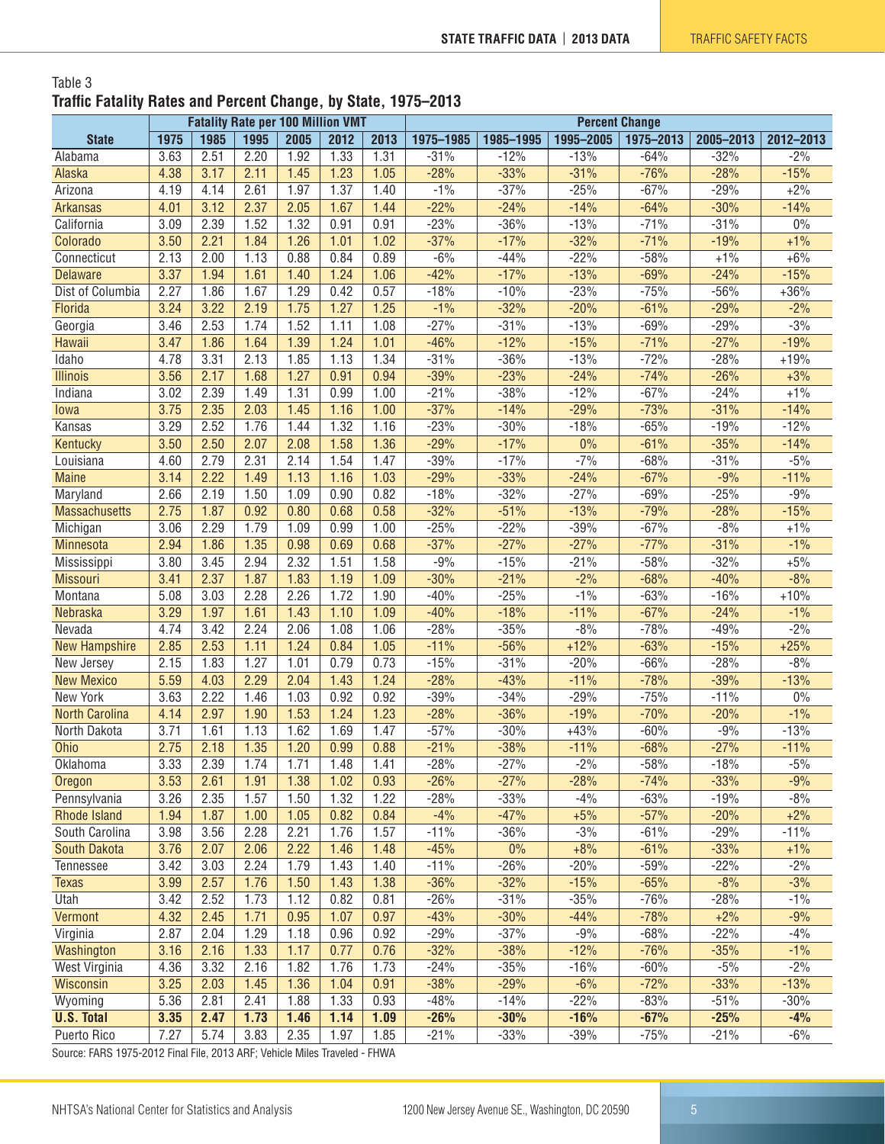#### <span id="page-4-0"></span>Table 3 **Traffic Fatality Rates and Percent Change, by State, 1975–2013**

|                       |                      |      | <b>Fatality Rate per 100 Million VMT</b> |      |      |       |           |           | <b>Percent Change</b> |           |           |           |  |  |
|-----------------------|----------------------|------|------------------------------------------|------|------|-------|-----------|-----------|-----------------------|-----------|-----------|-----------|--|--|
| <b>State</b>          | 1975                 | 1985 | 1995                                     | 2005 | 2012 | 2013  | 1975-1985 | 1985-1995 | 1995-2005             | 1975-2013 | 2005-2013 | 2012-2013 |  |  |
| Alabama               | 3.63                 | 2.51 | 2.20                                     | 1.92 | 1.33 | 1.31  | $-31%$    | $-12%$    | $-13%$                | $-64%$    | $-32%$    | $-2%$     |  |  |
| Alaska                | 4.38                 | 3.17 | 2.11                                     | 1.45 | 1.23 | 1.05  | $-28%$    | $-33%$    | $-31%$                | $-76%$    | $-28%$    | $-15%$    |  |  |
| Arizona               | 4.19                 | 4.14 | 2.61                                     | 1.97 | 1.37 | 1.40  | $-1\%$    | $-37%$    | $-25%$                | $-67%$    | $-29%$    | $+2%$     |  |  |
| <b>Arkansas</b>       | 4.01                 | 3.12 | 2.37                                     | 2.05 | 1.67 | 1.44  | $-22%$    | $-24%$    | $-14%$                | $-64%$    | $-30%$    | $-14%$    |  |  |
| California            | 3.09                 | 2.39 | 1.52                                     | 1.32 | 0.91 | 0.91  | $-23%$    | $-36%$    | $-13%$                | $-71%$    | $-31%$    | $0\%$     |  |  |
| Colorado              | 3.50                 | 2.21 | 1.84                                     | 1.26 | 1.01 | 1.02  | $-37%$    | $-17%$    | $-32%$                | $-71%$    | $-19%$    | $+1%$     |  |  |
| Connecticut           | 2.13                 | 2.00 | 1.13                                     | 0.88 | 0.84 | 0.89  | $-6%$     | $-44%$    | $-22%$                | $-58%$    | $+1%$     | $+6%$     |  |  |
| <b>Delaware</b>       | 3.37                 | 1.94 | 1.61                                     | 1.40 | 1.24 | 1.06  | $-42%$    | $-17%$    | $-13%$                | $-69%$    | $-24%$    | $-15%$    |  |  |
| Dist of Columbia      | 2.27                 | 1.86 | 1.67                                     | 1.29 | 0.42 | 0.57  | $-18%$    | $-10%$    | $-23%$                | $-75%$    | $-56%$    | $+36%$    |  |  |
| Florida               | 3.24<br>3.22<br>2.19 |      | 1.75                                     | 1.27 | 1.25 | $-1%$ | $-32%$    | $-20%$    | $-61%$                | $-29%$    | $-2%$     |           |  |  |
| Georgia               | 2.53<br>3.46         |      | 1.74                                     | 1.52 | 1.11 | 1.08  | $-27%$    | $-31%$    | $-13%$                | $-69%$    | $-29%$    | $-3%$     |  |  |
| <b>Hawaii</b>         | 3.47                 | 1.86 | 1.64                                     | 1.39 | 1.24 | 1.01  | $-46%$    | $-12%$    | $-15%$                | $-71%$    | $-27%$    | $-19%$    |  |  |
| Idaho                 | 4.78                 | 3.31 | 2.13                                     | 1.85 | 1.13 | 1.34  | $-31%$    | $-36%$    | $-13%$                | $-72%$    | $-28%$    | $+19%$    |  |  |
| <b>Illinois</b>       | 3.56                 | 2.17 | 1.68                                     | 1.27 | 0.91 | 0.94  | $-39%$    | $-23%$    | $-24%$                | $-74%$    | $-26%$    | $+3%$     |  |  |
| Indiana               | 3.02                 | 2.39 | 1.49                                     | 1.31 | 0.99 | 1.00  | $-21%$    | $-38%$    | $-12%$                | $-67%$    | $-24%$    | $+1%$     |  |  |
| lowa                  | 3.75                 | 2.35 | 2.03                                     | 1.45 | 1.16 | 1.00  | $-37%$    | $-14%$    | $-29%$                | $-73%$    | $-31%$    | $-14%$    |  |  |
| Kansas                | 3.29                 | 2.52 | 1.76                                     | 1.44 | 1.32 | 1.16  | $-23%$    | $-30%$    | $-18%$                | $-65%$    | $-19%$    | $-12%$    |  |  |
| Kentucky              | 3.50                 | 2.50 | 2.07                                     | 2.08 | 1.58 | 1.36  | $-29%$    | $-17%$    | 0%                    | $-61%$    | $-35%$    | $-14%$    |  |  |
| Louisiana             | 4.60                 | 2.79 | 2.31                                     | 2.14 | 1.54 | 1.47  | $-39%$    | $-17%$    | $-7%$                 | $-68%$    | $-31%$    | $-5%$     |  |  |
| <b>Maine</b>          | 3.14                 | 2.22 | 1.49                                     | 1.13 | 1.16 | 1.03  | $-29%$    | $-33%$    | $-24%$                | $-67%$    | $-9%$     | $-11%$    |  |  |
| Maryland              | 2.66                 | 2.19 | 1.50                                     | 1.09 | 0.90 | 0.82  | $-18%$    | $-32%$    | $-27%$                | $-69%$    | $-25%$    | $-9%$     |  |  |
| <b>Massachusetts</b>  | 2.75                 | 1.87 | 0.92                                     | 0.80 | 0.68 | 0.58  | $-32%$    | $-51%$    | $-13%$                | $-79%$    | $-28%$    | $-15%$    |  |  |
| Michigan              | 3.06                 | 2.29 | 1.79                                     | 1.09 | 0.99 | 1.00  | $-25%$    | $-22%$    | $-39%$                | $-67%$    | $-8%$     | $+1%$     |  |  |
| Minnesota             | 2.94                 | 1.86 | 1.35                                     | 0.98 | 0.69 | 0.68  | $-37%$    | $-27%$    | $-27%$                | $-77%$    | $-31%$    | $-1%$     |  |  |
| Mississippi           | 3.80                 | 3.45 | 2.94                                     | 2.32 | 1.51 | 1.58  | $-9%$     | $-15%$    | $-21%$                | $-58%$    | $-32%$    | $+5%$     |  |  |
| Missouri              | 3.41                 | 2.37 | 1.87                                     | 1.83 | 1.19 | 1.09  | $-30%$    | $-21%$    | $-2%$                 | $-68%$    | $-40%$    | $-8%$     |  |  |
| Montana               | 5.08                 | 3.03 | 2.28                                     | 2.26 | 1.72 | 1.90  | $-40%$    | $-25%$    | $-1\%$                | $-63%$    | $-16%$    | $+10%$    |  |  |
| Nebraska              | 3.29                 | 1.97 | 1.61                                     | 1.43 | 1.10 | 1.09  | $-40%$    | $-18%$    | $-11%$                | $-67%$    | $-24%$    | $-1%$     |  |  |
| Nevada                | 4.74                 | 3.42 | 2.24                                     | 2.06 | 1.08 | 1.06  | $-28%$    | $-35%$    | $-8%$                 | $-78%$    | $-49%$    | $-2%$     |  |  |
| <b>New Hampshire</b>  | 2.85                 | 2.53 | 1.11                                     | 1.24 | 0.84 | 1.05  | $-11%$    | $-56%$    | $+12%$                | $-63%$    | $-15%$    | $+25%$    |  |  |
| New Jersey            | 2.15                 | 1.83 | 1.27                                     | 1.01 | 0.79 | 0.73  | $-15%$    | $-31%$    | $-20%$                | $-66%$    | $-28%$    | $-8%$     |  |  |
| <b>New Mexico</b>     | 5.59                 | 4.03 | 2.29                                     | 2.04 | 1.43 | 1.24  | $-28%$    | $-43%$    | $-11%$                | $-78%$    | $-39%$    | $-13%$    |  |  |
| New York              | 3.63                 | 2.22 | 1.46                                     | 1.03 | 0.92 | 0.92  | $-39%$    | $-34%$    | $-29%$                | $-75%$    | $-11%$    | $0\%$     |  |  |
| <b>North Carolina</b> | 4.14                 | 2.97 | 1.90                                     | 1.53 | 1.24 | 1.23  | $-28%$    | $-36%$    | $-19%$                | $-70%$    | $-20%$    | $-1%$     |  |  |
| North Dakota          | 3.71                 | 1.61 | 1.13                                     | 1.62 | 1.69 | 1.47  | $-57%$    | $-30%$    | $+43%$                | $-60%$    | $-9%$     | $-13%$    |  |  |
| Ohio                  | 2.75                 | 2.18 | 1.35                                     | 1.20 | 0.99 | 0.88  | $-21%$    | $-38%$    | $-11%$                | $-68%$    | $-27%$    | $-11%$    |  |  |
| Oklahoma              | 3.33                 | 2.39 | 1.74                                     | 1.71 | 1.48 | 1.41  | $-28%$    | $-27%$    | $-2%$                 | $-58%$    | $-18%$    | $-5%$     |  |  |
| Oregon                | 3.53                 | 2.61 | 1.91                                     | 1.38 | 1.02 | 0.93  | $-26%$    | $-27%$    | $-28%$                | $-74%$    | $-33%$    | $-9%$     |  |  |
| Pennsylvania          | 3.26                 | 2.35 | 1.57                                     | 1.50 | 1.32 | 1.22  | $-28%$    | $-33%$    | $-4%$                 | $-63%$    | $-19%$    | $-8%$     |  |  |
| <b>Rhode Island</b>   | 1.94                 | 1.87 | 1.00                                     | 1.05 | 0.82 | 0.84  | $-4%$     | $-47%$    | $+5%$                 | $-57%$    | $-20%$    | $+2%$     |  |  |
| South Carolina        | 3.98                 | 3.56 | 2.28                                     | 2.21 | 1.76 | 1.57  | $-11%$    | $-36%$    | $-3%$                 | $-61%$    | $-29%$    | $-11%$    |  |  |
| <b>South Dakota</b>   | 3.76                 | 2.07 | 2.06                                     | 2.22 | 1.46 | 1.48  | $-45%$    | 0%        | $+8%$                 | $-61%$    | $-33%$    | $+1%$     |  |  |
| Tennessee             | 3.42                 | 3.03 | 2.24                                     | 1.79 | 1.43 | 1.40  | $-11%$    | $-26%$    | $-20%$                | $-59%$    | $-22%$    | $-2%$     |  |  |
| <b>Texas</b>          | 3.99                 | 2.57 | 1.76                                     | 1.50 | 1.43 | 1.38  | $-36%$    | $-32%$    | $-15%$                | $-65%$    | $-8%$     | $-3%$     |  |  |
| Utah                  | 3.42                 | 2.52 | 1.73                                     | 1.12 | 0.82 | 0.81  | $-26%$    | $-31%$    | $-35%$                | $-76%$    | $-28%$    | $-1\%$    |  |  |
| Vermont               | 4.32                 | 2.45 | 1.71                                     | 0.95 | 1.07 | 0.97  | $-43%$    | $-30%$    | $-44%$                | $-78%$    | $+2%$     | $-9%$     |  |  |
| Virginia              | 2.87                 | 2.04 | 1.29                                     | 1.18 | 0.96 | 0.92  | $-29%$    | $-37%$    | $-9%$                 | $-68%$    | $-22%$    | $-4%$     |  |  |
| <b>Washington</b>     | 3.16                 | 2.16 | 1.33                                     | 1.17 | 0.77 | 0.76  | $-32%$    | $-38%$    | $-12%$                | $-76%$    | $-35%$    | $-1%$     |  |  |
| West Virginia         | 4.36                 | 3.32 | 2.16                                     | 1.82 | 1.76 | 1.73  | $-24%$    | $-35%$    | $-16%$                | $-60%$    | $-5%$     | $-2%$     |  |  |
| Wisconsin             | 3.25                 | 2.03 | 1.45                                     | 1.36 | 1.04 | 0.91  | $-38%$    | $-29%$    | $-6%$                 | $-72%$    | $-33%$    | $-13%$    |  |  |
| Wyoming               | 5.36                 | 2.81 | 2.41                                     | 1.88 | 1.33 | 0.93  | $-48%$    | $-14%$    | $-22%$                | $-83%$    | $-51%$    | $-30%$    |  |  |
| <b>U.S. Total</b>     | 3.35                 | 2.47 | 1.73                                     | 1.46 | 1.14 | 1.09  | $-26%$    | $-30%$    | $-16%$                | $-67%$    | $-25%$    | $-4%$     |  |  |
| Puerto Rico           | 7.27                 | 5.74 | 3.83                                     | 2.35 | 1.97 | 1.85  | $-21%$    | $-33%$    | $-39%$                | $-75%$    | $-21%$    | $-6%$     |  |  |

Source: FARS 1975-2012 Final File, 2013 ARF; Vehicle Miles Traveled - FHWA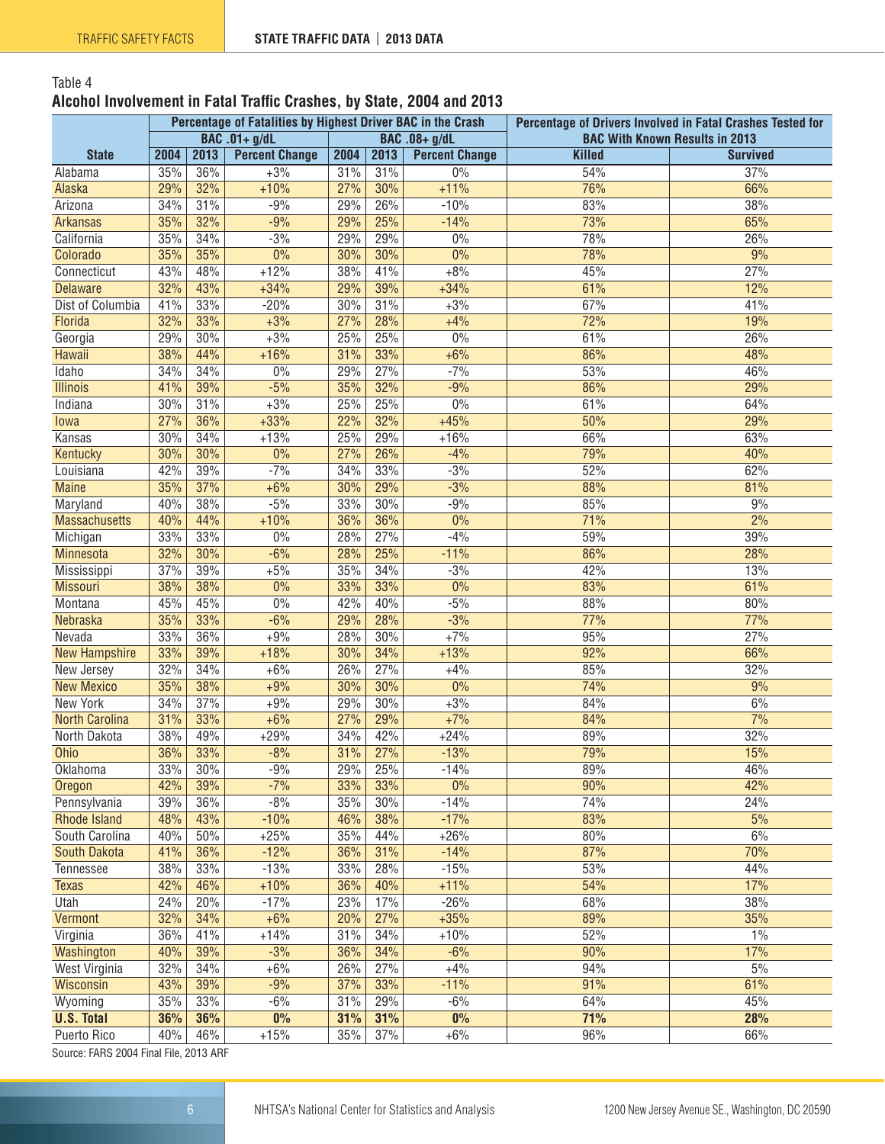#### <span id="page-5-0"></span>Table 4 **Alcohol Involvement in Fatal Traffic Crashes, by State, 2004 and 2013**

|                       |      |               | Percentage of Fatalities by Highest Driver BAC in the Crash |            |      |                       | Percentage of Drivers Involved in Fatal Crashes Tested for |                 |  |  |  |
|-----------------------|------|---------------|-------------------------------------------------------------|------------|------|-----------------------|------------------------------------------------------------|-----------------|--|--|--|
|                       |      |               | BAC .01+ g/dL                                               |            |      | <b>BAC .08+ g/dL</b>  | <b>BAC With Known Results in 2013</b>                      |                 |  |  |  |
| <b>State</b>          | 2004 | 2013          | <b>Percent Change</b>                                       | 2004       | 2013 | <b>Percent Change</b> | <b>Killed</b>                                              | <b>Survived</b> |  |  |  |
| Alabama               | 35%  | 36%           | $+3%$                                                       | 31%        | 31%  | 0%                    | 54%                                                        | 37%             |  |  |  |
| Alaska                | 29%  | 32%           | $+10%$                                                      | 27%        | 30%  | $+11%$                | 76%                                                        | 66%             |  |  |  |
| Arizona               | 34%  | 31%           | $-9%$                                                       | 29%        | 26%  | $-10%$                | 83%                                                        | 38%             |  |  |  |
| <b>Arkansas</b>       | 35%  | 32%           | $-9%$                                                       | 29%        | 25%  | $-14%$                | 73%                                                        | 65%             |  |  |  |
| California            | 35%  | 34%           | $-3%$                                                       | 29%        | 29%  | $0\%$                 | 78%                                                        | 26%             |  |  |  |
| Colorado              | 35%  | 35%           | 0%                                                          | 30%        | 30%  | $0\%$                 | 78%                                                        | 9%              |  |  |  |
| Connecticut           | 43%  | 48%           | $+12%$                                                      | 38%        | 41%  | $+8%$                 | 45%                                                        | 27%             |  |  |  |
| <b>Delaware</b>       | 32%  | 43%           | $+34%$                                                      | 29%        | 39%  | $+34%$                | 61%                                                        | 12%             |  |  |  |
| Dist of Columbia      | 41%  | 33%<br>$-20%$ |                                                             | 31%<br>30% |      | $+3%$                 | 67%                                                        | 41%             |  |  |  |
| Florida               | 32%  | 33%           | $+3%$                                                       | 27%        | 28%  | $+4%$                 | 72%                                                        | 19%             |  |  |  |
| Georgia               | 29%  | 30%           | $+3%$                                                       | 25%        | 25%  | 0%                    | 61%                                                        | 26%             |  |  |  |
| Hawaii                | 38%  | 44%           | $+16%$                                                      | 31%        | 33%  | $+6%$                 | 86%                                                        | 48%             |  |  |  |
| Idaho                 | 34%  | 34%           | 0%                                                          | 29%        | 27%  | $-7%$                 | 53%                                                        | 46%             |  |  |  |
| <b>Illinois</b>       | 41%  | 39%           | $-5%$                                                       | 35%        | 32%  | $-9%$                 | 86%                                                        | 29%             |  |  |  |
| Indiana               | 30%  | 31%           | $+3%$                                                       | 25%        | 25%  | 0%                    | 61%                                                        | 64%             |  |  |  |
| lowa                  | 27%  | 36%           | $+33%$                                                      | 22%        | 32%  | $+45%$                | 50%                                                        | 29%             |  |  |  |
| Kansas                | 30%  | 34%           | $+13%$                                                      | 25%        | 29%  | $+16%$                | 66%                                                        | 63%             |  |  |  |
| Kentucky              | 30%  | 30%           | $\overline{0\%}$                                            | 27%        | 26%  | $-4%$                 | 79%                                                        | 40%             |  |  |  |
| Louisiana             | 42%  | 39%           | $-7%$                                                       | 34%        | 33%  | $-3%$                 | 52%                                                        | 62%             |  |  |  |
| <b>Maine</b>          | 35%  | 37%           | $+6%$                                                       | 30%        | 29%  | $-3%$                 | 88%                                                        | 81%             |  |  |  |
| Maryland              | 40%  | 38%           | $-5%$                                                       | 33%        | 30%  | $-9%$                 | 85%                                                        | 9%              |  |  |  |
| <b>Massachusetts</b>  | 40%  | 44%           | $+10%$                                                      | 36%        | 36%  | 0%                    | 71%                                                        | 2%              |  |  |  |
| Michigan              | 33%  | 33%           | 0%                                                          | 28%        | 27%  | $-4%$                 | 59%                                                        | 39%             |  |  |  |
| Minnesota             | 32%  | 30%           | $-6%$                                                       | 28%        | 25%  | $-11%$                | 86%                                                        | 28%             |  |  |  |
| Mississippi           | 37%  | 39%           | $+5%$                                                       | 35%        | 34%  | $-3%$                 | 42%                                                        | 13%             |  |  |  |
| <b>Missouri</b>       | 38%  | 38%           | 0%                                                          | 33%        | 33%  | 0%                    | 83%                                                        | 61%             |  |  |  |
| Montana               | 45%  | 45%           | 0%                                                          | 42%        | 40%  | $-5%$                 | 88%                                                        | 80%             |  |  |  |
| Nebraska              | 35%  | 33%           | $-6%$                                                       | 29%        | 28%  | $-3%$                 | 77%                                                        | 77%             |  |  |  |
| Nevada                | 33%  | 36%           | $+9%$                                                       | 28%        | 30%  | $+7%$                 | 95%                                                        | 27%             |  |  |  |
| <b>New Hampshire</b>  | 33%  | 39%           | $+18%$                                                      | 30%        | 34%  | $+13%$                | 92%                                                        | 66%             |  |  |  |
| New Jersey            | 32%  | 34%           | $+6%$                                                       | 26%        | 27%  | $+4%$                 | 85%                                                        | 32%             |  |  |  |
| <b>New Mexico</b>     | 35%  | 38%           | $+9%$                                                       | 30%        | 30%  | 0%                    | 74%                                                        | 9%              |  |  |  |
| New York              | 34%  | 37%           | $+9%$                                                       | 29%        | 30%  | $+3%$                 | 84%                                                        | 6%              |  |  |  |
| <b>North Carolina</b> | 31%  | 33%           | $+6%$                                                       | 27%        | 29%  | $+7%$                 | 84%                                                        | 7%              |  |  |  |
| North Dakota          | 38%  | 49%           | $+29%$                                                      | 34%        | 42%  | $+24%$                | 89%                                                        | 32%             |  |  |  |
| Ohio                  | 36%  | 33%           | $-8%$                                                       | 31%        | 27%  | $-13%$                | 79%                                                        | 15%             |  |  |  |
| Oklahoma              | 33%  | 30%           | $-9%$                                                       | 29%        | 25%  | $-14%$                | 89%                                                        | 46%             |  |  |  |
| Oregon                | 42%  | 39%           | $-7%$                                                       | 33%        | 33%  | $0\%$                 | 90%                                                        | 42%             |  |  |  |
| Pennsylvania          | 39%  | 36%           | $-8%$                                                       | 35%        | 30%  | $-14%$                | 74%                                                        | 24%             |  |  |  |
| <b>Rhode Island</b>   | 48%  | 43%           | $-10%$                                                      | 46%        | 38%  | $-17%$                | 83%                                                        | 5%              |  |  |  |
| South Carolina        | 40%  | 50%           | $+25%$                                                      | 35%        | 44%  | $+26%$                | 80%                                                        | 6%              |  |  |  |
| <b>South Dakota</b>   | 41%  | 36%           | $-12%$                                                      | 36%        | 31%  | $-14%$                | 87%                                                        | 70%             |  |  |  |
| Tennessee             | 38%  | 33%           | $-13%$                                                      | 33%        | 28%  | $-15%$                | 53%                                                        | 44%             |  |  |  |
| <b>Texas</b>          | 42%  | 46%           | $+10%$                                                      | 36%        | 40%  | $+11%$                | 54%                                                        | 17%             |  |  |  |
| Utah                  | 24%  | 20%           | $-17%$                                                      | 23%        | 17%  | $-26%$                | 68%                                                        | 38%             |  |  |  |
|                       |      |               |                                                             |            |      |                       |                                                            |                 |  |  |  |
| Vermont               | 32%  | 34%           | $+6%$                                                       | 20%        | 27%  | $+35%$                | 89%<br>52%                                                 | 35%<br>1%       |  |  |  |
| Virginia              | 36%  | 41%           | $+14%$                                                      | 31%        | 34%  | $+10%$                |                                                            |                 |  |  |  |
| Washington            | 40%  | 39%           | $-3%$                                                       | 36%        | 34%  | $-6%$                 | 90%                                                        | 17%             |  |  |  |
| West Virginia         | 32%  | 34%           | $+6%$                                                       | 26%        | 27%  | $+4%$                 | 94%                                                        | 5%              |  |  |  |
| <b>Wisconsin</b>      | 43%  | 39%           | $-9%$                                                       | 37%        | 33%  | $-11%$                | 91%                                                        | 61%             |  |  |  |
| Wyoming               | 35%  | 33%           | $-6%$                                                       | 31%        | 29%  | $-6%$                 | 64%                                                        | 45%             |  |  |  |
| <b>U.S. Total</b>     | 36%  | 36%           | 0%                                                          | 31%        | 31%  | $0\%$                 | 71%                                                        | 28%             |  |  |  |
| Puerto Rico           | 40%  | 46%           | $+15%$                                                      | 35%        | 37%  | $+6%$                 | 96%                                                        | 66%             |  |  |  |

Source: FARS 2004 Final File, 2013 ARF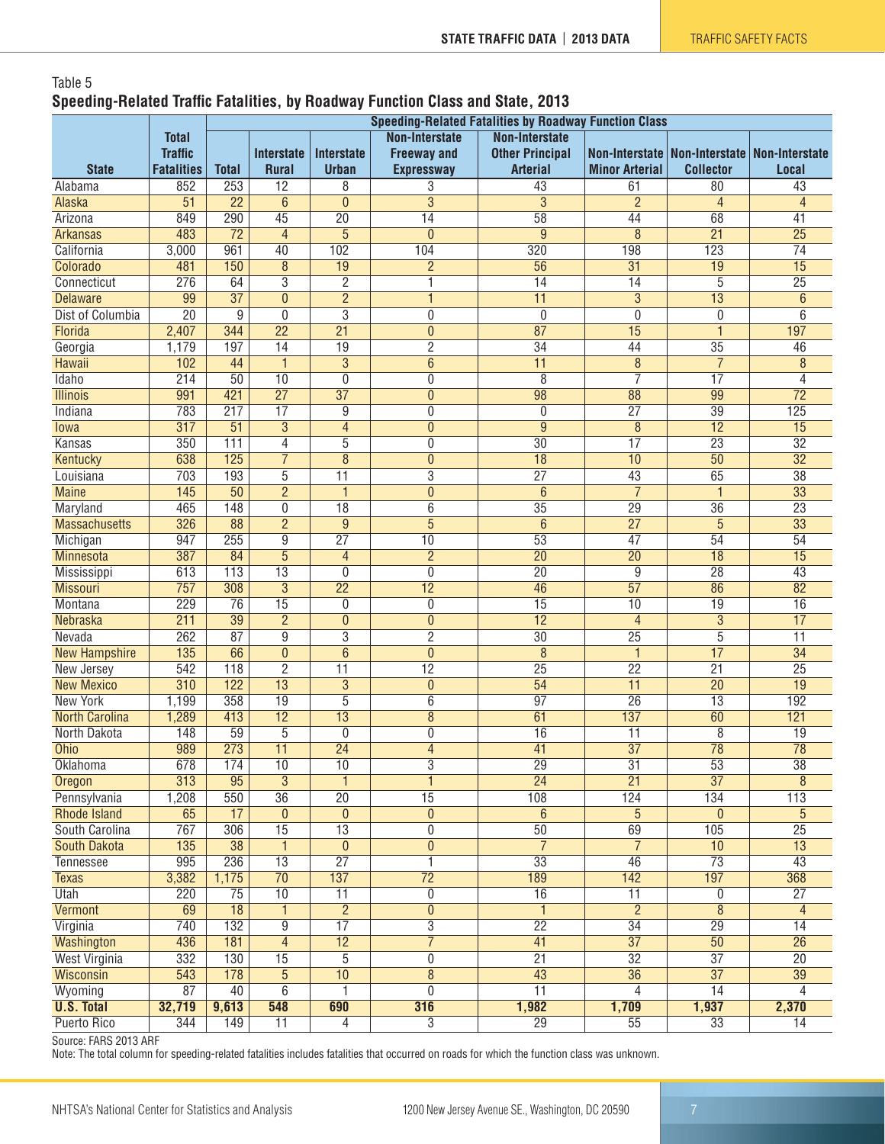#### <span id="page-6-0"></span>Table 5 **Speeding-Related Traffic Fatalities, by Roadway Function Class and State, 2013**

|                                |                   |                                     |                                  |                     | <b>Speeding-Related Fatalities by Roadway Function Class</b> |                                    |                                    |                                                  |                       |
|--------------------------------|-------------------|-------------------------------------|----------------------------------|---------------------|--------------------------------------------------------------|------------------------------------|------------------------------------|--------------------------------------------------|-----------------------|
|                                | <b>Total</b>      |                                     |                                  |                     | <b>Non-Interstate</b>                                        | <b>Non-Interstate</b>              |                                    |                                                  |                       |
|                                | <b>Traffic</b>    |                                     | <b>Interstate</b>                | <b>Interstate</b>   | <b>Freeway and</b>                                           | <b>Other Principal</b>             |                                    | Non-Interstate   Non-Interstate   Non-Interstate |                       |
| <b>State</b>                   | <b>Fatalities</b> | <b>Total</b>                        | <b>Rural</b>                     | <b>Urban</b>        | <b>Expressway</b>                                            | <b>Arterial</b>                    | <b>Minor Arterial</b>              | <b>Collector</b>                                 | Local                 |
| Alabama                        | 852               | 253                                 | $\overline{12}$                  | 8                   | 3                                                            | $\overline{43}$                    | 61                                 | $\overline{80}$                                  | $\overline{43}$       |
| Alaska                         | $\overline{51}$   | $\overline{22}$                     | 6                                | $\mathbf{0}$        | 3                                                            | $\overline{3}$                     | $\overline{2}$                     | $\overline{4}$                                   | 4                     |
| Arizona                        | 849               | 290                                 | 45                               | $\overline{20}$     | $\overline{14}$                                              | $\overline{58}$                    | 44                                 | 68                                               | 41                    |
| <b>Arkansas</b>                | 483               | $\overline{72}$                     | 4                                | 5                   | $\overline{0}$                                               | 9                                  | 8                                  | $\overline{21}$                                  | $\overline{25}$       |
| California                     | 3,000             | 961                                 | $\overline{40}$                  | 102                 | 104                                                          | 320                                | 198                                | 123                                              | $\overline{74}$       |
| Colorado                       | 481               | 150                                 | 8                                | $\overline{19}$     | $\overline{c}$                                               | $\overline{56}$                    | $\overline{31}$                    | $\overline{19}$                                  | $\overline{15}$       |
| Connecticut                    | 276               | 64                                  | $\overline{3}$                   | $\overline{2}$      | $\overline{\mathbf{1}}$                                      | $\overline{14}$                    | $\overline{14}$                    | $\overline{5}$                                   | $\overline{25}$       |
| <b>Delaware</b>                | 99                | $\overline{37}$                     | $\overline{0}$                   | $\overline{2}$      | $\overline{1}$                                               | $\overline{11}$                    | $\overline{3}$                     | 13                                               | $6\overline{6}$       |
| <b>Dist of Columbia</b>        | $\overline{20}$   | 9                                   | 0                                | $\overline{3}$      | 0                                                            | $\mathbf{0}$                       | 0                                  | 0                                                | 6                     |
| Florida                        | 2,407             | 344                                 | $\overline{22}$                  | $\overline{21}$     | $\mathbf{0}$                                                 | $\overline{87}$                    | $\overline{15}$                    | $\overline{\phantom{a}}$                         | 197                   |
| Georgia                        | 1,179             | 197                                 | 14                               | $\overline{19}$     | $\overline{2}$                                               | $\overline{34}$                    | 44                                 | $\overline{35}$                                  | 46                    |
| <b>Hawaii</b>                  | 102               | 44                                  | 1                                | $\overline{3}$      | $\overline{6}$                                               | $\overline{11}$                    | $\overline{8}$                     | $\overline{7}$                                   | 8                     |
| Idaho                          | 214               | $\overline{50}$                     | $\overline{10}$                  | 0                   | 0                                                            | $\overline{8}$                     | $\overline{7}$                     | $\overline{17}$                                  | 4                     |
| <b>Illinois</b>                | 991               | 421                                 | $\overline{27}$                  | $\overline{37}$     | $\overline{0}$                                               | 98                                 | $\overline{88}$                    | 99                                               | $\overline{72}$       |
| Indiana                        | 783               | 217                                 | $\overline{17}$                  | $\overline{9}$      | 0                                                            | $\overline{0}$                     | $\overline{27}$                    | $\overline{39}$                                  | 125                   |
| lowa                           | $\overline{317}$  | $\overline{51}$                     | 3                                | $\overline{4}$      | $\mathbf{0}$                                                 | $\overline{9}$                     | 8                                  | $\overline{12}$                                  | $\overline{15}$       |
| Kansas                         | 350               | 111                                 | $\overline{4}$                   | $\overline{5}$      | 0                                                            | $\overline{30}$                    | $\overline{17}$                    | $\overline{23}$                                  | $\overline{32}$       |
| Kentucky                       | 638               | 125                                 | $\overline{7}$                   | $\overline{8}$      | $\bf{0}$                                                     | 18                                 | 10                                 | 50                                               | 32                    |
| Louisiana                      | 703               | 193                                 | 5                                | $\overline{11}$     | 3                                                            | $\overline{27}$                    | $\overline{43}$                    | 65                                               | $\overline{38}$       |
| <b>Maine</b>                   | 145               | $\overline{50}$                     | $\overline{2}$                   | $\mathbf{1}$        | $\mathbf{0}$                                                 | 6                                  | $\overline{7}$                     | $\mathbf{1}$                                     | $\overline{33}$       |
| Maryland                       | 465               | $\overline{148}$<br>$\overline{88}$ | $\overline{0}$                   | $\overline{18}$     | $\overline{6}$                                               | $\overline{35}$                    | $\overline{29}$<br>$\overline{27}$ | $\overline{36}$                                  | $\overline{23}$       |
| <b>Massachusetts</b>           | 326               | 255                                 | $\overline{2}$                   | $\overline{9}$      | $\overline{5}$                                               | $\overline{6}$<br>$\overline{53}$  |                                    | $\overline{5}$                                   | 33                    |
| Michigan                       | 947               | 84                                  | $\overline{9}$<br>$\overline{5}$ | $\overline{27}$     | $\overline{10}$                                              |                                    | $\overline{47}$                    | $\overline{54}$<br>$\overline{18}$               | $\overline{54}$       |
| <b>Minnesota</b>               | 387<br>613        | 113                                 | $\overline{13}$                  | $\overline{4}$<br>0 | $\overline{2}$<br>0                                          | $\overline{20}$<br>$\overline{20}$ | $\overline{20}$<br>9               | $\overline{28}$                                  | $\overline{15}$<br>43 |
| Mississippi<br><b>Missouri</b> | $\overline{757}$  | 308                                 | $\overline{3}$                   | $\overline{22}$     | $\overline{12}$                                              | 46                                 | $\overline{57}$                    | $\overline{86}$                                  | 82                    |
| Montana                        | 229               | $\overline{76}$                     | $\overline{15}$                  | 0                   | 0                                                            | $\overline{15}$                    | $\overline{10}$                    | $\overline{19}$                                  | $\overline{16}$       |
| Nebraska                       | 211               | 39                                  | $\overline{2}$                   | $\overline{0}$      | $\overline{0}$                                               | $\overline{12}$                    | $\overline{4}$                     | $\overline{3}$                                   | 17                    |
| Nevada                         | $\overline{262}$  | $\overline{87}$                     | $\overline{9}$                   | $\overline{3}$      | $\overline{2}$                                               | $\overline{30}$                    | $\overline{25}$                    | $\overline{5}$                                   | $\overline{11}$       |
| <b>New Hampshire</b>           | 135               | 66                                  | $\overline{0}$                   | $\overline{6}$      | $\mathbf{0}$                                                 | $\overline{8}$                     | 1                                  | $\overline{17}$                                  | $\overline{34}$       |
| New Jersey                     | 542               | 118                                 | $\overline{2}$                   | $\overline{11}$     | $\overline{12}$                                              | $\overline{25}$                    | $\overline{22}$                    | $\overline{21}$                                  | $\overline{25}$       |
| <b>New Mexico</b>              | 310               | 122                                 | 13                               | $\overline{3}$      | 0                                                            | 54                                 | 11                                 | $\overline{20}$                                  | 19                    |
| New York                       | 1,199             | 358                                 | $\overline{19}$                  | $\overline{5}$      | 6                                                            | $\overline{97}$                    | $\overline{26}$                    | $\overline{13}$                                  | 192                   |
| <b>North Carolina</b>          | 1,289             | $\overline{413}$                    | $\overline{12}$                  | $\overline{13}$     | $\overline{8}$                                               | 61                                 | 137                                | 60                                               | 121                   |
| North Dakota                   | 148               | $\overline{59}$                     | $\overline{5}$                   | $\overline{0}$      | $\overline{0}$                                               | $\overline{16}$                    | $\overline{11}$                    | $\overline{8}$                                   | $\overline{19}$       |
| Ohio                           | 989               | 273                                 | $\overline{11}$                  | $\overline{24}$     | $\overline{4}$                                               | $\overline{41}$                    | $\overline{37}$                    | $\overline{78}$                                  | $\overline{78}$       |
| Oklahoma                       | 678               | 174                                 | 10                               | 10                  | $\overline{3}$                                               | 29                                 | $\overline{31}$                    | 53                                               | $\overline{38}$       |
| Oregon                         | 313               | $\overline{95}$                     | $\overline{3}$                   | $\mathbf{1}$        | $\overline{1}$                                               | $\overline{24}$                    | $\overline{21}$                    | $\overline{37}$                                  | 8                     |
| Pennsylvania                   | 1,208             | 550                                 | $\overline{36}$                  | $\overline{20}$     | $\overline{15}$                                              | 108                                | 124                                | 134                                              | 113                   |
| <b>Rhode Island</b>            | 65                | 17                                  | $\overline{0}$                   | $\overline{0}$      | $\overline{0}$                                               | $6\overline{6}$                    | $\overline{5}$                     | $\mathbf{0}$                                     | 5                     |
| South Carolina                 | 767               | $\overline{306}$                    | $\overline{15}$                  | $\overline{13}$     | $\overline{0}$                                               | $\overline{50}$                    | 69                                 | 105                                              | $\overline{25}$       |
| <b>South Dakota</b>            | 135               | $\overline{38}$                     | $\overline{1}$                   | $\overline{0}$      | $\overline{0}$                                               | $\overline{7}$                     | $\overline{7}$                     | 10                                               | 13                    |
| Tennessee                      | 995               | 236                                 | $\overline{13}$                  | $\overline{27}$     | ī                                                            | $\overline{33}$                    | $\overline{46}$                    | $\overline{73}$                                  | $\overline{43}$       |
| <b>Texas</b>                   | 3,382             | 1,175                               | $\overline{70}$                  | 137                 | $\overline{72}$                                              | 189                                | 142                                | 197                                              | 368                   |
| <b>Utah</b>                    | 220               | $\overline{75}$                     | 10                               | $\overline{11}$     | 0                                                            | $\overline{16}$                    | $\overline{11}$                    | $\overline{0}$                                   | $\overline{27}$       |
| Vermont                        | 69                | 18                                  | $\mathbf{1}$                     | $\overline{2}$      | $\overline{0}$                                               | $\mathbf{1}$                       | $\overline{2}$                     | $\overline{8}$                                   | $\overline{4}$        |
| Virginia                       | 740               | 132                                 | $\overline{9}$                   | $\overline{17}$     | 3                                                            | $\overline{22}$                    | $\overline{34}$                    | $\overline{29}$                                  | 14                    |
| <b>Washington</b>              | 436               | 181                                 | $\overline{4}$                   | $\overline{12}$     | $\overline{7}$                                               | $\overline{41}$                    | $\overline{37}$                    | $\overline{50}$                                  | $\overline{26}$       |
| <b>West Virginia</b>           | 332               | $\overline{130}$                    | $\overline{15}$                  | $\overline{5}$      | $\overline{0}$                                               | $\overline{21}$                    | $\overline{32}$                    | $\overline{37}$                                  | $\overline{20}$       |
| <b>Wisconsin</b>               | 543               | 178                                 | $\overline{5}$                   | 10                  | $\overline{8}$                                               | 43                                 | 36                                 | $\overline{37}$                                  | 39                    |
| Wyoming                        | $\overline{87}$   | $\overline{40}$                     | 6                                | 1                   | 0                                                            | $\overline{11}$                    | 4                                  | $\overline{14}$                                  | 4                     |
| <b>U.S. Total</b>              | 32,719            | 9,613                               | 548                              | 690                 | 316                                                          | 1,982                              | 1,709                              | 1,937                                            | 2,370                 |
| Puerto Rico                    | $\overline{344}$  | 149                                 | 11                               | 4                   | 3                                                            | $\overline{29}$                    | $\overline{55}$                    | $\overline{33}$                                  | 14                    |

Source: FARS 2013 ARF

Note: The total column for speeding-related fatalities includes fatalities that occurred on roads for which the function class was unknown.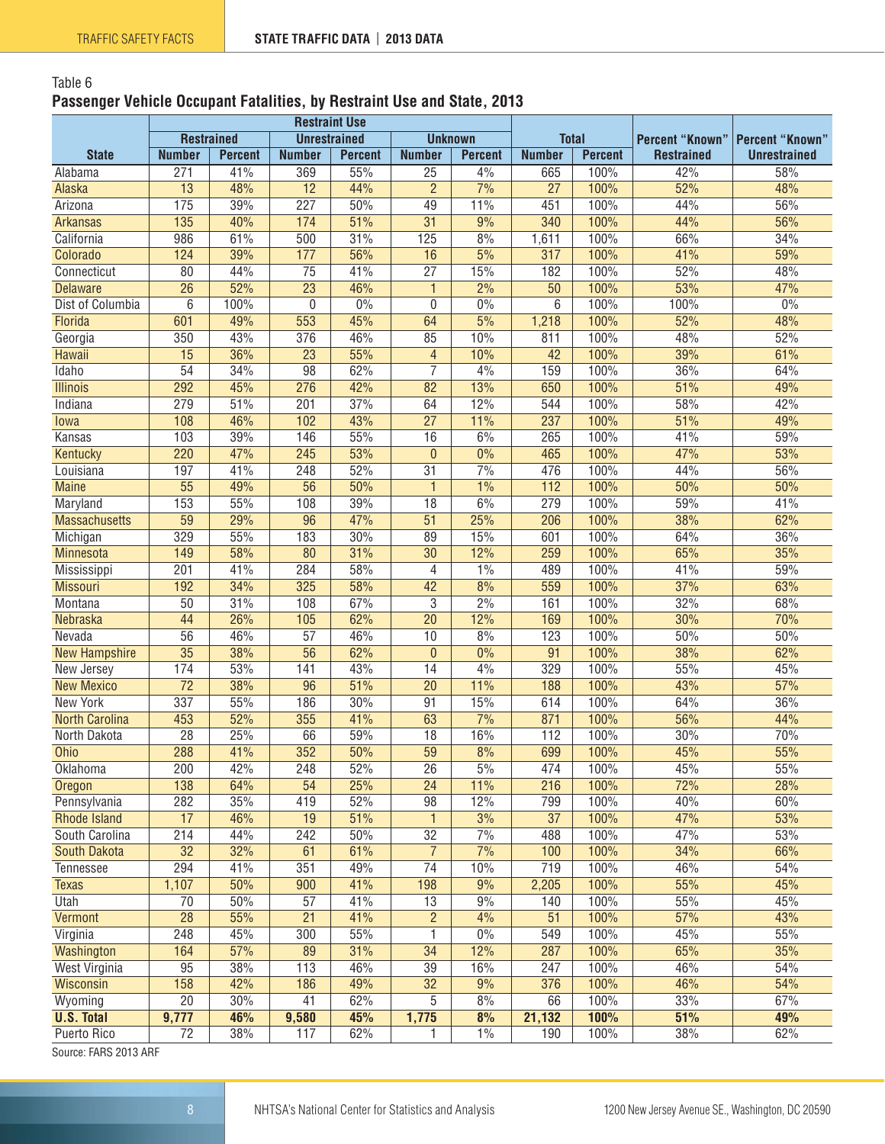#### <span id="page-7-0"></span>Table 6 **Passenger Vehicle Occupant Fatalities, by Restraint Use and State, 2013**

|                       |                  |                   | <b>Restraint Use</b> |                |                 |                  |                  |                |                        |                     |
|-----------------------|------------------|-------------------|----------------------|----------------|-----------------|------------------|------------------|----------------|------------------------|---------------------|
|                       |                  | <b>Restrained</b> | <b>Unrestrained</b>  |                |                 | <b>Unknown</b>   | <b>Total</b>     |                | <b>Percent "Known"</b> | Percent "Known"     |
| <b>State</b>          | <b>Number</b>    | <b>Percent</b>    | <b>Number</b>        | <b>Percent</b> | <b>Number</b>   | <b>Percent</b>   | <b>Number</b>    | <b>Percent</b> | <b>Restrained</b>      | <b>Unrestrained</b> |
| Alabama               | 271              | 41%               | 369                  | 55%            | 25              | 4%               | 665              | 100%           | 42%                    | 58%                 |
| Alaska                | 13               | 48%               | 12                   | 44%            | $\overline{2}$  | 7%               | $\overline{27}$  | 100%           | 52%                    | 48%                 |
| Arizona               | 175              | 39%               | $\overline{227}$     | 50%            | 49              | 11%              | 451              | 100%           | 44%                    | 56%                 |
| <b>Arkansas</b>       | 135              | 40%               | 174                  | 51%            | $\overline{31}$ | 9%               | 340              | 100%           | 44%                    | 56%                 |
| California            | 986              | 61%               | 500                  | 31%            | 125             | 8%               | 1,611            | 100%           | 66%                    | 34%                 |
| Colorado              | 124              | 39%               | 177                  | 56%            | $\overline{16}$ | 5%               | $\overline{317}$ | 100%           | 41%                    | 59%                 |
| Connecticut           | 80               | 44%               | $\overline{75}$      | 41%            | $\overline{27}$ | 15%              | 182              | 100%           | 52%                    | 48%                 |
| <b>Delaware</b>       | $\overline{26}$  | 52%               | $\overline{23}$      | 46%            | $\mathbf{1}$    | 2%               | $\overline{50}$  | 100%           | 53%                    | 47%                 |
| Dist of Columbia      | 6                | 100%              | 0                    | 0%             | $\mathbf 0$     | 0%               | 6                | 100%           | 100%                   | 0%                  |
| Florida               | 601              | 49%               | 553                  | 45%            | 64              | 5%               | 1,218            | 100%           | 52%                    | 48%                 |
| Georgia               | 350              | 43%               | 376                  | 46%            | 85              | 10%              | 811              | 100%           | 48%                    | 52%                 |
| <b>Hawaii</b>         | 15               | 36%               | $\overline{23}$      | 55%            | $\overline{4}$  | 10%              | 42               | 100%           | 39%                    | 61%                 |
| Idaho                 | 54               | 34%               | 98                   | 62%            | 7               | 4%               | 159              | 100%           | 36%                    | 64%                 |
| <b>Illinois</b>       | 292              | 45%               | 276                  | 42%            | 82              | 13%              | 650              | 100%           | 51%                    | 49%                 |
| Indiana               | 279              | 51%               | 201                  | 37%            | 64              | 12%              | 544              | 100%           | 58%                    | 42%                 |
| lowa                  | 108              | 46%               | 102                  | 43%            | $\overline{27}$ | 11%              | 237              | 100%           | 51%                    | 49%                 |
| Kansas                | 103              | 39%               | 146                  | 55%            | 16              | 6%               | 265              | 100%           | 41%                    | 59%                 |
| Kentucky              | 220              | 47%               | 245                  | 53%            | $\mathbf{0}$    | 0%               | 465              | 100%           | 47%                    | 53%                 |
| Louisiana             | 197              | 41%               | 248                  | 52%            | $\overline{31}$ | 7%               | 476              | 100%           | 44%                    | 56%                 |
| <b>Maine</b>          | $\overline{55}$  | 49%               | $\overline{56}$      | 50%            | $\mathbf{1}$    | 1%               | 112              | 100%           | 50%                    | 50%                 |
| Maryland              | 153              | 55%               | 108                  | 39%            | $\overline{18}$ | 6%               | 279              | 100%           | 59%                    | 41%                 |
| <b>Massachusetts</b>  | 59               | 29%               | 96                   | 47%            | $\overline{51}$ | 25%              | 206              | 100%           | 38%                    | 62%                 |
| Michigan              | 329              | 55%               | 183                  | 30%            | 89              | 15%              | 601              | 100%           | 64%                    | 36%                 |
| Minnesota             | 149              | 58%               | 80                   | 31%            | $\overline{30}$ | 12%              | 259              | 100%           | 65%                    | 35%                 |
| Mississippi           | $\overline{201}$ | 41%               | 284                  | 58%            | 4               | 1%               | 489              | 100%           | 41%                    | 59%                 |
| <b>Missouri</b>       | 192              | 34%               | 325                  | 58%            | 42              | 8%               | 559              | 100%           | 37%                    | 63%                 |
| Montana               | 50               | 31%               | 108                  | 67%            | $\overline{3}$  | $\frac{2\%}{\ }$ | 161              | 100%           | 32%                    | 68%                 |
| Nebraska              | 44               | 26%               | 105                  | 62%            | $\overline{20}$ | 12%              | 169              | 100%           | 30%                    | 70%                 |
| Nevada                | $\overline{56}$  | 46%               | $\overline{57}$      | 46%            | $\overline{10}$ | 8%               | 123              | 100%           | 50%                    | 50%                 |
| <b>New Hampshire</b>  | $\overline{35}$  | 38%               | $\overline{56}$      | 62%            | $\mathbf{0}$    | 0%               | 91               | 100%           | 38%                    | 62%                 |
| New Jersey            | 174              | 53%               | 141                  | 43%            | 14              | 4%               | 329              | 100%           | 55%                    | 45%                 |
| <b>New Mexico</b>     | $\overline{72}$  | 38%               | 96                   | 51%            | $\overline{20}$ | 11%              | 188              | 100%           | 43%                    | 57%                 |
| New York              | 337              | 55%               | 186                  | 30%            | $\overline{91}$ | 15%              | 614              | 100%           | 64%                    | 36%                 |
| <b>North Carolina</b> | 453              | 52%               | 355                  | 41%            | 63              | 7%               | 871              | 100%           | 56%                    | 44%                 |
| North Dakota          | $\overline{28}$  | 25%               | 66                   | 59%            | 18              | 16%              | 112              | 100%           | 30%                    | 70%                 |
| Ohio                  | 288              | 41%               | 352                  | 50%            | $\overline{59}$ | 8%               | 699              | 100%           | 45%                    | 55%                 |
| Oklahoma              | 200              | 42%               | 248                  | 52%            | 26              | 5%               | 474              | 100%           | 45%                    | 55%                 |
| Oregon                | 138              | 64%               | 54                   | 25%            | 24              | 11%              | 216              | 100%           | 72%                    | 28%                 |
| Pennsylvania          | 282              | 35%               | 419                  | 52%            | 98              | 12%              | 799              | 100%           | 40%                    | 60%                 |
| <b>Rhode Island</b>   | $\overline{17}$  | 46%               | 19                   | 51%            | $\mathbf{1}$    | 3%               | $\overline{37}$  | 100%           | 47%                    | 53%                 |
| South Carolina        | 214              | 44%               | 242                  | 50%            | $\overline{32}$ | 7%               | 488              | 100%           | 47%                    | 53%                 |
| <b>South Dakota</b>   | $\overline{32}$  | 32%               | 61                   | 61%            | $\overline{7}$  | 7%               | 100              | 100%           | 34%                    | 66%                 |
| Tennessee             | 294              | 41%               | 351                  | 49%            | $\overline{74}$ | 10%              | 719              | 100%           | 46%                    | 54%                 |
| <b>Texas</b>          | 1,107            | 50%               | 900                  | 41%            | 198             | 9%               | 2,205            | 100%           | 55%                    | 45%                 |
| Utah                  | 70               | 50%               | 57                   | 41%            | 13              | 9%               | 140              | 100%           | 55%                    | 45%                 |
| Vermont               | $\overline{28}$  | 55%               | $\overline{21}$      | 41%            | $\overline{2}$  | 4%               | $\overline{51}$  | 100%           | 57%                    | 43%                 |
| Virginia              | 248              | 45%               | 300                  | 55%            | 1               | 0%               | 549              | 100%           | 45%                    | 55%                 |
| Washington            | 164              | 57%               | 89                   | 31%            | 34              | 12%              | 287              | 100%           | 65%                    | 35%                 |
| West Virginia         | 95               | 38%               | 113                  | 46%            | 39              | 16%              | 247              | 100%           | 46%                    | 54%                 |
| Wisconsin             | 158              | 42%               | 186                  | 49%            | $\overline{32}$ | 9%               | 376              | 100%           | 46%                    | 54%                 |
| Wyoming               | $\overline{20}$  | 30%               | 41                   | 62%            | $\overline{5}$  | 8%               | 66               | 100%           | 33%                    | 67%                 |
| <b>U.S. Total</b>     | 9,777            | 46%               | 9,580                | 45%            | 1,775           | 8%               | 21,132           | 100%           | 51%                    | 49%                 |
| <b>Puerto Rico</b>    | $\overline{72}$  | 38%               | 117                  | 62%            | 1               | 1%               | 190              | 100%           | 38%                    | 62%                 |
|                       |                  |                   |                      |                |                 |                  |                  |                |                        |                     |

Source: FARS 2013 ARF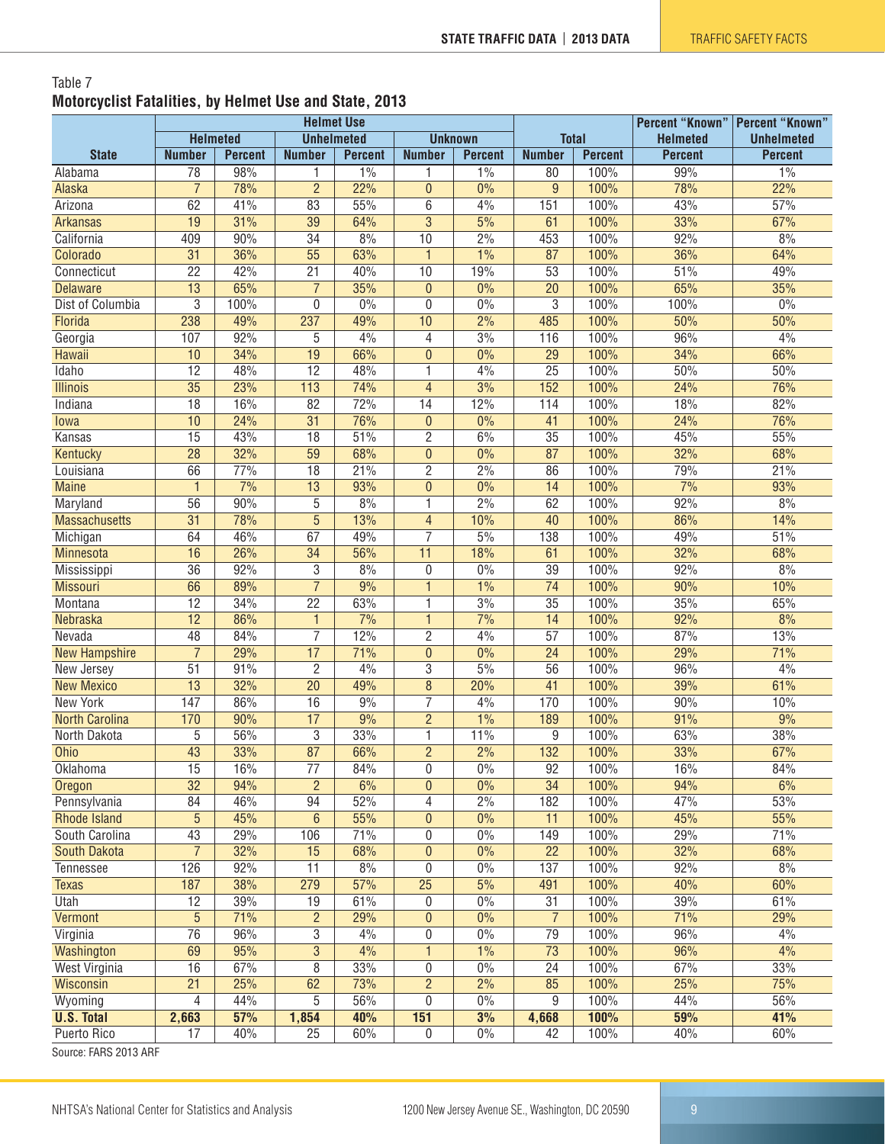#### <span id="page-8-0"></span>Table 7 **Motorcyclist Fatalities, by Helmet Use and State, 2013**

| <b>Helmeted</b><br><b>Unhelmeted</b><br><b>Unknown</b><br><b>Total</b><br><b>Helmeted</b><br><b>Unhelmeted</b><br><b>State</b><br><b>Number</b><br><b>Number</b><br><b>Percent</b><br><b>Percent</b><br><b>Number</b><br><b>Percent</b><br><b>Percent</b><br><b>Number</b><br><b>Percent</b><br><b>Percent</b><br>78<br>98%<br>1%<br>1%<br>100%<br>99%<br>1%<br>1<br>80<br>Alabama<br>1<br>$\overline{7}$<br>$\overline{2}$<br>22%<br>22%<br>78%<br>$\overline{0}$<br>0%<br>100%<br>78%<br>9<br>Alaska<br>62<br>41%<br>83<br>55%<br>6<br>4%<br>151<br>100%<br>43%<br>57%<br>Arizona<br>$\overline{3}$<br>19<br>31%<br>64%<br>5%<br>61<br>100%<br>33%<br>67%<br>39<br><b>Arkansas</b><br>2%<br>409<br>90%<br>$\overline{34}$<br>8%<br>10<br>453<br>100%<br>92%<br>8%<br>California<br>$1\%$<br>$\overline{31}$<br>36%<br>$\overline{55}$<br>63%<br>87<br>100%<br>36%<br>64%<br>Colorado<br>$\mathbf{1}$<br>19%<br>$\overline{53}$<br>$\overline{22}$<br>42%<br>$\overline{21}$<br>40%<br>$\overline{10}$<br>100%<br>51%<br>49%<br>Connecticut<br>$\overline{13}$<br>65%<br>35%<br>0%<br>$\overline{20}$<br>65%<br>35%<br>$\overline{7}$<br>$\pmb{0}$<br>100%<br><b>Delaware</b><br>$\overline{3}$<br>$\overline{0}$<br>$\overline{3}$<br>0%<br>100%<br>$\mathbf 0$<br>$0\%$<br>$0\%$<br>100%<br>100%<br>Dist of Columbia<br>238<br>2%<br>50%<br>50%<br>49%<br>237<br>49%<br>10<br>485<br>100%<br>Florida<br>107<br>92%<br>4%<br>3%<br>116<br>100%<br>96%<br>4%<br>Georgia<br>5<br>4<br>19<br>0%<br>66%<br>34%<br>66%<br>$\overline{0}$<br>$\overline{29}$<br>100%<br>34%<br>10<br>Hawaii<br>$\overline{25}$<br>$\overline{12}$<br>48%<br>$\overline{12}$<br>48%<br>1<br>4%<br>100%<br>50%<br>50%<br>Idaho<br>$\overline{35}$<br>74%<br>$\overline{4}$<br>3%<br>152<br>23%<br>113<br>100%<br>24%<br>76%<br><b>Illinois</b><br>$\overline{18}$<br>72%<br>$\overline{14}$<br>12%<br>114<br>100%<br>82%<br>16%<br>82<br>18%<br>Indiana<br>10<br>24%<br>$\overline{31}$<br>76%<br>$0\%$<br>100%<br>24%<br>76%<br>$\pmb{0}$<br>41<br>lowa<br>$\overline{15}$<br>$\overline{2}$<br>43%<br>51%<br>6%<br>$\overline{35}$<br>100%<br>45%<br>55%<br>18<br>Kansas<br>$\overline{28}$<br>32%<br>68%<br>$0\%$<br>$\overline{87}$<br>32%<br>68%<br>59<br>$\pmb{0}$<br>100%<br>Kentucky<br>$\overline{2}$<br>66<br>77%<br>21%<br>2%<br>$\overline{86}$<br>21%<br>$\overline{18}$<br>100%<br>79%<br>Louisiana<br>$\overline{0}$<br>7%<br>0%<br>$\overline{14}$<br>7%<br>93%<br><b>Maine</b><br>$\mathbf{1}$<br>13<br>93%<br>100%<br>8%<br>56<br>90%<br>5<br>8%<br>1<br>2%<br>62<br>100%<br>92%<br>Maryland<br>$\overline{5}$<br>31<br>78%<br>13%<br>$\overline{4}$<br>10%<br>100%<br>86%<br>14%<br>40<br><b>Massachusetts</b><br>$\overline{7}$<br>64<br>46%<br>67<br>49%<br>5%<br>138<br>100%<br>49%<br>51%<br>Michigan<br>26%<br>56%<br>18%<br>100%<br>32%<br>68%<br>16<br>$\overline{34}$<br>$\overline{11}$<br>61<br>Minnesota<br>$\overline{39}$<br>$\overline{36}$<br>92%<br>3<br>8%<br>$\boldsymbol{0}$<br>0%<br>100%<br>92%<br>8%<br>Mississippi<br>$\overline{7}$<br>$\overline{1}$<br>1%<br>$\overline{74}$<br>66<br>89%<br>9%<br>100%<br>90%<br>10%<br>Missouri<br>3%<br>12<br>34%<br>$\overline{22}$<br>63%<br>$\overline{35}$<br>100%<br>35%<br>65%<br>Montana<br>1<br>$\overline{12}$<br>7%<br>100%<br>92%<br>8%<br>86%<br>7%<br>$\mathbf{1}$<br>14<br>Nebraska<br>$\mathbf{1}$<br>12%<br>$\overline{2}$<br>4%<br>$\overline{57}$<br>48<br>84%<br>$\overline{7}$<br>100%<br>87%<br>13%<br>Nevada<br>71%<br>$0\%$<br>71%<br>$\overline{7}$<br>29%<br>$\overline{0}$<br>$\overline{24}$<br>29%<br>$\overline{17}$<br>100%<br><b>New Hampshire</b><br>$\overline{3}$<br>5%<br>$\overline{51}$<br>$\overline{c}$<br>4%<br>$\overline{56}$<br>100%<br>96%<br>4%<br>91%<br>New Jersey<br>$\overline{\bf 8}$<br>13<br>32%<br>$\overline{20}$<br>49%<br>20%<br>41<br>100%<br>39%<br>61%<br><b>New Mexico</b><br>$\overline{7}$<br>147<br>86%<br>16<br>9%<br>4%<br>170<br>100%<br>90%<br>10%<br>New York<br>$\overline{2}$<br>1%<br>100%<br>91%<br>9%<br>170<br>90%<br>$\overline{17}$<br>9%<br>189<br><b>North Carolina</b><br>33%<br>11%<br>38%<br>5<br>56%<br>3<br>$\mathbf{1}$<br>$\boldsymbol{9}$<br>100%<br>63%<br>North Dakota<br>$\overline{2}$<br>43<br>87<br>66%<br>2%<br>$\overline{132}$<br>33%<br>67%<br>Ohio<br>33%<br>100%<br>$0\%$<br>16%<br>16%<br>92<br>100%<br>15<br>77<br>84%<br>0<br>84%<br>Oklahoma<br>$\overline{32}$<br>$\overline{2}$<br>6%<br>$\pmb{0}$<br>$0\%$<br>$\overline{34}$<br>100%<br>94%<br>6%<br>94%<br>Oregon<br>46%<br>52%<br>2%<br>182<br>100%<br>53%<br>84<br>94<br>4<br>47%<br>Pennsylvania<br>$\overline{5}$<br>45%<br>$\sqrt{6}$<br>55%<br>$\pmb{0}$<br>$0\%$<br>$\overline{11}$<br>100%<br>45%<br>55%<br><b>Rhode Island</b><br>43<br>29%<br>71%<br>0<br>$0\%$<br>149<br>71%<br>South Carolina<br>106<br>100%<br>29%<br>$\overline{7}$<br>32%<br>$\overline{15}$<br>68%<br>$\overline{0}$<br>$\overline{0\%}$<br>$\overline{22}$<br>32%<br>100%<br>68%<br><b>South Dakota</b><br>126<br>92%<br>$\overline{11}$<br>8%<br>$\boldsymbol{0}$<br>$0\%$<br>137<br>100%<br>92%<br>8%<br>Tennessee<br>$\overline{25}$<br>5%<br>187<br>38%<br>279<br>57%<br>100%<br>40%<br>60%<br>491<br><b>Texas</b><br>Utah<br>12<br>$\overline{19}$<br>61%<br>0<br>0%<br>$\overline{31}$<br>100%<br>39%<br>61%<br>39%<br>29%<br>$\overline{5}$<br>71%<br>$\overline{2}$<br>29%<br>$\overline{0}$<br>$0\%$<br>$\overline{7}$<br>100%<br>71%<br>Vermont<br>96%<br>$\overline{0\%}$<br>$\overline{76}$<br>3<br>4%<br>0<br>79<br>100%<br>96%<br>4%<br>Virginia<br>4%<br>1%<br>$\overline{73}$<br>100%<br>Washington<br>69<br>95%<br>$\mathbf{3}$<br>$\mathbf{1}$<br>96%<br>4%<br>16<br>67%<br>$8\,$<br>33%<br>$\overline{0}$<br>0%<br>$\overline{24}$<br>100%<br>33%<br>West Virginia<br>67%<br>$\overline{2}$<br>2%<br>$\overline{21}$<br>25%<br>62<br>73%<br>85<br>100%<br>25%<br>75%<br>Wisconsin<br>56%<br>$\overline{0}$<br>$0\%$<br>9<br>100%<br>56%<br>Wyoming<br>4<br>44%<br>5<br>44%<br>3%<br>40%<br>151<br>100%<br>59%<br>41%<br><b>U.S. Total</b><br>2,663<br>57%<br>1,854<br>4,668<br><b>Puerto Rico</b><br>40%<br>60%<br>$0\%$<br>60%<br>17<br>25<br>0<br>42<br>100%<br>40% |  | <b>Helmet Use</b> |  |  |  | <b>Percent "Known"   Percent "Known"</b> |
|------------------------------------------------------------------------------------------------------------------------------------------------------------------------------------------------------------------------------------------------------------------------------------------------------------------------------------------------------------------------------------------------------------------------------------------------------------------------------------------------------------------------------------------------------------------------------------------------------------------------------------------------------------------------------------------------------------------------------------------------------------------------------------------------------------------------------------------------------------------------------------------------------------------------------------------------------------------------------------------------------------------------------------------------------------------------------------------------------------------------------------------------------------------------------------------------------------------------------------------------------------------------------------------------------------------------------------------------------------------------------------------------------------------------------------------------------------------------------------------------------------------------------------------------------------------------------------------------------------------------------------------------------------------------------------------------------------------------------------------------------------------------------------------------------------------------------------------------------------------------------------------------------------------------------------------------------------------------------------------------------------------------------------------------------------------------------------------------------------------------------------------------------------------------------------------------------------------------------------------------------------------------------------------------------------------------------------------------------------------------------------------------------------------------------------------------------------------------------------------------------------------------------------------------------------------------------------------------------------------------------------------------------------------------------------------------------------------------------------------------------------------------------------------------------------------------------------------------------------------------------------------------------------------------------------------------------------------------------------------------------------------------------------------------------------------------------------------------------------------------------------------------------------------------------------------------------------------------------------------------------------------------------------------------------------------------------------------------------------------------------------------------------------------------------------------------------------------------------------------------------------------------------------------------------------------------------------------------------------------------------------------------------------------------------------------------------------------------------------------------------------------------------------------------------------------------------------------------------------------------------------------------------------------------------------------------------------------------------------------------------------------------------------------------------------------------------------------------------------------------------------------------------------------------------------------------------------------------------------------------------------------------------------------------------------------------------------------------------------------------------------------------------------------------------------------------------------------------------------------------------------------------------------------------------------------------------------------------------------------------------------------------------------------------------------------------------------------------------------------------------------------------------------------------------------------------------------------------------------------------------------------------------------------------------------------------------------------------------------------------------------------------------------------------------------------------------------------------------------------------------------------------------------------------------------------------------------------------------------------------------------------------------------------------------------------------------------------------------------------------------------------------------------------------------------------------------------------------------------------------------------------------------------------------------------------------------------------------------------------------------------------------------------------------------------------------------------------------------------------------------------------------------------------------------------------------------------------------------------------------------------------------------------------------------------------------------------------------------------------------------------------------------------------------------------------------------------------------------------------------------------------------------------------------------------------------|--|-------------------|--|--|--|------------------------------------------|
|                                                                                                                                                                                                                                                                                                                                                                                                                                                                                                                                                                                                                                                                                                                                                                                                                                                                                                                                                                                                                                                                                                                                                                                                                                                                                                                                                                                                                                                                                                                                                                                                                                                                                                                                                                                                                                                                                                                                                                                                                                                                                                                                                                                                                                                                                                                                                                                                                                                                                                                                                                                                                                                                                                                                                                                                                                                                                                                                                                                                                                                                                                                                                                                                                                                                                                                                                                                                                                                                                                                                                                                                                                                                                                                                                                                                                                                                                                                                                                                                                                                                                                                                                                                                                                                                                                                                                                                                                                                                                                                                                                                                                                                                                                                                                                                                                                                                                                                                                                                                                                                                                                                                                                                                                                                                                                                                                                                                                                                                                                                                                                                                                                                                                                                                                                                                                                                                                                                                                                                                                                                                                                                                                                                                |  |                   |  |  |  |                                          |
|                                                                                                                                                                                                                                                                                                                                                                                                                                                                                                                                                                                                                                                                                                                                                                                                                                                                                                                                                                                                                                                                                                                                                                                                                                                                                                                                                                                                                                                                                                                                                                                                                                                                                                                                                                                                                                                                                                                                                                                                                                                                                                                                                                                                                                                                                                                                                                                                                                                                                                                                                                                                                                                                                                                                                                                                                                                                                                                                                                                                                                                                                                                                                                                                                                                                                                                                                                                                                                                                                                                                                                                                                                                                                                                                                                                                                                                                                                                                                                                                                                                                                                                                                                                                                                                                                                                                                                                                                                                                                                                                                                                                                                                                                                                                                                                                                                                                                                                                                                                                                                                                                                                                                                                                                                                                                                                                                                                                                                                                                                                                                                                                                                                                                                                                                                                                                                                                                                                                                                                                                                                                                                                                                                                                |  |                   |  |  |  |                                          |
|                                                                                                                                                                                                                                                                                                                                                                                                                                                                                                                                                                                                                                                                                                                                                                                                                                                                                                                                                                                                                                                                                                                                                                                                                                                                                                                                                                                                                                                                                                                                                                                                                                                                                                                                                                                                                                                                                                                                                                                                                                                                                                                                                                                                                                                                                                                                                                                                                                                                                                                                                                                                                                                                                                                                                                                                                                                                                                                                                                                                                                                                                                                                                                                                                                                                                                                                                                                                                                                                                                                                                                                                                                                                                                                                                                                                                                                                                                                                                                                                                                                                                                                                                                                                                                                                                                                                                                                                                                                                                                                                                                                                                                                                                                                                                                                                                                                                                                                                                                                                                                                                                                                                                                                                                                                                                                                                                                                                                                                                                                                                                                                                                                                                                                                                                                                                                                                                                                                                                                                                                                                                                                                                                                                                |  |                   |  |  |  |                                          |
|                                                                                                                                                                                                                                                                                                                                                                                                                                                                                                                                                                                                                                                                                                                                                                                                                                                                                                                                                                                                                                                                                                                                                                                                                                                                                                                                                                                                                                                                                                                                                                                                                                                                                                                                                                                                                                                                                                                                                                                                                                                                                                                                                                                                                                                                                                                                                                                                                                                                                                                                                                                                                                                                                                                                                                                                                                                                                                                                                                                                                                                                                                                                                                                                                                                                                                                                                                                                                                                                                                                                                                                                                                                                                                                                                                                                                                                                                                                                                                                                                                                                                                                                                                                                                                                                                                                                                                                                                                                                                                                                                                                                                                                                                                                                                                                                                                                                                                                                                                                                                                                                                                                                                                                                                                                                                                                                                                                                                                                                                                                                                                                                                                                                                                                                                                                                                                                                                                                                                                                                                                                                                                                                                                                                |  |                   |  |  |  |                                          |
|                                                                                                                                                                                                                                                                                                                                                                                                                                                                                                                                                                                                                                                                                                                                                                                                                                                                                                                                                                                                                                                                                                                                                                                                                                                                                                                                                                                                                                                                                                                                                                                                                                                                                                                                                                                                                                                                                                                                                                                                                                                                                                                                                                                                                                                                                                                                                                                                                                                                                                                                                                                                                                                                                                                                                                                                                                                                                                                                                                                                                                                                                                                                                                                                                                                                                                                                                                                                                                                                                                                                                                                                                                                                                                                                                                                                                                                                                                                                                                                                                                                                                                                                                                                                                                                                                                                                                                                                                                                                                                                                                                                                                                                                                                                                                                                                                                                                                                                                                                                                                                                                                                                                                                                                                                                                                                                                                                                                                                                                                                                                                                                                                                                                                                                                                                                                                                                                                                                                                                                                                                                                                                                                                                                                |  |                   |  |  |  |                                          |
|                                                                                                                                                                                                                                                                                                                                                                                                                                                                                                                                                                                                                                                                                                                                                                                                                                                                                                                                                                                                                                                                                                                                                                                                                                                                                                                                                                                                                                                                                                                                                                                                                                                                                                                                                                                                                                                                                                                                                                                                                                                                                                                                                                                                                                                                                                                                                                                                                                                                                                                                                                                                                                                                                                                                                                                                                                                                                                                                                                                                                                                                                                                                                                                                                                                                                                                                                                                                                                                                                                                                                                                                                                                                                                                                                                                                                                                                                                                                                                                                                                                                                                                                                                                                                                                                                                                                                                                                                                                                                                                                                                                                                                                                                                                                                                                                                                                                                                                                                                                                                                                                                                                                                                                                                                                                                                                                                                                                                                                                                                                                                                                                                                                                                                                                                                                                                                                                                                                                                                                                                                                                                                                                                                                                |  |                   |  |  |  |                                          |
|                                                                                                                                                                                                                                                                                                                                                                                                                                                                                                                                                                                                                                                                                                                                                                                                                                                                                                                                                                                                                                                                                                                                                                                                                                                                                                                                                                                                                                                                                                                                                                                                                                                                                                                                                                                                                                                                                                                                                                                                                                                                                                                                                                                                                                                                                                                                                                                                                                                                                                                                                                                                                                                                                                                                                                                                                                                                                                                                                                                                                                                                                                                                                                                                                                                                                                                                                                                                                                                                                                                                                                                                                                                                                                                                                                                                                                                                                                                                                                                                                                                                                                                                                                                                                                                                                                                                                                                                                                                                                                                                                                                                                                                                                                                                                                                                                                                                                                                                                                                                                                                                                                                                                                                                                                                                                                                                                                                                                                                                                                                                                                                                                                                                                                                                                                                                                                                                                                                                                                                                                                                                                                                                                                                                |  |                   |  |  |  |                                          |
|                                                                                                                                                                                                                                                                                                                                                                                                                                                                                                                                                                                                                                                                                                                                                                                                                                                                                                                                                                                                                                                                                                                                                                                                                                                                                                                                                                                                                                                                                                                                                                                                                                                                                                                                                                                                                                                                                                                                                                                                                                                                                                                                                                                                                                                                                                                                                                                                                                                                                                                                                                                                                                                                                                                                                                                                                                                                                                                                                                                                                                                                                                                                                                                                                                                                                                                                                                                                                                                                                                                                                                                                                                                                                                                                                                                                                                                                                                                                                                                                                                                                                                                                                                                                                                                                                                                                                                                                                                                                                                                                                                                                                                                                                                                                                                                                                                                                                                                                                                                                                                                                                                                                                                                                                                                                                                                                                                                                                                                                                                                                                                                                                                                                                                                                                                                                                                                                                                                                                                                                                                                                                                                                                                                                |  |                   |  |  |  |                                          |
|                                                                                                                                                                                                                                                                                                                                                                                                                                                                                                                                                                                                                                                                                                                                                                                                                                                                                                                                                                                                                                                                                                                                                                                                                                                                                                                                                                                                                                                                                                                                                                                                                                                                                                                                                                                                                                                                                                                                                                                                                                                                                                                                                                                                                                                                                                                                                                                                                                                                                                                                                                                                                                                                                                                                                                                                                                                                                                                                                                                                                                                                                                                                                                                                                                                                                                                                                                                                                                                                                                                                                                                                                                                                                                                                                                                                                                                                                                                                                                                                                                                                                                                                                                                                                                                                                                                                                                                                                                                                                                                                                                                                                                                                                                                                                                                                                                                                                                                                                                                                                                                                                                                                                                                                                                                                                                                                                                                                                                                                                                                                                                                                                                                                                                                                                                                                                                                                                                                                                                                                                                                                                                                                                                                                |  |                   |  |  |  |                                          |
|                                                                                                                                                                                                                                                                                                                                                                                                                                                                                                                                                                                                                                                                                                                                                                                                                                                                                                                                                                                                                                                                                                                                                                                                                                                                                                                                                                                                                                                                                                                                                                                                                                                                                                                                                                                                                                                                                                                                                                                                                                                                                                                                                                                                                                                                                                                                                                                                                                                                                                                                                                                                                                                                                                                                                                                                                                                                                                                                                                                                                                                                                                                                                                                                                                                                                                                                                                                                                                                                                                                                                                                                                                                                                                                                                                                                                                                                                                                                                                                                                                                                                                                                                                                                                                                                                                                                                                                                                                                                                                                                                                                                                                                                                                                                                                                                                                                                                                                                                                                                                                                                                                                                                                                                                                                                                                                                                                                                                                                                                                                                                                                                                                                                                                                                                                                                                                                                                                                                                                                                                                                                                                                                                                                                |  |                   |  |  |  |                                          |
|                                                                                                                                                                                                                                                                                                                                                                                                                                                                                                                                                                                                                                                                                                                                                                                                                                                                                                                                                                                                                                                                                                                                                                                                                                                                                                                                                                                                                                                                                                                                                                                                                                                                                                                                                                                                                                                                                                                                                                                                                                                                                                                                                                                                                                                                                                                                                                                                                                                                                                                                                                                                                                                                                                                                                                                                                                                                                                                                                                                                                                                                                                                                                                                                                                                                                                                                                                                                                                                                                                                                                                                                                                                                                                                                                                                                                                                                                                                                                                                                                                                                                                                                                                                                                                                                                                                                                                                                                                                                                                                                                                                                                                                                                                                                                                                                                                                                                                                                                                                                                                                                                                                                                                                                                                                                                                                                                                                                                                                                                                                                                                                                                                                                                                                                                                                                                                                                                                                                                                                                                                                                                                                                                                                                |  |                   |  |  |  |                                          |
|                                                                                                                                                                                                                                                                                                                                                                                                                                                                                                                                                                                                                                                                                                                                                                                                                                                                                                                                                                                                                                                                                                                                                                                                                                                                                                                                                                                                                                                                                                                                                                                                                                                                                                                                                                                                                                                                                                                                                                                                                                                                                                                                                                                                                                                                                                                                                                                                                                                                                                                                                                                                                                                                                                                                                                                                                                                                                                                                                                                                                                                                                                                                                                                                                                                                                                                                                                                                                                                                                                                                                                                                                                                                                                                                                                                                                                                                                                                                                                                                                                                                                                                                                                                                                                                                                                                                                                                                                                                                                                                                                                                                                                                                                                                                                                                                                                                                                                                                                                                                                                                                                                                                                                                                                                                                                                                                                                                                                                                                                                                                                                                                                                                                                                                                                                                                                                                                                                                                                                                                                                                                                                                                                                                                |  |                   |  |  |  |                                          |
|                                                                                                                                                                                                                                                                                                                                                                                                                                                                                                                                                                                                                                                                                                                                                                                                                                                                                                                                                                                                                                                                                                                                                                                                                                                                                                                                                                                                                                                                                                                                                                                                                                                                                                                                                                                                                                                                                                                                                                                                                                                                                                                                                                                                                                                                                                                                                                                                                                                                                                                                                                                                                                                                                                                                                                                                                                                                                                                                                                                                                                                                                                                                                                                                                                                                                                                                                                                                                                                                                                                                                                                                                                                                                                                                                                                                                                                                                                                                                                                                                                                                                                                                                                                                                                                                                                                                                                                                                                                                                                                                                                                                                                                                                                                                                                                                                                                                                                                                                                                                                                                                                                                                                                                                                                                                                                                                                                                                                                                                                                                                                                                                                                                                                                                                                                                                                                                                                                                                                                                                                                                                                                                                                                                                |  |                   |  |  |  |                                          |
|                                                                                                                                                                                                                                                                                                                                                                                                                                                                                                                                                                                                                                                                                                                                                                                                                                                                                                                                                                                                                                                                                                                                                                                                                                                                                                                                                                                                                                                                                                                                                                                                                                                                                                                                                                                                                                                                                                                                                                                                                                                                                                                                                                                                                                                                                                                                                                                                                                                                                                                                                                                                                                                                                                                                                                                                                                                                                                                                                                                                                                                                                                                                                                                                                                                                                                                                                                                                                                                                                                                                                                                                                                                                                                                                                                                                                                                                                                                                                                                                                                                                                                                                                                                                                                                                                                                                                                                                                                                                                                                                                                                                                                                                                                                                                                                                                                                                                                                                                                                                                                                                                                                                                                                                                                                                                                                                                                                                                                                                                                                                                                                                                                                                                                                                                                                                                                                                                                                                                                                                                                                                                                                                                                                                |  |                   |  |  |  |                                          |
|                                                                                                                                                                                                                                                                                                                                                                                                                                                                                                                                                                                                                                                                                                                                                                                                                                                                                                                                                                                                                                                                                                                                                                                                                                                                                                                                                                                                                                                                                                                                                                                                                                                                                                                                                                                                                                                                                                                                                                                                                                                                                                                                                                                                                                                                                                                                                                                                                                                                                                                                                                                                                                                                                                                                                                                                                                                                                                                                                                                                                                                                                                                                                                                                                                                                                                                                                                                                                                                                                                                                                                                                                                                                                                                                                                                                                                                                                                                                                                                                                                                                                                                                                                                                                                                                                                                                                                                                                                                                                                                                                                                                                                                                                                                                                                                                                                                                                                                                                                                                                                                                                                                                                                                                                                                                                                                                                                                                                                                                                                                                                                                                                                                                                                                                                                                                                                                                                                                                                                                                                                                                                                                                                                                                |  |                   |  |  |  |                                          |
|                                                                                                                                                                                                                                                                                                                                                                                                                                                                                                                                                                                                                                                                                                                                                                                                                                                                                                                                                                                                                                                                                                                                                                                                                                                                                                                                                                                                                                                                                                                                                                                                                                                                                                                                                                                                                                                                                                                                                                                                                                                                                                                                                                                                                                                                                                                                                                                                                                                                                                                                                                                                                                                                                                                                                                                                                                                                                                                                                                                                                                                                                                                                                                                                                                                                                                                                                                                                                                                                                                                                                                                                                                                                                                                                                                                                                                                                                                                                                                                                                                                                                                                                                                                                                                                                                                                                                                                                                                                                                                                                                                                                                                                                                                                                                                                                                                                                                                                                                                                                                                                                                                                                                                                                                                                                                                                                                                                                                                                                                                                                                                                                                                                                                                                                                                                                                                                                                                                                                                                                                                                                                                                                                                                                |  |                   |  |  |  |                                          |
|                                                                                                                                                                                                                                                                                                                                                                                                                                                                                                                                                                                                                                                                                                                                                                                                                                                                                                                                                                                                                                                                                                                                                                                                                                                                                                                                                                                                                                                                                                                                                                                                                                                                                                                                                                                                                                                                                                                                                                                                                                                                                                                                                                                                                                                                                                                                                                                                                                                                                                                                                                                                                                                                                                                                                                                                                                                                                                                                                                                                                                                                                                                                                                                                                                                                                                                                                                                                                                                                                                                                                                                                                                                                                                                                                                                                                                                                                                                                                                                                                                                                                                                                                                                                                                                                                                                                                                                                                                                                                                                                                                                                                                                                                                                                                                                                                                                                                                                                                                                                                                                                                                                                                                                                                                                                                                                                                                                                                                                                                                                                                                                                                                                                                                                                                                                                                                                                                                                                                                                                                                                                                                                                                                                                |  |                   |  |  |  |                                          |
|                                                                                                                                                                                                                                                                                                                                                                                                                                                                                                                                                                                                                                                                                                                                                                                                                                                                                                                                                                                                                                                                                                                                                                                                                                                                                                                                                                                                                                                                                                                                                                                                                                                                                                                                                                                                                                                                                                                                                                                                                                                                                                                                                                                                                                                                                                                                                                                                                                                                                                                                                                                                                                                                                                                                                                                                                                                                                                                                                                                                                                                                                                                                                                                                                                                                                                                                                                                                                                                                                                                                                                                                                                                                                                                                                                                                                                                                                                                                                                                                                                                                                                                                                                                                                                                                                                                                                                                                                                                                                                                                                                                                                                                                                                                                                                                                                                                                                                                                                                                                                                                                                                                                                                                                                                                                                                                                                                                                                                                                                                                                                                                                                                                                                                                                                                                                                                                                                                                                                                                                                                                                                                                                                                                                |  |                   |  |  |  |                                          |
|                                                                                                                                                                                                                                                                                                                                                                                                                                                                                                                                                                                                                                                                                                                                                                                                                                                                                                                                                                                                                                                                                                                                                                                                                                                                                                                                                                                                                                                                                                                                                                                                                                                                                                                                                                                                                                                                                                                                                                                                                                                                                                                                                                                                                                                                                                                                                                                                                                                                                                                                                                                                                                                                                                                                                                                                                                                                                                                                                                                                                                                                                                                                                                                                                                                                                                                                                                                                                                                                                                                                                                                                                                                                                                                                                                                                                                                                                                                                                                                                                                                                                                                                                                                                                                                                                                                                                                                                                                                                                                                                                                                                                                                                                                                                                                                                                                                                                                                                                                                                                                                                                                                                                                                                                                                                                                                                                                                                                                                                                                                                                                                                                                                                                                                                                                                                                                                                                                                                                                                                                                                                                                                                                                                                |  |                   |  |  |  |                                          |
|                                                                                                                                                                                                                                                                                                                                                                                                                                                                                                                                                                                                                                                                                                                                                                                                                                                                                                                                                                                                                                                                                                                                                                                                                                                                                                                                                                                                                                                                                                                                                                                                                                                                                                                                                                                                                                                                                                                                                                                                                                                                                                                                                                                                                                                                                                                                                                                                                                                                                                                                                                                                                                                                                                                                                                                                                                                                                                                                                                                                                                                                                                                                                                                                                                                                                                                                                                                                                                                                                                                                                                                                                                                                                                                                                                                                                                                                                                                                                                                                                                                                                                                                                                                                                                                                                                                                                                                                                                                                                                                                                                                                                                                                                                                                                                                                                                                                                                                                                                                                                                                                                                                                                                                                                                                                                                                                                                                                                                                                                                                                                                                                                                                                                                                                                                                                                                                                                                                                                                                                                                                                                                                                                                                                |  |                   |  |  |  |                                          |
|                                                                                                                                                                                                                                                                                                                                                                                                                                                                                                                                                                                                                                                                                                                                                                                                                                                                                                                                                                                                                                                                                                                                                                                                                                                                                                                                                                                                                                                                                                                                                                                                                                                                                                                                                                                                                                                                                                                                                                                                                                                                                                                                                                                                                                                                                                                                                                                                                                                                                                                                                                                                                                                                                                                                                                                                                                                                                                                                                                                                                                                                                                                                                                                                                                                                                                                                                                                                                                                                                                                                                                                                                                                                                                                                                                                                                                                                                                                                                                                                                                                                                                                                                                                                                                                                                                                                                                                                                                                                                                                                                                                                                                                                                                                                                                                                                                                                                                                                                                                                                                                                                                                                                                                                                                                                                                                                                                                                                                                                                                                                                                                                                                                                                                                                                                                                                                                                                                                                                                                                                                                                                                                                                                                                |  |                   |  |  |  |                                          |
|                                                                                                                                                                                                                                                                                                                                                                                                                                                                                                                                                                                                                                                                                                                                                                                                                                                                                                                                                                                                                                                                                                                                                                                                                                                                                                                                                                                                                                                                                                                                                                                                                                                                                                                                                                                                                                                                                                                                                                                                                                                                                                                                                                                                                                                                                                                                                                                                                                                                                                                                                                                                                                                                                                                                                                                                                                                                                                                                                                                                                                                                                                                                                                                                                                                                                                                                                                                                                                                                                                                                                                                                                                                                                                                                                                                                                                                                                                                                                                                                                                                                                                                                                                                                                                                                                                                                                                                                                                                                                                                                                                                                                                                                                                                                                                                                                                                                                                                                                                                                                                                                                                                                                                                                                                                                                                                                                                                                                                                                                                                                                                                                                                                                                                                                                                                                                                                                                                                                                                                                                                                                                                                                                                                                |  |                   |  |  |  |                                          |
|                                                                                                                                                                                                                                                                                                                                                                                                                                                                                                                                                                                                                                                                                                                                                                                                                                                                                                                                                                                                                                                                                                                                                                                                                                                                                                                                                                                                                                                                                                                                                                                                                                                                                                                                                                                                                                                                                                                                                                                                                                                                                                                                                                                                                                                                                                                                                                                                                                                                                                                                                                                                                                                                                                                                                                                                                                                                                                                                                                                                                                                                                                                                                                                                                                                                                                                                                                                                                                                                                                                                                                                                                                                                                                                                                                                                                                                                                                                                                                                                                                                                                                                                                                                                                                                                                                                                                                                                                                                                                                                                                                                                                                                                                                                                                                                                                                                                                                                                                                                                                                                                                                                                                                                                                                                                                                                                                                                                                                                                                                                                                                                                                                                                                                                                                                                                                                                                                                                                                                                                                                                                                                                                                                                                |  |                   |  |  |  |                                          |
|                                                                                                                                                                                                                                                                                                                                                                                                                                                                                                                                                                                                                                                                                                                                                                                                                                                                                                                                                                                                                                                                                                                                                                                                                                                                                                                                                                                                                                                                                                                                                                                                                                                                                                                                                                                                                                                                                                                                                                                                                                                                                                                                                                                                                                                                                                                                                                                                                                                                                                                                                                                                                                                                                                                                                                                                                                                                                                                                                                                                                                                                                                                                                                                                                                                                                                                                                                                                                                                                                                                                                                                                                                                                                                                                                                                                                                                                                                                                                                                                                                                                                                                                                                                                                                                                                                                                                                                                                                                                                                                                                                                                                                                                                                                                                                                                                                                                                                                                                                                                                                                                                                                                                                                                                                                                                                                                                                                                                                                                                                                                                                                                                                                                                                                                                                                                                                                                                                                                                                                                                                                                                                                                                                                                |  |                   |  |  |  |                                          |
|                                                                                                                                                                                                                                                                                                                                                                                                                                                                                                                                                                                                                                                                                                                                                                                                                                                                                                                                                                                                                                                                                                                                                                                                                                                                                                                                                                                                                                                                                                                                                                                                                                                                                                                                                                                                                                                                                                                                                                                                                                                                                                                                                                                                                                                                                                                                                                                                                                                                                                                                                                                                                                                                                                                                                                                                                                                                                                                                                                                                                                                                                                                                                                                                                                                                                                                                                                                                                                                                                                                                                                                                                                                                                                                                                                                                                                                                                                                                                                                                                                                                                                                                                                                                                                                                                                                                                                                                                                                                                                                                                                                                                                                                                                                                                                                                                                                                                                                                                                                                                                                                                                                                                                                                                                                                                                                                                                                                                                                                                                                                                                                                                                                                                                                                                                                                                                                                                                                                                                                                                                                                                                                                                                                                |  |                   |  |  |  |                                          |
|                                                                                                                                                                                                                                                                                                                                                                                                                                                                                                                                                                                                                                                                                                                                                                                                                                                                                                                                                                                                                                                                                                                                                                                                                                                                                                                                                                                                                                                                                                                                                                                                                                                                                                                                                                                                                                                                                                                                                                                                                                                                                                                                                                                                                                                                                                                                                                                                                                                                                                                                                                                                                                                                                                                                                                                                                                                                                                                                                                                                                                                                                                                                                                                                                                                                                                                                                                                                                                                                                                                                                                                                                                                                                                                                                                                                                                                                                                                                                                                                                                                                                                                                                                                                                                                                                                                                                                                                                                                                                                                                                                                                                                                                                                                                                                                                                                                                                                                                                                                                                                                                                                                                                                                                                                                                                                                                                                                                                                                                                                                                                                                                                                                                                                                                                                                                                                                                                                                                                                                                                                                                                                                                                                                                |  |                   |  |  |  |                                          |
|                                                                                                                                                                                                                                                                                                                                                                                                                                                                                                                                                                                                                                                                                                                                                                                                                                                                                                                                                                                                                                                                                                                                                                                                                                                                                                                                                                                                                                                                                                                                                                                                                                                                                                                                                                                                                                                                                                                                                                                                                                                                                                                                                                                                                                                                                                                                                                                                                                                                                                                                                                                                                                                                                                                                                                                                                                                                                                                                                                                                                                                                                                                                                                                                                                                                                                                                                                                                                                                                                                                                                                                                                                                                                                                                                                                                                                                                                                                                                                                                                                                                                                                                                                                                                                                                                                                                                                                                                                                                                                                                                                                                                                                                                                                                                                                                                                                                                                                                                                                                                                                                                                                                                                                                                                                                                                                                                                                                                                                                                                                                                                                                                                                                                                                                                                                                                                                                                                                                                                                                                                                                                                                                                                                                |  |                   |  |  |  |                                          |
|                                                                                                                                                                                                                                                                                                                                                                                                                                                                                                                                                                                                                                                                                                                                                                                                                                                                                                                                                                                                                                                                                                                                                                                                                                                                                                                                                                                                                                                                                                                                                                                                                                                                                                                                                                                                                                                                                                                                                                                                                                                                                                                                                                                                                                                                                                                                                                                                                                                                                                                                                                                                                                                                                                                                                                                                                                                                                                                                                                                                                                                                                                                                                                                                                                                                                                                                                                                                                                                                                                                                                                                                                                                                                                                                                                                                                                                                                                                                                                                                                                                                                                                                                                                                                                                                                                                                                                                                                                                                                                                                                                                                                                                                                                                                                                                                                                                                                                                                                                                                                                                                                                                                                                                                                                                                                                                                                                                                                                                                                                                                                                                                                                                                                                                                                                                                                                                                                                                                                                                                                                                                                                                                                                                                |  |                   |  |  |  |                                          |
|                                                                                                                                                                                                                                                                                                                                                                                                                                                                                                                                                                                                                                                                                                                                                                                                                                                                                                                                                                                                                                                                                                                                                                                                                                                                                                                                                                                                                                                                                                                                                                                                                                                                                                                                                                                                                                                                                                                                                                                                                                                                                                                                                                                                                                                                                                                                                                                                                                                                                                                                                                                                                                                                                                                                                                                                                                                                                                                                                                                                                                                                                                                                                                                                                                                                                                                                                                                                                                                                                                                                                                                                                                                                                                                                                                                                                                                                                                                                                                                                                                                                                                                                                                                                                                                                                                                                                                                                                                                                                                                                                                                                                                                                                                                                                                                                                                                                                                                                                                                                                                                                                                                                                                                                                                                                                                                                                                                                                                                                                                                                                                                                                                                                                                                                                                                                                                                                                                                                                                                                                                                                                                                                                                                                |  |                   |  |  |  |                                          |
|                                                                                                                                                                                                                                                                                                                                                                                                                                                                                                                                                                                                                                                                                                                                                                                                                                                                                                                                                                                                                                                                                                                                                                                                                                                                                                                                                                                                                                                                                                                                                                                                                                                                                                                                                                                                                                                                                                                                                                                                                                                                                                                                                                                                                                                                                                                                                                                                                                                                                                                                                                                                                                                                                                                                                                                                                                                                                                                                                                                                                                                                                                                                                                                                                                                                                                                                                                                                                                                                                                                                                                                                                                                                                                                                                                                                                                                                                                                                                                                                                                                                                                                                                                                                                                                                                                                                                                                                                                                                                                                                                                                                                                                                                                                                                                                                                                                                                                                                                                                                                                                                                                                                                                                                                                                                                                                                                                                                                                                                                                                                                                                                                                                                                                                                                                                                                                                                                                                                                                                                                                                                                                                                                                                                |  |                   |  |  |  |                                          |
|                                                                                                                                                                                                                                                                                                                                                                                                                                                                                                                                                                                                                                                                                                                                                                                                                                                                                                                                                                                                                                                                                                                                                                                                                                                                                                                                                                                                                                                                                                                                                                                                                                                                                                                                                                                                                                                                                                                                                                                                                                                                                                                                                                                                                                                                                                                                                                                                                                                                                                                                                                                                                                                                                                                                                                                                                                                                                                                                                                                                                                                                                                                                                                                                                                                                                                                                                                                                                                                                                                                                                                                                                                                                                                                                                                                                                                                                                                                                                                                                                                                                                                                                                                                                                                                                                                                                                                                                                                                                                                                                                                                                                                                                                                                                                                                                                                                                                                                                                                                                                                                                                                                                                                                                                                                                                                                                                                                                                                                                                                                                                                                                                                                                                                                                                                                                                                                                                                                                                                                                                                                                                                                                                                                                |  |                   |  |  |  |                                          |
|                                                                                                                                                                                                                                                                                                                                                                                                                                                                                                                                                                                                                                                                                                                                                                                                                                                                                                                                                                                                                                                                                                                                                                                                                                                                                                                                                                                                                                                                                                                                                                                                                                                                                                                                                                                                                                                                                                                                                                                                                                                                                                                                                                                                                                                                                                                                                                                                                                                                                                                                                                                                                                                                                                                                                                                                                                                                                                                                                                                                                                                                                                                                                                                                                                                                                                                                                                                                                                                                                                                                                                                                                                                                                                                                                                                                                                                                                                                                                                                                                                                                                                                                                                                                                                                                                                                                                                                                                                                                                                                                                                                                                                                                                                                                                                                                                                                                                                                                                                                                                                                                                                                                                                                                                                                                                                                                                                                                                                                                                                                                                                                                                                                                                                                                                                                                                                                                                                                                                                                                                                                                                                                                                                                                |  |                   |  |  |  |                                          |
|                                                                                                                                                                                                                                                                                                                                                                                                                                                                                                                                                                                                                                                                                                                                                                                                                                                                                                                                                                                                                                                                                                                                                                                                                                                                                                                                                                                                                                                                                                                                                                                                                                                                                                                                                                                                                                                                                                                                                                                                                                                                                                                                                                                                                                                                                                                                                                                                                                                                                                                                                                                                                                                                                                                                                                                                                                                                                                                                                                                                                                                                                                                                                                                                                                                                                                                                                                                                                                                                                                                                                                                                                                                                                                                                                                                                                                                                                                                                                                                                                                                                                                                                                                                                                                                                                                                                                                                                                                                                                                                                                                                                                                                                                                                                                                                                                                                                                                                                                                                                                                                                                                                                                                                                                                                                                                                                                                                                                                                                                                                                                                                                                                                                                                                                                                                                                                                                                                                                                                                                                                                                                                                                                                                                |  |                   |  |  |  |                                          |
|                                                                                                                                                                                                                                                                                                                                                                                                                                                                                                                                                                                                                                                                                                                                                                                                                                                                                                                                                                                                                                                                                                                                                                                                                                                                                                                                                                                                                                                                                                                                                                                                                                                                                                                                                                                                                                                                                                                                                                                                                                                                                                                                                                                                                                                                                                                                                                                                                                                                                                                                                                                                                                                                                                                                                                                                                                                                                                                                                                                                                                                                                                                                                                                                                                                                                                                                                                                                                                                                                                                                                                                                                                                                                                                                                                                                                                                                                                                                                                                                                                                                                                                                                                                                                                                                                                                                                                                                                                                                                                                                                                                                                                                                                                                                                                                                                                                                                                                                                                                                                                                                                                                                                                                                                                                                                                                                                                                                                                                                                                                                                                                                                                                                                                                                                                                                                                                                                                                                                                                                                                                                                                                                                                                                |  |                   |  |  |  |                                          |
|                                                                                                                                                                                                                                                                                                                                                                                                                                                                                                                                                                                                                                                                                                                                                                                                                                                                                                                                                                                                                                                                                                                                                                                                                                                                                                                                                                                                                                                                                                                                                                                                                                                                                                                                                                                                                                                                                                                                                                                                                                                                                                                                                                                                                                                                                                                                                                                                                                                                                                                                                                                                                                                                                                                                                                                                                                                                                                                                                                                                                                                                                                                                                                                                                                                                                                                                                                                                                                                                                                                                                                                                                                                                                                                                                                                                                                                                                                                                                                                                                                                                                                                                                                                                                                                                                                                                                                                                                                                                                                                                                                                                                                                                                                                                                                                                                                                                                                                                                                                                                                                                                                                                                                                                                                                                                                                                                                                                                                                                                                                                                                                                                                                                                                                                                                                                                                                                                                                                                                                                                                                                                                                                                                                                |  |                   |  |  |  |                                          |
|                                                                                                                                                                                                                                                                                                                                                                                                                                                                                                                                                                                                                                                                                                                                                                                                                                                                                                                                                                                                                                                                                                                                                                                                                                                                                                                                                                                                                                                                                                                                                                                                                                                                                                                                                                                                                                                                                                                                                                                                                                                                                                                                                                                                                                                                                                                                                                                                                                                                                                                                                                                                                                                                                                                                                                                                                                                                                                                                                                                                                                                                                                                                                                                                                                                                                                                                                                                                                                                                                                                                                                                                                                                                                                                                                                                                                                                                                                                                                                                                                                                                                                                                                                                                                                                                                                                                                                                                                                                                                                                                                                                                                                                                                                                                                                                                                                                                                                                                                                                                                                                                                                                                                                                                                                                                                                                                                                                                                                                                                                                                                                                                                                                                                                                                                                                                                                                                                                                                                                                                                                                                                                                                                                                                |  |                   |  |  |  |                                          |
|                                                                                                                                                                                                                                                                                                                                                                                                                                                                                                                                                                                                                                                                                                                                                                                                                                                                                                                                                                                                                                                                                                                                                                                                                                                                                                                                                                                                                                                                                                                                                                                                                                                                                                                                                                                                                                                                                                                                                                                                                                                                                                                                                                                                                                                                                                                                                                                                                                                                                                                                                                                                                                                                                                                                                                                                                                                                                                                                                                                                                                                                                                                                                                                                                                                                                                                                                                                                                                                                                                                                                                                                                                                                                                                                                                                                                                                                                                                                                                                                                                                                                                                                                                                                                                                                                                                                                                                                                                                                                                                                                                                                                                                                                                                                                                                                                                                                                                                                                                                                                                                                                                                                                                                                                                                                                                                                                                                                                                                                                                                                                                                                                                                                                                                                                                                                                                                                                                                                                                                                                                                                                                                                                                                                |  |                   |  |  |  |                                          |
|                                                                                                                                                                                                                                                                                                                                                                                                                                                                                                                                                                                                                                                                                                                                                                                                                                                                                                                                                                                                                                                                                                                                                                                                                                                                                                                                                                                                                                                                                                                                                                                                                                                                                                                                                                                                                                                                                                                                                                                                                                                                                                                                                                                                                                                                                                                                                                                                                                                                                                                                                                                                                                                                                                                                                                                                                                                                                                                                                                                                                                                                                                                                                                                                                                                                                                                                                                                                                                                                                                                                                                                                                                                                                                                                                                                                                                                                                                                                                                                                                                                                                                                                                                                                                                                                                                                                                                                                                                                                                                                                                                                                                                                                                                                                                                                                                                                                                                                                                                                                                                                                                                                                                                                                                                                                                                                                                                                                                                                                                                                                                                                                                                                                                                                                                                                                                                                                                                                                                                                                                                                                                                                                                                                                |  |                   |  |  |  |                                          |
|                                                                                                                                                                                                                                                                                                                                                                                                                                                                                                                                                                                                                                                                                                                                                                                                                                                                                                                                                                                                                                                                                                                                                                                                                                                                                                                                                                                                                                                                                                                                                                                                                                                                                                                                                                                                                                                                                                                                                                                                                                                                                                                                                                                                                                                                                                                                                                                                                                                                                                                                                                                                                                                                                                                                                                                                                                                                                                                                                                                                                                                                                                                                                                                                                                                                                                                                                                                                                                                                                                                                                                                                                                                                                                                                                                                                                                                                                                                                                                                                                                                                                                                                                                                                                                                                                                                                                                                                                                                                                                                                                                                                                                                                                                                                                                                                                                                                                                                                                                                                                                                                                                                                                                                                                                                                                                                                                                                                                                                                                                                                                                                                                                                                                                                                                                                                                                                                                                                                                                                                                                                                                                                                                                                                |  |                   |  |  |  |                                          |
|                                                                                                                                                                                                                                                                                                                                                                                                                                                                                                                                                                                                                                                                                                                                                                                                                                                                                                                                                                                                                                                                                                                                                                                                                                                                                                                                                                                                                                                                                                                                                                                                                                                                                                                                                                                                                                                                                                                                                                                                                                                                                                                                                                                                                                                                                                                                                                                                                                                                                                                                                                                                                                                                                                                                                                                                                                                                                                                                                                                                                                                                                                                                                                                                                                                                                                                                                                                                                                                                                                                                                                                                                                                                                                                                                                                                                                                                                                                                                                                                                                                                                                                                                                                                                                                                                                                                                                                                                                                                                                                                                                                                                                                                                                                                                                                                                                                                                                                                                                                                                                                                                                                                                                                                                                                                                                                                                                                                                                                                                                                                                                                                                                                                                                                                                                                                                                                                                                                                                                                                                                                                                                                                                                                                |  |                   |  |  |  |                                          |
|                                                                                                                                                                                                                                                                                                                                                                                                                                                                                                                                                                                                                                                                                                                                                                                                                                                                                                                                                                                                                                                                                                                                                                                                                                                                                                                                                                                                                                                                                                                                                                                                                                                                                                                                                                                                                                                                                                                                                                                                                                                                                                                                                                                                                                                                                                                                                                                                                                                                                                                                                                                                                                                                                                                                                                                                                                                                                                                                                                                                                                                                                                                                                                                                                                                                                                                                                                                                                                                                                                                                                                                                                                                                                                                                                                                                                                                                                                                                                                                                                                                                                                                                                                                                                                                                                                                                                                                                                                                                                                                                                                                                                                                                                                                                                                                                                                                                                                                                                                                                                                                                                                                                                                                                                                                                                                                                                                                                                                                                                                                                                                                                                                                                                                                                                                                                                                                                                                                                                                                                                                                                                                                                                                                                |  |                   |  |  |  |                                          |
|                                                                                                                                                                                                                                                                                                                                                                                                                                                                                                                                                                                                                                                                                                                                                                                                                                                                                                                                                                                                                                                                                                                                                                                                                                                                                                                                                                                                                                                                                                                                                                                                                                                                                                                                                                                                                                                                                                                                                                                                                                                                                                                                                                                                                                                                                                                                                                                                                                                                                                                                                                                                                                                                                                                                                                                                                                                                                                                                                                                                                                                                                                                                                                                                                                                                                                                                                                                                                                                                                                                                                                                                                                                                                                                                                                                                                                                                                                                                                                                                                                                                                                                                                                                                                                                                                                                                                                                                                                                                                                                                                                                                                                                                                                                                                                                                                                                                                                                                                                                                                                                                                                                                                                                                                                                                                                                                                                                                                                                                                                                                                                                                                                                                                                                                                                                                                                                                                                                                                                                                                                                                                                                                                                                                |  |                   |  |  |  |                                          |
|                                                                                                                                                                                                                                                                                                                                                                                                                                                                                                                                                                                                                                                                                                                                                                                                                                                                                                                                                                                                                                                                                                                                                                                                                                                                                                                                                                                                                                                                                                                                                                                                                                                                                                                                                                                                                                                                                                                                                                                                                                                                                                                                                                                                                                                                                                                                                                                                                                                                                                                                                                                                                                                                                                                                                                                                                                                                                                                                                                                                                                                                                                                                                                                                                                                                                                                                                                                                                                                                                                                                                                                                                                                                                                                                                                                                                                                                                                                                                                                                                                                                                                                                                                                                                                                                                                                                                                                                                                                                                                                                                                                                                                                                                                                                                                                                                                                                                                                                                                                                                                                                                                                                                                                                                                                                                                                                                                                                                                                                                                                                                                                                                                                                                                                                                                                                                                                                                                                                                                                                                                                                                                                                                                                                |  |                   |  |  |  |                                          |
|                                                                                                                                                                                                                                                                                                                                                                                                                                                                                                                                                                                                                                                                                                                                                                                                                                                                                                                                                                                                                                                                                                                                                                                                                                                                                                                                                                                                                                                                                                                                                                                                                                                                                                                                                                                                                                                                                                                                                                                                                                                                                                                                                                                                                                                                                                                                                                                                                                                                                                                                                                                                                                                                                                                                                                                                                                                                                                                                                                                                                                                                                                                                                                                                                                                                                                                                                                                                                                                                                                                                                                                                                                                                                                                                                                                                                                                                                                                                                                                                                                                                                                                                                                                                                                                                                                                                                                                                                                                                                                                                                                                                                                                                                                                                                                                                                                                                                                                                                                                                                                                                                                                                                                                                                                                                                                                                                                                                                                                                                                                                                                                                                                                                                                                                                                                                                                                                                                                                                                                                                                                                                                                                                                                                |  |                   |  |  |  |                                          |
|                                                                                                                                                                                                                                                                                                                                                                                                                                                                                                                                                                                                                                                                                                                                                                                                                                                                                                                                                                                                                                                                                                                                                                                                                                                                                                                                                                                                                                                                                                                                                                                                                                                                                                                                                                                                                                                                                                                                                                                                                                                                                                                                                                                                                                                                                                                                                                                                                                                                                                                                                                                                                                                                                                                                                                                                                                                                                                                                                                                                                                                                                                                                                                                                                                                                                                                                                                                                                                                                                                                                                                                                                                                                                                                                                                                                                                                                                                                                                                                                                                                                                                                                                                                                                                                                                                                                                                                                                                                                                                                                                                                                                                                                                                                                                                                                                                                                                                                                                                                                                                                                                                                                                                                                                                                                                                                                                                                                                                                                                                                                                                                                                                                                                                                                                                                                                                                                                                                                                                                                                                                                                                                                                                                                |  |                   |  |  |  |                                          |
|                                                                                                                                                                                                                                                                                                                                                                                                                                                                                                                                                                                                                                                                                                                                                                                                                                                                                                                                                                                                                                                                                                                                                                                                                                                                                                                                                                                                                                                                                                                                                                                                                                                                                                                                                                                                                                                                                                                                                                                                                                                                                                                                                                                                                                                                                                                                                                                                                                                                                                                                                                                                                                                                                                                                                                                                                                                                                                                                                                                                                                                                                                                                                                                                                                                                                                                                                                                                                                                                                                                                                                                                                                                                                                                                                                                                                                                                                                                                                                                                                                                                                                                                                                                                                                                                                                                                                                                                                                                                                                                                                                                                                                                                                                                                                                                                                                                                                                                                                                                                                                                                                                                                                                                                                                                                                                                                                                                                                                                                                                                                                                                                                                                                                                                                                                                                                                                                                                                                                                                                                                                                                                                                                                                                |  |                   |  |  |  |                                          |
|                                                                                                                                                                                                                                                                                                                                                                                                                                                                                                                                                                                                                                                                                                                                                                                                                                                                                                                                                                                                                                                                                                                                                                                                                                                                                                                                                                                                                                                                                                                                                                                                                                                                                                                                                                                                                                                                                                                                                                                                                                                                                                                                                                                                                                                                                                                                                                                                                                                                                                                                                                                                                                                                                                                                                                                                                                                                                                                                                                                                                                                                                                                                                                                                                                                                                                                                                                                                                                                                                                                                                                                                                                                                                                                                                                                                                                                                                                                                                                                                                                                                                                                                                                                                                                                                                                                                                                                                                                                                                                                                                                                                                                                                                                                                                                                                                                                                                                                                                                                                                                                                                                                                                                                                                                                                                                                                                                                                                                                                                                                                                                                                                                                                                                                                                                                                                                                                                                                                                                                                                                                                                                                                                                                                |  |                   |  |  |  |                                          |
|                                                                                                                                                                                                                                                                                                                                                                                                                                                                                                                                                                                                                                                                                                                                                                                                                                                                                                                                                                                                                                                                                                                                                                                                                                                                                                                                                                                                                                                                                                                                                                                                                                                                                                                                                                                                                                                                                                                                                                                                                                                                                                                                                                                                                                                                                                                                                                                                                                                                                                                                                                                                                                                                                                                                                                                                                                                                                                                                                                                                                                                                                                                                                                                                                                                                                                                                                                                                                                                                                                                                                                                                                                                                                                                                                                                                                                                                                                                                                                                                                                                                                                                                                                                                                                                                                                                                                                                                                                                                                                                                                                                                                                                                                                                                                                                                                                                                                                                                                                                                                                                                                                                                                                                                                                                                                                                                                                                                                                                                                                                                                                                                                                                                                                                                                                                                                                                                                                                                                                                                                                                                                                                                                                                                |  |                   |  |  |  |                                          |
|                                                                                                                                                                                                                                                                                                                                                                                                                                                                                                                                                                                                                                                                                                                                                                                                                                                                                                                                                                                                                                                                                                                                                                                                                                                                                                                                                                                                                                                                                                                                                                                                                                                                                                                                                                                                                                                                                                                                                                                                                                                                                                                                                                                                                                                                                                                                                                                                                                                                                                                                                                                                                                                                                                                                                                                                                                                                                                                                                                                                                                                                                                                                                                                                                                                                                                                                                                                                                                                                                                                                                                                                                                                                                                                                                                                                                                                                                                                                                                                                                                                                                                                                                                                                                                                                                                                                                                                                                                                                                                                                                                                                                                                                                                                                                                                                                                                                                                                                                                                                                                                                                                                                                                                                                                                                                                                                                                                                                                                                                                                                                                                                                                                                                                                                                                                                                                                                                                                                                                                                                                                                                                                                                                                                |  |                   |  |  |  |                                          |
|                                                                                                                                                                                                                                                                                                                                                                                                                                                                                                                                                                                                                                                                                                                                                                                                                                                                                                                                                                                                                                                                                                                                                                                                                                                                                                                                                                                                                                                                                                                                                                                                                                                                                                                                                                                                                                                                                                                                                                                                                                                                                                                                                                                                                                                                                                                                                                                                                                                                                                                                                                                                                                                                                                                                                                                                                                                                                                                                                                                                                                                                                                                                                                                                                                                                                                                                                                                                                                                                                                                                                                                                                                                                                                                                                                                                                                                                                                                                                                                                                                                                                                                                                                                                                                                                                                                                                                                                                                                                                                                                                                                                                                                                                                                                                                                                                                                                                                                                                                                                                                                                                                                                                                                                                                                                                                                                                                                                                                                                                                                                                                                                                                                                                                                                                                                                                                                                                                                                                                                                                                                                                                                                                                                                |  |                   |  |  |  |                                          |
|                                                                                                                                                                                                                                                                                                                                                                                                                                                                                                                                                                                                                                                                                                                                                                                                                                                                                                                                                                                                                                                                                                                                                                                                                                                                                                                                                                                                                                                                                                                                                                                                                                                                                                                                                                                                                                                                                                                                                                                                                                                                                                                                                                                                                                                                                                                                                                                                                                                                                                                                                                                                                                                                                                                                                                                                                                                                                                                                                                                                                                                                                                                                                                                                                                                                                                                                                                                                                                                                                                                                                                                                                                                                                                                                                                                                                                                                                                                                                                                                                                                                                                                                                                                                                                                                                                                                                                                                                                                                                                                                                                                                                                                                                                                                                                                                                                                                                                                                                                                                                                                                                                                                                                                                                                                                                                                                                                                                                                                                                                                                                                                                                                                                                                                                                                                                                                                                                                                                                                                                                                                                                                                                                                                                |  |                   |  |  |  |                                          |
|                                                                                                                                                                                                                                                                                                                                                                                                                                                                                                                                                                                                                                                                                                                                                                                                                                                                                                                                                                                                                                                                                                                                                                                                                                                                                                                                                                                                                                                                                                                                                                                                                                                                                                                                                                                                                                                                                                                                                                                                                                                                                                                                                                                                                                                                                                                                                                                                                                                                                                                                                                                                                                                                                                                                                                                                                                                                                                                                                                                                                                                                                                                                                                                                                                                                                                                                                                                                                                                                                                                                                                                                                                                                                                                                                                                                                                                                                                                                                                                                                                                                                                                                                                                                                                                                                                                                                                                                                                                                                                                                                                                                                                                                                                                                                                                                                                                                                                                                                                                                                                                                                                                                                                                                                                                                                                                                                                                                                                                                                                                                                                                                                                                                                                                                                                                                                                                                                                                                                                                                                                                                                                                                                                                                |  |                   |  |  |  |                                          |
|                                                                                                                                                                                                                                                                                                                                                                                                                                                                                                                                                                                                                                                                                                                                                                                                                                                                                                                                                                                                                                                                                                                                                                                                                                                                                                                                                                                                                                                                                                                                                                                                                                                                                                                                                                                                                                                                                                                                                                                                                                                                                                                                                                                                                                                                                                                                                                                                                                                                                                                                                                                                                                                                                                                                                                                                                                                                                                                                                                                                                                                                                                                                                                                                                                                                                                                                                                                                                                                                                                                                                                                                                                                                                                                                                                                                                                                                                                                                                                                                                                                                                                                                                                                                                                                                                                                                                                                                                                                                                                                                                                                                                                                                                                                                                                                                                                                                                                                                                                                                                                                                                                                                                                                                                                                                                                                                                                                                                                                                                                                                                                                                                                                                                                                                                                                                                                                                                                                                                                                                                                                                                                                                                                                                |  |                   |  |  |  |                                          |
|                                                                                                                                                                                                                                                                                                                                                                                                                                                                                                                                                                                                                                                                                                                                                                                                                                                                                                                                                                                                                                                                                                                                                                                                                                                                                                                                                                                                                                                                                                                                                                                                                                                                                                                                                                                                                                                                                                                                                                                                                                                                                                                                                                                                                                                                                                                                                                                                                                                                                                                                                                                                                                                                                                                                                                                                                                                                                                                                                                                                                                                                                                                                                                                                                                                                                                                                                                                                                                                                                                                                                                                                                                                                                                                                                                                                                                                                                                                                                                                                                                                                                                                                                                                                                                                                                                                                                                                                                                                                                                                                                                                                                                                                                                                                                                                                                                                                                                                                                                                                                                                                                                                                                                                                                                                                                                                                                                                                                                                                                                                                                                                                                                                                                                                                                                                                                                                                                                                                                                                                                                                                                                                                                                                                |  |                   |  |  |  |                                          |
|                                                                                                                                                                                                                                                                                                                                                                                                                                                                                                                                                                                                                                                                                                                                                                                                                                                                                                                                                                                                                                                                                                                                                                                                                                                                                                                                                                                                                                                                                                                                                                                                                                                                                                                                                                                                                                                                                                                                                                                                                                                                                                                                                                                                                                                                                                                                                                                                                                                                                                                                                                                                                                                                                                                                                                                                                                                                                                                                                                                                                                                                                                                                                                                                                                                                                                                                                                                                                                                                                                                                                                                                                                                                                                                                                                                                                                                                                                                                                                                                                                                                                                                                                                                                                                                                                                                                                                                                                                                                                                                                                                                                                                                                                                                                                                                                                                                                                                                                                                                                                                                                                                                                                                                                                                                                                                                                                                                                                                                                                                                                                                                                                                                                                                                                                                                                                                                                                                                                                                                                                                                                                                                                                                                                |  |                   |  |  |  |                                          |

Source: FARS 2013 ARF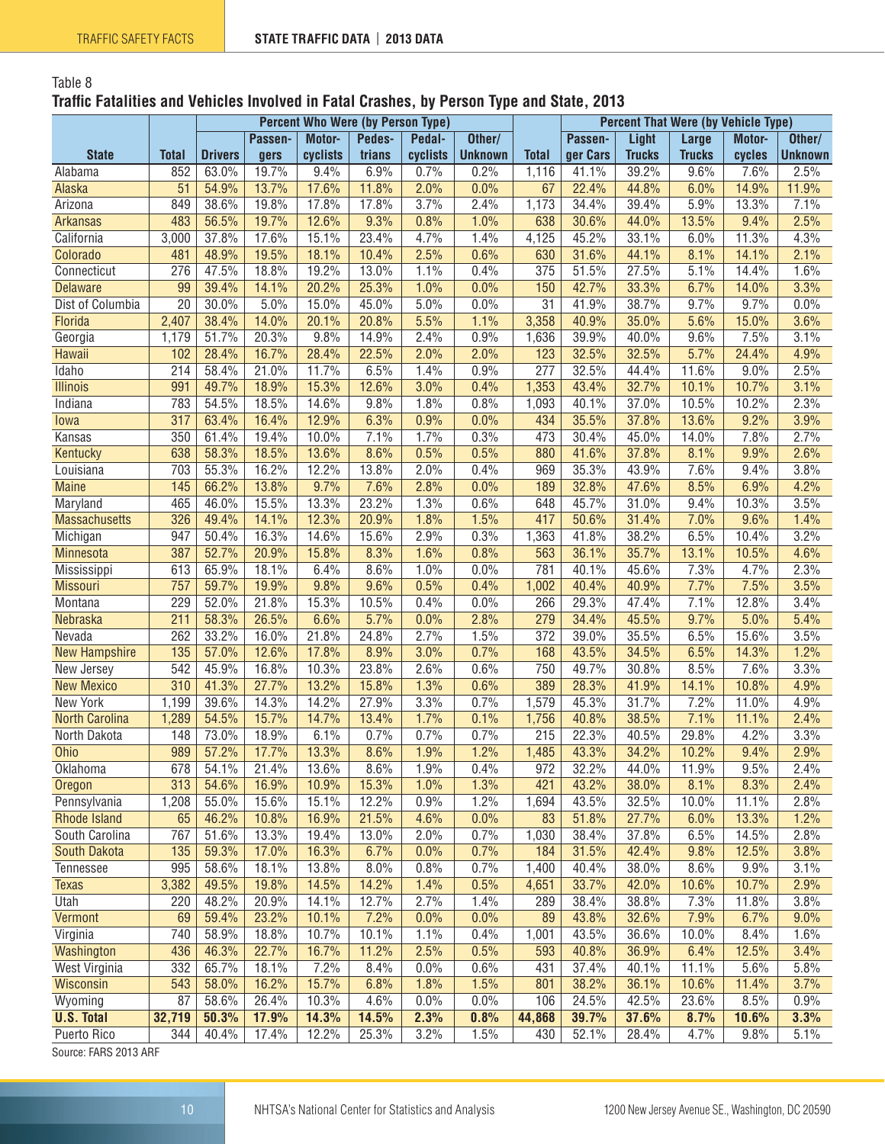#### <span id="page-9-0"></span>Table 8 **Traffic Fatalities and Vehicles Involved in Fatal Crashes, by Person Type and State, 2013**

|                       |                  |                |         | <b>Percent Who Were (by Person Type)</b> |        |                    |                |                  | <b>Percent That Were (by Vehicle Type)</b> |               |               |        |                |  |
|-----------------------|------------------|----------------|---------|------------------------------------------|--------|--------------------|----------------|------------------|--------------------------------------------|---------------|---------------|--------|----------------|--|
|                       |                  |                | Passen- | Motor-                                   | Pedes- | Pedal-             | Other/         |                  | Passen-                                    | Light         | Large         | Motor- | Other/         |  |
| <b>State</b>          | <b>Total</b>     | <b>Drivers</b> | gers    | cyclists                                 | trians | cyclists           | <b>Unknown</b> | <b>Total</b>     | ger Cars                                   | <b>Trucks</b> | <b>Trucks</b> | cycles | <b>Unknown</b> |  |
| Alabama               | 852              | 63.0%          | 19.7%   | 9.4%                                     | 6.9%   | 0.7%               | 0.2%           | 1,116            | 41.1%                                      | 39.2%         | 9.6%          | 7.6%   | 2.5%           |  |
| <b>Alaska</b>         | 51               | 54.9%          | 13.7%   | 17.6%                                    | 11.8%  | 2.0%               | 0.0%           | 67               | 22.4%                                      | 44.8%         | 6.0%          | 14.9%  | 11.9%          |  |
| Arizona               | 849              | 38.6%          | 19.8%   | 17.8%                                    | 17.8%  | 3.7%               | 2.4%           | 1,173            | 34.4%                                      | 39.4%         | 5.9%          | 13.3%  | 7.1%           |  |
| <b>Arkansas</b>       | 483              | 56.5%          | 19.7%   | 12.6%                                    | 9.3%   | 0.8%               | 1.0%           | 638              | 30.6%                                      | 44.0%         | 13.5%         | 9.4%   | 2.5%           |  |
| California            | 3,000            | 37.8%          | 17.6%   | 15.1%                                    | 23.4%  | 4.7%               | 1.4%           | 4,125            | 45.2%                                      | 33.1%         | 6.0%          | 11.3%  | 4.3%           |  |
| Colorado              | 481              | 48.9%          | 19.5%   | 18.1%                                    | 10.4%  | 2.5%               | 0.6%           | 630              | 31.6%                                      | 44.1%         | 8.1%          | 14.1%  | 2.1%           |  |
| Connecticut           | 276              | 47.5%          | 18.8%   | 19.2%                                    | 13.0%  | 1.1%               | 0.4%           | 375              | 51.5%                                      | 27.5%         | 5.1%          | 14.4%  | 1.6%           |  |
| <b>Delaware</b>       | 99               | 39.4%          | 14.1%   | 20.2%                                    | 25.3%  | 1.0%               | 0.0%           | 150              | 42.7%                                      | 33.3%         | 6.7%          | 14.0%  | 3.3%           |  |
| Dist of Columbia      | $\overline{20}$  | 30.0%          | 5.0%    | 15.0%                                    | 45.0%  | $\overline{5.0\%}$ | 0.0%           | $\overline{31}$  | 41.9%                                      | 38.7%         | 9.7%          | 9.7%   | 0.0%           |  |
| Florida               | 2,407            | 38.4%          | 14.0%   | 20.1%                                    | 20.8%  | 5.5%               | 1.1%           | 3,358            | 40.9%                                      | 35.0%         | 5.6%          | 15.0%  | 3.6%           |  |
| Georgia               | 1,179            | 51.7%          | 20.3%   | 9.8%                                     | 14.9%  | 2.4%               | 0.9%           | 1,636            | 39.9%                                      | 40.0%         | 9.6%          | 7.5%   | 3.1%           |  |
| Hawaii                | 102              | 28.4%          | 16.7%   | 28.4%                                    | 22.5%  | 2.0%               | 2.0%           | 123              | 32.5%                                      | 32.5%         | 5.7%          | 24.4%  | 4.9%           |  |
| Idaho                 | 214              | 58.4%          | 21.0%   | 11.7%                                    | 6.5%   | 1.4%               | 0.9%           | $\overline{277}$ | 32.5%                                      | 44.4%         | 11.6%         | 9.0%   | 2.5%           |  |
| <b>Illinois</b>       | 991              | 49.7%          | 18.9%   | 15.3%                                    | 12.6%  | 3.0%               | 0.4%           | 1,353            | 43.4%                                      | 32.7%         | 10.1%         | 10.7%  | 3.1%           |  |
| Indiana               | 783              | 54.5%          | 18.5%   | 14.6%                                    | 9.8%   | 1.8%               | 0.8%           | 1,093            | 40.1%                                      | 37.0%         | 10.5%         | 10.2%  | 2.3%           |  |
| lowa                  | $\overline{317}$ | 63.4%          | 16.4%   | 12.9%                                    | 6.3%   | 0.9%               | 0.0%           | 434              | 35.5%                                      | 37.8%         | 13.6%         | 9.2%   | 3.9%           |  |
| Kansas                | 350              | 61.4%          | 19.4%   | 10.0%                                    | 7.1%   | 1.7%               | 0.3%           | 473              | 30.4%                                      | 45.0%         | 14.0%         | 7.8%   | 2.7%           |  |
| Kentucky              | 638              | 58.3%          | 18.5%   | 13.6%                                    | 8.6%   | 0.5%               | 0.5%           | 880              | 41.6%                                      | 37.8%         | 8.1%          | 9.9%   | 2.6%           |  |
| Louisiana             | 703              | 55.3%          | 16.2%   | 12.2%                                    | 13.8%  | 2.0%               | 0.4%           | 969              | 35.3%                                      | 43.9%         | 7.6%          | 9.4%   | 3.8%           |  |
| <b>Maine</b>          | 145              | 66.2%          | 13.8%   | 9.7%                                     | 7.6%   | 2.8%               | 0.0%           | 189              | 32.8%                                      | 47.6%         | 8.5%          | 6.9%   | 4.2%           |  |
| Maryland              | 465              | 46.0%          | 15.5%   | 13.3%                                    | 23.2%  | 1.3%               | 0.6%           | 648              | 45.7%                                      | 31.0%         | 9.4%          | 10.3%  | 3.5%           |  |
| <b>Massachusetts</b>  | 326              | 49.4%          | 14.1%   | 12.3%                                    | 20.9%  | 1.8%               | 1.5%           | 417              | 50.6%                                      | 31.4%         | 7.0%          | 9.6%   | 1.4%           |  |
| Michigan              | 947              | 50.4%          | 16.3%   | 14.6%                                    | 15.6%  | 2.9%               | 0.3%           | 1,363            | 41.8%                                      | 38.2%         | 6.5%          | 10.4%  | 3.2%           |  |
| Minnesota             | 387              | 52.7%          | 20.9%   | 15.8%                                    | 8.3%   | 1.6%               | 0.8%           | 563              | 36.1%                                      | 35.7%         | 13.1%         | 10.5%  | 4.6%           |  |
| Mississippi           | 613              | 65.9%          | 18.1%   | 6.4%                                     | 8.6%   | 1.0%               | 0.0%           | 781              | 40.1%                                      | 45.6%         | 7.3%          | 4.7%   | 2.3%           |  |
| <b>Missouri</b>       | 757              | 59.7%          | 19.9%   | 9.8%                                     | 9.6%   | 0.5%               | 0.4%           | 1,002            | 40.4%                                      | 40.9%         | 7.7%          | 7.5%   | 3.5%           |  |
| Montana               | 229              | 52.0%          | 21.8%   | 15.3%                                    | 10.5%  | 0.4%               | 0.0%           | 266              | 29.3%                                      | 47.4%         | 7.1%          | 12.8%  | 3.4%           |  |
| Nebraska              | 211              | 58.3%          | 26.5%   | 6.6%                                     | 5.7%   | 0.0%               | 2.8%           | 279              | 34.4%                                      | 45.5%         | 9.7%          | 5.0%   | 5.4%           |  |
| Nevada                | 262              | 33.2%          | 16.0%   | 21.8%                                    | 24.8%  | 2.7%               | 1.5%           | $\overline{372}$ | 39.0%                                      | 35.5%         | 6.5%          | 15.6%  | 3.5%           |  |
| <b>New Hampshire</b>  | 135              | 57.0%          | 12.6%   | 17.8%                                    | 8.9%   | 3.0%               | 0.7%           | 168              | 43.5%                                      | 34.5%         | 6.5%          | 14.3%  | 1.2%           |  |
| New Jersey            | 542              | 45.9%          | 16.8%   | 10.3%                                    | 23.8%  | 2.6%               | 0.6%           | 750              | 49.7%                                      | 30.8%         | 8.5%          | 7.6%   | 3.3%           |  |
| <b>New Mexico</b>     | 310              | 41.3%          | 27.7%   | 13.2%                                    | 15.8%  | 1.3%               | 0.6%           | 389              | 28.3%                                      | 41.9%         | 14.1%         | 10.8%  | 4.9%           |  |
| <b>New York</b>       | 1,199            | 39.6%          | 14.3%   | 14.2%                                    | 27.9%  | 3.3%               | 0.7%           | 1,579            | 45.3%                                      | 31.7%         | 7.2%          | 11.0%  | 4.9%           |  |
| <b>North Carolina</b> | 1,289            | 54.5%          | 15.7%   | 14.7%                                    | 13.4%  | 1.7%               | 0.1%           | 1,756            | 40.8%                                      | 38.5%         | 7.1%          | 11.1%  | 2.4%           |  |
| North Dakota          | 148              | 73.0%          | 18.9%   | 6.1%                                     | 0.7%   | 0.7%               | 0.7%           | $\overline{215}$ | 22.3%                                      | 40.5%         | 29.8%         | 4.2%   | 3.3%           |  |
| Ohio                  | 989              | 57.2%          | 17.7%   | 13.3%                                    | 8.6%   | 1.9%               | 1.2%           | 1,485            | 43.3%                                      | 34.2%         | 10.2%         | 9.4%   | 2.9%           |  |
| Oklahoma              | 678              | 54.1%          | 21.4%   | 13.6%                                    | 8.6%   | 1.9%               | 0.4%           | 972              | 32.2%                                      | 44.0%         | 11.9%         | 9.5%   | 2.4%           |  |
| Oregon                | 313              | 54.6%          | 16.9%   | 10.9%                                    | 15.3%  | 1.0%               | 1.3%           | 421              | 43.2%                                      | 38.0%         | 8.1%          | 8.3%   | 2.4%           |  |
| Pennsylvania          | 1,208            | 55.0%          | 15.6%   | 15.1%                                    | 12.2%  | 0.9%               | 1.2%           | 1,694            | 43.5%                                      | 32.5%         | 10.0%         | 11.1%  | 2.8%           |  |
| Rhode Island          | 65               | 46.2%          | 10.8%   | 16.9%                                    | 21.5%  | 4.6%               | 0.0%           | 83               | 51.8%                                      | 27.7%         | 6.0%          | 13.3%  | 1.2%           |  |
| South Carolina        | 767              | 51.6%          | 13.3%   | 19.4%                                    | 13.0%  | 2.0%               | 0.7%           | 1,030            | 38.4%                                      | 37.8%         | 6.5%          | 14.5%  | 2.8%           |  |
| South Dakota          | 135              | 59.3%          | 17.0%   | 16.3%                                    | 6.7%   | 0.0%               | 0.7%           | 184              | 31.5%                                      | 42.4%         | 9.8%          | 12.5%  | 3.8%           |  |
| Tennessee             | 995              | 58.6%          | 18.1%   | 13.8%                                    | 8.0%   | 0.8%               | 0.7%           | 1,400            | 40.4%                                      | 38.0%         | 8.6%          | 9.9%   | 3.1%           |  |
| <b>Texas</b>          | 3,382            | 49.5%          | 19.8%   | 14.5%                                    | 14.2%  | 1.4%               | 0.5%           | 4,651            | 33.7%                                      | 42.0%         | 10.6%         | 10.7%  | 2.9%           |  |
| Utah                  | 220              | 48.2%          | 20.9%   | 14.1%                                    | 12.7%  | 2.7%               | 1.4%           | 289              | 38.4%                                      | 38.8%         | 7.3%          | 11.8%  | 3.8%           |  |
| Vermont               | 69               | 59.4%          | 23.2%   | 10.1%                                    | 7.2%   | $0.0\%$            | 0.0%           | 89               | 43.8%                                      | 32.6%         | 7.9%          | 6.7%   | 9.0%           |  |
| Virginia              | 740              | 58.9%          | 18.8%   | 10.7%                                    | 10.1%  | 1.1%               | 0.4%           | 1,001            | 43.5%                                      | 36.6%         | 10.0%         | 8.4%   | 1.6%           |  |
| Washington            | 436              | 46.3%          | 22.7%   | 16.7%                                    | 11.2%  | 2.5%               | 0.5%           | 593              | 40.8%                                      | 36.9%         | 6.4%          | 12.5%  | 3.4%           |  |
| West Virginia         | 332              | 65.7%          | 18.1%   | 7.2%                                     | 8.4%   | $0.0\%$            | 0.6%           | 431              | 37.4%                                      | 40.1%         | 11.1%         | 5.6%   | 5.8%           |  |
| Wisconsin             | 543              | 58.0%          | 16.2%   | 15.7%                                    | 6.8%   | 1.8%               | 1.5%           | 801              | 38.2%                                      | 36.1%         | 10.6%         | 11.4%  | 3.7%           |  |
| Wyoming               | 87               | 58.6%          | 26.4%   | 10.3%                                    | 4.6%   | 0.0%               | 0.0%           | 106              | 24.5%                                      | 42.5%         | 23.6%         | 8.5%   | 0.9%           |  |
| <b>U.S. Total</b>     | 32,719           | 50.3%          | 17.9%   | 14.3%                                    | 14.5%  | 2.3%               | 0.8%           | 44,868           | 39.7%                                      | 37.6%         | 8.7%          | 10.6%  | 3.3%           |  |
| Puerto Rico           | 344              | 40.4%          | 17.4%   | 12.2%                                    | 25.3%  | 3.2%               | 1.5%           | 430              | 52.1%                                      | 28.4%         | 4.7%          | 9.8%   | 5.1%           |  |
|                       |                  |                |         |                                          |        |                    |                |                  |                                            |               |               |        |                |  |

Source: FARS 2013 ARF